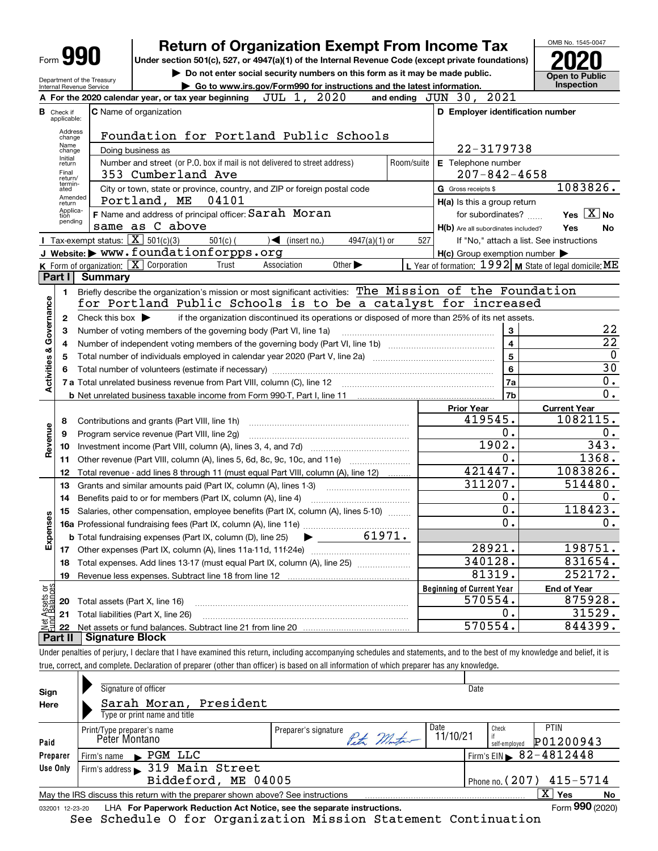| Form |  |
|------|--|
|------|--|

## **Return of Organization Exempt From Income Tax**

**Under section 501(c), 527, or 4947(a)(1) of the Internal Revenue Code (except private foundations) 2020**

Department of the Treasury Internal Revenue Service

**| Do not enter social security numbers on this form as it may be made public. | Go to www.irs.gov/Form990 for instructions and the latest information. Inspection**

OMB No. 1545-0047 **Open to Public** 

|                                |                         | JUL 1, 2020<br>A For the 2020 calendar year, or tax year beginning                                                                                                         |            | and ending JUN 30, 2021                             |                                                           |
|--------------------------------|-------------------------|----------------------------------------------------------------------------------------------------------------------------------------------------------------------------|------------|-----------------------------------------------------|-----------------------------------------------------------|
| В                              | Check if<br>applicable: | <b>C</b> Name of organization                                                                                                                                              |            | D Employer identification number                    |                                                           |
|                                | Address<br>change       | Foundation for Portland Public Schools                                                                                                                                     |            |                                                     |                                                           |
|                                | Name<br>change          | Doing business as                                                                                                                                                          |            | 22-3179738                                          |                                                           |
|                                | Initial<br>return       | Number and street (or P.O. box if mail is not delivered to street address)                                                                                                 | Room/suite | E Telephone number                                  |                                                           |
|                                | Final<br>return/        | 353 Cumberland Ave                                                                                                                                                         |            | $207 - 842 - 4658$                                  |                                                           |
|                                | termin-<br>ated         | City or town, state or province, country, and ZIP or foreign postal code                                                                                                   |            | G Gross receipts \$                                 | 1083826.                                                  |
|                                | Amended<br>return       | Portland, ME 04101                                                                                                                                                         |            | H(a) Is this a group return                         |                                                           |
|                                | Applica-<br>tion        | F Name and address of principal officer: Sarah Moran                                                                                                                       |            | for subordinates?                                   | Yes $X$ No                                                |
|                                | pending                 | same as C above                                                                                                                                                            |            | H(b) Are all subordinates included?                 | Yes<br>No                                                 |
|                                |                         | <b>I</b> Tax-exempt status: $\boxed{\mathbf{X}}$ 501(c)(3)<br>$501(c)$ (<br>$\leq$ (insert no.)<br>$4947(a)(1)$ or                                                         | 527        |                                                     | If "No," attach a list. See instructions                  |
|                                |                         | J Website: > WWW.foundationforpps.org                                                                                                                                      |            | $H(c)$ Group exemption number $\blacktriangleright$ |                                                           |
|                                |                         | <b>K</b> Form of organization: $\boxed{\mathbf{X}}$ Corporation<br>Association<br>Other $\blacktriangleright$<br>Trust                                                     |            |                                                     | L Year of formation: $1992$ M State of legal domicile: ME |
|                                | Part I                  | <b>Summary</b>                                                                                                                                                             |            |                                                     |                                                           |
|                                | 1.                      | Briefly describe the organization's mission or most significant activities: The Mission of the Foundation                                                                  |            |                                                     |                                                           |
|                                |                         | for Portland Public Schools is to be a catalyst for increased                                                                                                              |            |                                                     |                                                           |
| Governance                     | $\mathbf{2}$            | if the organization discontinued its operations or disposed of more than 25% of its net assets.<br>Check this box $\blacktriangleright$                                    |            |                                                     |                                                           |
|                                | 3                       | Number of voting members of the governing body (Part VI, line 1a)                                                                                                          |            | 3                                                   | 22                                                        |
|                                | 4                       |                                                                                                                                                                            |            | $\overline{4}$                                      | $\overline{22}$                                           |
| <b>Activities &amp;</b>        | 5                       |                                                                                                                                                                            |            | $\overline{5}$                                      | $\mathbf 0$                                               |
|                                | 6                       |                                                                                                                                                                            |            | 6                                                   | $\overline{30}$                                           |
|                                |                         | 7 a Total unrelated business revenue from Part VIII, column (C), line 12                                                                                                   |            | 7a                                                  | 0.                                                        |
|                                |                         |                                                                                                                                                                            |            | 7b                                                  | $\overline{0}$ .                                          |
|                                |                         |                                                                                                                                                                            |            | <b>Prior Year</b>                                   | <b>Current Year</b>                                       |
|                                | 8                       | Contributions and grants (Part VIII, line 1h)                                                                                                                              |            | 419545.                                             | 1082115.                                                  |
|                                | 9                       | Program service revenue (Part VIII, line 2g)                                                                                                                               |            | 0.                                                  | $0$ .                                                     |
| Revenue                        | 10                      |                                                                                                                                                                            |            | 1902.                                               | 343.                                                      |
|                                | 11                      | Other revenue (Part VIII, column (A), lines 5, 6d, 8c, 9c, 10c, and 11e)                                                                                                   |            | 0.                                                  | 1368.                                                     |
|                                | 12                      | Total revenue - add lines 8 through 11 (must equal Part VIII, column (A), line 12)                                                                                         |            | 421447.                                             | 1083826.                                                  |
|                                | 13                      | Grants and similar amounts paid (Part IX, column (A), lines 1-3) <i>manumanonononononon</i>                                                                                |            | 311207.                                             | 514480.                                                   |
|                                | 14                      | Benefits paid to or for members (Part IX, column (A), line 4)                                                                                                              |            | 0.<br>0.                                            | 0.<br>118423.                                             |
|                                | 15                      | Salaries, other compensation, employee benefits (Part IX, column (A), lines 5-10)                                                                                          |            | 0.                                                  | $0$ .                                                     |
| Expenses                       |                         | 61971.                                                                                                                                                                     |            |                                                     |                                                           |
|                                |                         | <b>b</b> Total fundraising expenses (Part IX, column (D), line 25)                                                                                                         |            | 28921.                                              | 198751.                                                   |
|                                |                         |                                                                                                                                                                            |            | 340128.                                             | 831654.                                                   |
|                                |                         | 18 Total expenses. Add lines 13-17 (must equal Part IX, column (A), line 25) <i>manument</i> in                                                                            |            | 81319.                                              | 252172.                                                   |
|                                | 19                      | Revenue less expenses. Subtract line 18 from line 12                                                                                                                       |            | <b>Beginning of Current Year</b>                    | <b>End of Year</b>                                        |
|                                |                         | Total assets (Part X, line 16)                                                                                                                                             |            | 570554.                                             | 875928.                                                   |
|                                | 20<br>21                | Total liabilities (Part X, line 26)                                                                                                                                        |            | 0.                                                  | 31529.                                                    |
| Net Assets or<br>Fund Balances | 22                      |                                                                                                                                                                            |            | 570554.                                             | 844399.                                                   |
|                                | Part II                 | Signature Block                                                                                                                                                            |            |                                                     |                                                           |
|                                |                         | Under penalties of perjury, I declare that I have examined this return, including accompanying schedules and statements, and to the best of my knowledge and belief, it is |            |                                                     |                                                           |
|                                |                         |                                                                                                                                                                            |            |                                                     |                                                           |

true, correct, and complete. Declaration of preparer (other than officer) is based on all information of which preparer has any knowledge.

| Signature of officer<br>Sign<br>Sarah Moran, President<br>Here |                                                                                                                                                                                                                                                                                                                                                                                                                                                                                                                                                                                       |  |  |  |                 |  |  |  |
|----------------------------------------------------------------|---------------------------------------------------------------------------------------------------------------------------------------------------------------------------------------------------------------------------------------------------------------------------------------------------------------------------------------------------------------------------------------------------------------------------------------------------------------------------------------------------------------------------------------------------------------------------------------|--|--|--|-----------------|--|--|--|
|                                                                | Date<br>Type or print name and title<br>Date<br>PTIN<br>Check<br>Preparer's signature<br>Print/Type preparer's name<br>Peter Montar<br>11/10/21<br>Péter Montano<br>P01200943<br>self-emploved<br>Firm's EIN $\, 82 - 4812448$<br>$\blacktriangleright$ PGM LLC<br>Firm's name<br>Firm's address > 319 Main Street<br>Biddeford, ME 04005<br>ΧI<br>Yes<br>May the IRS discuss this return with the preparer shown above? See instructions<br>LHA For Paperwork Reduction Act Notice, see the separate instructions.<br>See Schedule O for Organization Mission Statement Continuation |  |  |  |                 |  |  |  |
|                                                                |                                                                                                                                                                                                                                                                                                                                                                                                                                                                                                                                                                                       |  |  |  |                 |  |  |  |
|                                                                |                                                                                                                                                                                                                                                                                                                                                                                                                                                                                                                                                                                       |  |  |  |                 |  |  |  |
|                                                                |                                                                                                                                                                                                                                                                                                                                                                                                                                                                                                                                                                                       |  |  |  |                 |  |  |  |
| Paid                                                           |                                                                                                                                                                                                                                                                                                                                                                                                                                                                                                                                                                                       |  |  |  |                 |  |  |  |
| Preparer                                                       | Phone no. $(207)$ 415-5714                                                                                                                                                                                                                                                                                                                                                                                                                                                                                                                                                            |  |  |  |                 |  |  |  |
| Use Only                                                       |                                                                                                                                                                                                                                                                                                                                                                                                                                                                                                                                                                                       |  |  |  |                 |  |  |  |
|                                                                |                                                                                                                                                                                                                                                                                                                                                                                                                                                                                                                                                                                       |  |  |  |                 |  |  |  |
|                                                                |                                                                                                                                                                                                                                                                                                                                                                                                                                                                                                                                                                                       |  |  |  | No              |  |  |  |
| 032001 12-23-20                                                |                                                                                                                                                                                                                                                                                                                                                                                                                                                                                                                                                                                       |  |  |  | Form 990 (2020) |  |  |  |
|                                                                |                                                                                                                                                                                                                                                                                                                                                                                                                                                                                                                                                                                       |  |  |  |                 |  |  |  |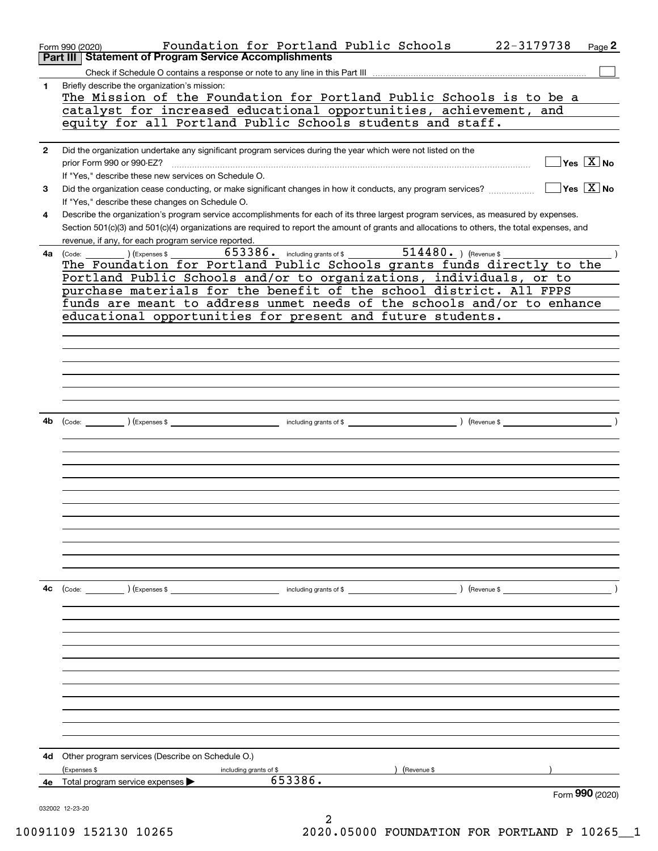|              | Foundation for Portland Public Schools<br>22-3179738<br>Page 2<br>Form 990 (2020)                                                                      |
|--------------|--------------------------------------------------------------------------------------------------------------------------------------------------------|
|              | <b>Statement of Program Service Accomplishments</b><br>Part III                                                                                        |
|              |                                                                                                                                                        |
| 1            | Briefly describe the organization's mission:                                                                                                           |
|              | The Mission of the Foundation for Portland Public Schools is to be a                                                                                   |
|              | catalyst for increased educational opportunities, achievement, and                                                                                     |
|              | equity for all Portland Public Schools students and staff.                                                                                             |
| $\mathbf{2}$ | Did the organization undertake any significant program services during the year which were not listed on the                                           |
|              | $\sqrt{}$ Yes $\sqrt{}$ $\overline{\text{X}}$ No<br>prior Form 990 or 990-EZ?                                                                          |
|              | If "Yes," describe these new services on Schedule O.                                                                                                   |
| 3            | $\sqrt{}$ Yes $\sqrt{}$ X $\sqrt{}$ No<br>Did the organization cease conducting, or make significant changes in how it conducts, any program services? |
|              | If "Yes," describe these changes on Schedule O.                                                                                                        |
| 4            | Describe the organization's program service accomplishments for each of its three largest program services, as measured by expenses.                   |
|              | Section 501(c)(3) and 501(c)(4) organizations are required to report the amount of grants and allocations to others, the total expenses, and           |
|              | revenue, if any, for each program service reported.                                                                                                    |
| 4a           | 653386. including grants of \$14480. ) (Revenue \$<br>$\sum_{k=1}^{n}$ (Expenses \$<br>(Code:                                                          |
|              | The Foundation for Portland Public Schools grants funds directly to the                                                                                |
|              | Portland Public Schools and/or to organizations, individuals, or to                                                                                    |
|              | purchase materials for the benefit of the school district. All FPPS                                                                                    |
|              | funds are meant to address unmet needs of the schools and/or to enhance                                                                                |
|              | educational opportunities for present and future students.                                                                                             |
|              |                                                                                                                                                        |
|              |                                                                                                                                                        |
|              |                                                                                                                                                        |
|              |                                                                                                                                                        |
|              |                                                                                                                                                        |
|              |                                                                                                                                                        |
|              |                                                                                                                                                        |
| 4b           |                                                                                                                                                        |
|              |                                                                                                                                                        |
|              |                                                                                                                                                        |
|              |                                                                                                                                                        |
|              |                                                                                                                                                        |
|              |                                                                                                                                                        |
|              |                                                                                                                                                        |
|              |                                                                                                                                                        |
|              |                                                                                                                                                        |
|              |                                                                                                                                                        |
|              |                                                                                                                                                        |
|              |                                                                                                                                                        |
| 4c           | (Code: ) (Expenses \$                                                                                                                                  |
|              |                                                                                                                                                        |
|              |                                                                                                                                                        |
|              |                                                                                                                                                        |
|              |                                                                                                                                                        |
|              |                                                                                                                                                        |
|              |                                                                                                                                                        |
|              |                                                                                                                                                        |
|              |                                                                                                                                                        |
|              |                                                                                                                                                        |
|              |                                                                                                                                                        |
|              |                                                                                                                                                        |
|              |                                                                                                                                                        |
| 4d           | Other program services (Describe on Schedule O.)                                                                                                       |
|              | (Expenses \$<br>) (Revenue \$<br>including grants of \$                                                                                                |
| 4е           | 653386.<br>Total program service expenses                                                                                                              |
|              | Form 990 (2020)                                                                                                                                        |
|              | 032002 12-23-20                                                                                                                                        |
|              |                                                                                                                                                        |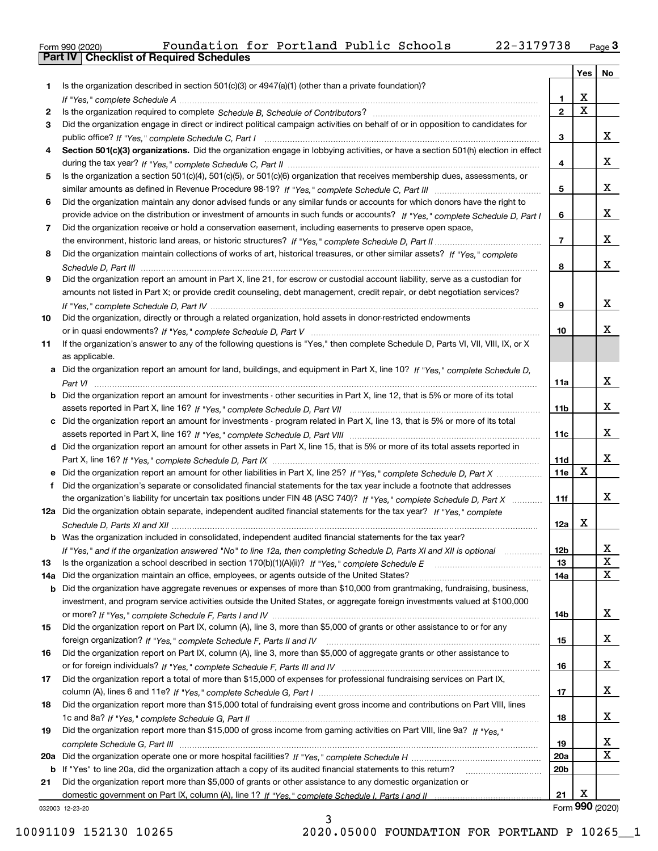|  | Form 990 (2020) |
|--|-----------------|

|     |                                                                                                                                       |                 | Yes                     | No                      |
|-----|---------------------------------------------------------------------------------------------------------------------------------------|-----------------|-------------------------|-------------------------|
| 1   | Is the organization described in section 501(c)(3) or 4947(a)(1) (other than a private foundation)?                                   |                 |                         |                         |
|     |                                                                                                                                       | 1               | х                       |                         |
| 2   |                                                                                                                                       | $\mathbf{2}$    | $\overline{\mathbf{x}}$ |                         |
| 3   | Did the organization engage in direct or indirect political campaign activities on behalf of or in opposition to candidates for       |                 |                         |                         |
|     |                                                                                                                                       | 3               |                         | X.                      |
| 4   | Section 501(c)(3) organizations. Did the organization engage in lobbying activities, or have a section 501(h) election in effect      |                 |                         |                         |
|     |                                                                                                                                       | 4               |                         | X.                      |
| 5   | Is the organization a section 501(c)(4), 501(c)(5), or 501(c)(6) organization that receives membership dues, assessments, or          |                 |                         |                         |
|     |                                                                                                                                       | 5               |                         | X.                      |
| 6   | Did the organization maintain any donor advised funds or any similar funds or accounts for which donors have the right to             |                 |                         |                         |
|     | provide advice on the distribution or investment of amounts in such funds or accounts? If "Yes," complete Schedule D, Part I          | 6               |                         | X.                      |
| 7   | Did the organization receive or hold a conservation easement, including easements to preserve open space,                             |                 |                         | X.                      |
|     |                                                                                                                                       | 7               |                         |                         |
| 8   | Did the organization maintain collections of works of art, historical treasures, or other similar assets? If "Yes," complete          |                 |                         | X.                      |
|     | Did the organization report an amount in Part X, line 21, for escrow or custodial account liability, serve as a custodian for         | 8               |                         |                         |
| 9   | amounts not listed in Part X; or provide credit counseling, debt management, credit repair, or debt negotiation services?             |                 |                         |                         |
|     |                                                                                                                                       | 9               |                         | x                       |
| 10  | Did the organization, directly or through a related organization, hold assets in donor-restricted endowments                          |                 |                         |                         |
|     |                                                                                                                                       | 10              |                         | x                       |
| 11  | If the organization's answer to any of the following questions is "Yes," then complete Schedule D, Parts VI, VII, VIII, IX, or X      |                 |                         |                         |
|     | as applicable.                                                                                                                        |                 |                         |                         |
|     | a Did the organization report an amount for land, buildings, and equipment in Part X, line 10? If "Yes," complete Schedule D,         |                 |                         |                         |
|     |                                                                                                                                       | 11a             |                         | x                       |
|     | <b>b</b> Did the organization report an amount for investments - other securities in Part X, line 12, that is 5% or more of its total |                 |                         |                         |
|     |                                                                                                                                       | 11b             |                         | X.                      |
|     | c Did the organization report an amount for investments - program related in Part X, line 13, that is 5% or more of its total         |                 |                         |                         |
|     |                                                                                                                                       | 11c             |                         | X.                      |
|     | d Did the organization report an amount for other assets in Part X, line 15, that is 5% or more of its total assets reported in       |                 |                         |                         |
|     |                                                                                                                                       | 11d             |                         | x                       |
|     | e Did the organization report an amount for other liabilities in Part X, line 25? If "Yes," complete Schedule D, Part X               | <b>11e</b>      | X                       |                         |
| f   | Did the organization's separate or consolidated financial statements for the tax year include a footnote that addresses               |                 |                         |                         |
|     | the organization's liability for uncertain tax positions under FIN 48 (ASC 740)? If "Yes," complete Schedule D, Part X                | 11f             |                         | X.                      |
|     | 12a Did the organization obtain separate, independent audited financial statements for the tax year? If "Yes," complete               |                 |                         |                         |
|     |                                                                                                                                       | 12a             | X                       |                         |
|     | b Was the organization included in consolidated, independent audited financial statements for the tax year?                           |                 |                         |                         |
|     | If "Yes," and if the organization answered "No" to line 12a, then completing Schedule D, Parts XI and XII is optional                 | 12 <sub>b</sub> |                         | $\overline{\mathbf{x}}$ |
| 13  | Is the organization a school described in section 170(b)(1)(A)(ii)? If "Yes," complete Schedule E                                     | 13              |                         | X                       |
| 14a | Did the organization maintain an office, employees, or agents outside of the United States?                                           | 14a             |                         | X                       |
| b   | Did the organization have aggregate revenues or expenses of more than \$10,000 from grantmaking, fundraising, business,               |                 |                         |                         |
|     | investment, and program service activities outside the United States, or aggregate foreign investments valued at \$100,000            |                 |                         |                         |
|     |                                                                                                                                       | 14b             |                         | X.                      |
| 15  | Did the organization report on Part IX, column (A), line 3, more than \$5,000 of grants or other assistance to or for any             |                 |                         |                         |
|     |                                                                                                                                       | 15              |                         | X,                      |
| 16  | Did the organization report on Part IX, column (A), line 3, more than \$5,000 of aggregate grants or other assistance to              |                 |                         |                         |
|     |                                                                                                                                       | 16              |                         | X,                      |
| 17  | Did the organization report a total of more than \$15,000 of expenses for professional fundraising services on Part IX,               |                 |                         |                         |
|     |                                                                                                                                       | 17              |                         | X.                      |
| 18  | Did the organization report more than \$15,000 total of fundraising event gross income and contributions on Part VIII, lines          |                 |                         |                         |
|     |                                                                                                                                       | 18              |                         | X.                      |
| 19  | Did the organization report more than \$15,000 of gross income from gaming activities on Part VIII, line 9a? If "Yes."                |                 |                         |                         |
|     |                                                                                                                                       | 19              |                         | X                       |
| 20a |                                                                                                                                       | 20a             |                         | X                       |
|     | b If "Yes" to line 20a, did the organization attach a copy of its audited financial statements to this return?                        | 20b             |                         |                         |
| 21  | Did the organization report more than \$5,000 of grants or other assistance to any domestic organization or                           |                 |                         |                         |
|     |                                                                                                                                       | 21              | X                       |                         |
|     | 032003 12-23-20                                                                                                                       |                 |                         | Form 990 (2020)         |

032003 12-23-20

3 10091109 152130 10265 2020.05000 FOUNDATION FOR PORTLAND P 10265\_\_1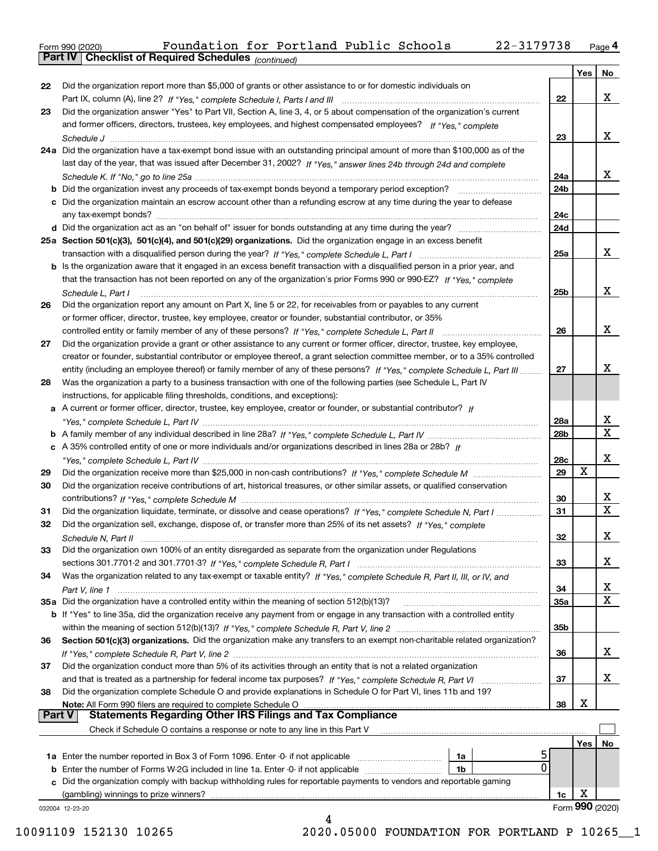| Form 990 (2020) |                                                              | Foundation for Portland Public Schools |  |  | 22-3179738 | Page 4 |
|-----------------|--------------------------------------------------------------|----------------------------------------|--|--|------------|--------|
|                 | <b>Part IV   Checklist of Required Schedules</b> (continued) |                                        |  |  |            |        |

*(continued)*

|        |                                                                                                                              |                 | Yes | No              |
|--------|------------------------------------------------------------------------------------------------------------------------------|-----------------|-----|-----------------|
| 22     | Did the organization report more than \$5,000 of grants or other assistance to or for domestic individuals on                |                 |     |                 |
|        |                                                                                                                              | 22              |     | x               |
| 23     | Did the organization answer "Yes" to Part VII, Section A, line 3, 4, or 5 about compensation of the organization's current   |                 |     |                 |
|        | and former officers, directors, trustees, key employees, and highest compensated employees? If "Yes," complete               |                 |     |                 |
|        |                                                                                                                              | 23              |     | x               |
|        | 24a Did the organization have a tax-exempt bond issue with an outstanding principal amount of more than \$100,000 as of the  |                 |     |                 |
|        | last day of the year, that was issued after December 31, 2002? If "Yes," answer lines 24b through 24d and complete           |                 |     |                 |
|        |                                                                                                                              | 24a             |     | x               |
|        | <b>b</b> Did the organization invest any proceeds of tax-exempt bonds beyond a temporary period exception?                   | 24b             |     |                 |
|        | c Did the organization maintain an escrow account other than a refunding escrow at any time during the year to defease       |                 |     |                 |
|        |                                                                                                                              | 24c             |     |                 |
|        |                                                                                                                              | 24d             |     |                 |
|        | 25a Section 501(c)(3), 501(c)(4), and 501(c)(29) organizations. Did the organization engage in an excess benefit             |                 |     |                 |
|        |                                                                                                                              | 25a             |     | x               |
|        | b Is the organization aware that it engaged in an excess benefit transaction with a disqualified person in a prior year, and |                 |     |                 |
|        | that the transaction has not been reported on any of the organization's prior Forms 990 or 990-EZ? If "Yes." complete        |                 |     |                 |
|        | Schedule L. Part I                                                                                                           | 25b             |     | x               |
| 26     | Did the organization report any amount on Part X, line 5 or 22, for receivables from or payables to any current              |                 |     |                 |
|        | or former officer, director, trustee, key employee, creator or founder, substantial contributor, or 35%                      |                 |     |                 |
|        | controlled entity or family member of any of these persons? If "Yes," complete Schedule L, Part II                           | 26              |     | x               |
| 27     | Did the organization provide a grant or other assistance to any current or former officer, director, trustee, key employee,  |                 |     |                 |
|        | creator or founder, substantial contributor or employee thereof, a grant selection committee member, or to a 35% controlled  |                 |     |                 |
|        | entity (including an employee thereof) or family member of any of these persons? If "Yes," complete Schedule L, Part III     | 27              |     | x               |
| 28     | Was the organization a party to a business transaction with one of the following parties (see Schedule L, Part IV            |                 |     |                 |
|        | instructions, for applicable filing thresholds, conditions, and exceptions):                                                 |                 |     |                 |
|        | a A current or former officer, director, trustee, key employee, creator or founder, or substantial contributor? If           |                 |     |                 |
|        |                                                                                                                              | 28a             |     | x               |
|        |                                                                                                                              | 28 <sub>b</sub> |     | X               |
|        | c A 35% controlled entity of one or more individuals and/or organizations described in lines 28a or 28b? If                  |                 |     |                 |
|        |                                                                                                                              | <b>28c</b>      |     | х               |
| 29     |                                                                                                                              | 29              | X   |                 |
| 30     | Did the organization receive contributions of art, historical treasures, or other similar assets, or qualified conservation  |                 |     |                 |
|        |                                                                                                                              | 30              |     | x               |
| 31     | Did the organization liquidate, terminate, or dissolve and cease operations? If "Yes," complete Schedule N, Part I           | 31              |     | $\mathbf{x}$    |
| 32     | Did the organization sell, exchange, dispose of, or transfer more than 25% of its net assets? If "Yes," complete             |                 |     |                 |
|        |                                                                                                                              | 32              |     | x.              |
| 33     | Did the organization own 100% of an entity disregarded as separate from the organization under Regulations                   |                 |     |                 |
|        |                                                                                                                              | 33              |     | x               |
| 34     | Was the organization related to any tax-exempt or taxable entity? If "Yes," complete Schedule R, Part II, III, or IV, and    |                 |     |                 |
|        |                                                                                                                              | 34              |     | X               |
|        | 35a Did the organization have a controlled entity within the meaning of section 512(b)(13)?                                  | <b>35a</b>      |     | X.              |
|        | b If "Yes" to line 35a, did the organization receive any payment from or engage in any transaction with a controlled entity  |                 |     |                 |
|        |                                                                                                                              | 35b             |     |                 |
| 36     | Section 501(c)(3) organizations. Did the organization make any transfers to an exempt non-charitable related organization?   |                 |     |                 |
|        |                                                                                                                              | 36              |     | x               |
| 37     | Did the organization conduct more than 5% of its activities through an entity that is not a related organization             |                 |     |                 |
|        |                                                                                                                              | 37              |     | x               |
| 38     | Did the organization complete Schedule O and provide explanations in Schedule O for Part VI, lines 11b and 19?               |                 |     |                 |
|        | Note: All Form 990 filers are required to complete Schedule O                                                                | 38              | х   |                 |
| Part V | <b>Statements Regarding Other IRS Filings and Tax Compliance</b>                                                             |                 |     |                 |
|        | Check if Schedule O contains a response or note to any line in this Part V                                                   |                 |     |                 |
|        |                                                                                                                              |                 | Yes | No              |
|        | ל<br>1a Enter the number reported in Box 3 of Form 1096. Enter -0- if not applicable<br>1a                                   |                 |     |                 |
| b      | 0<br>Enter the number of Forms W-2G included in line 1a. Enter -0- if not applicable<br>1b                                   |                 |     |                 |
| c      | Did the organization comply with backup withholding rules for reportable payments to vendors and reportable gaming           |                 |     |                 |
|        | (gambling) winnings to prize winners?                                                                                        | 1c              | х   |                 |
|        | 032004 12-23-20                                                                                                              |                 |     | Form 990 (2020) |
|        | 4                                                                                                                            |                 |     |                 |

10091109 152130 10265 2020.05000 FOUNDATION FOR PORTLAND P 10265\_\_1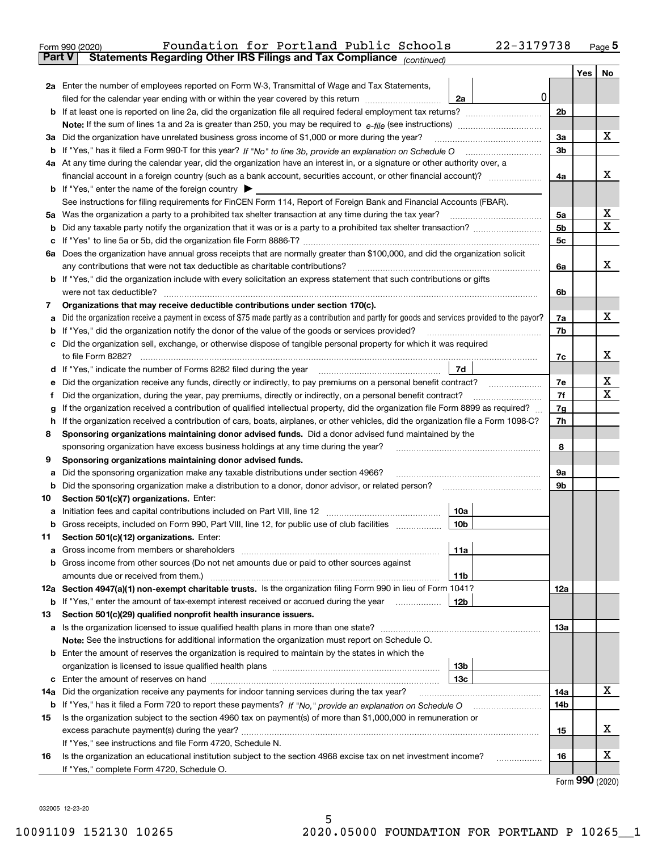|               | 22-3179738<br>Foundation for Portland Public Schools<br>Form 990 (2020)                                                                         |                |     | Page $5$        |
|---------------|-------------------------------------------------------------------------------------------------------------------------------------------------|----------------|-----|-----------------|
| <b>Part V</b> | Statements Regarding Other IRS Filings and Tax Compliance (continued)                                                                           |                |     |                 |
|               |                                                                                                                                                 |                | Yes | No              |
|               | 2a Enter the number of employees reported on Form W-3, Transmittal of Wage and Tax Statements,                                                  |                |     |                 |
|               | 0<br>filed for the calendar year ending with or within the year covered by this return<br>2a                                                    |                |     |                 |
|               |                                                                                                                                                 | 2b             |     |                 |
|               |                                                                                                                                                 |                |     |                 |
| За            | Did the organization have unrelated business gross income of \$1,000 or more during the year?                                                   | 3a             |     | x               |
|               |                                                                                                                                                 | 3 <sub>b</sub> |     |                 |
|               | 4a At any time during the calendar year, did the organization have an interest in, or a signature or other authority over, a                    |                |     |                 |
|               | financial account in a foreign country (such as a bank account, securities account, or other financial account)?                                | 4a             |     | x               |
|               | <b>b</b> If "Yes," enter the name of the foreign country $\triangleright$                                                                       |                |     |                 |
|               | See instructions for filing requirements for FinCEN Form 114, Report of Foreign Bank and Financial Accounts (FBAR).                             |                |     |                 |
| 5a            |                                                                                                                                                 | 5a             |     | x               |
| b             |                                                                                                                                                 | 5 <sub>b</sub> |     | Χ               |
| с             |                                                                                                                                                 | 5c             |     |                 |
|               | 6a Does the organization have annual gross receipts that are normally greater than \$100,000, and did the organization solicit                  |                |     |                 |
|               |                                                                                                                                                 | 6a             |     | x               |
|               | <b>b</b> If "Yes," did the organization include with every solicitation an express statement that such contributions or gifts                   |                |     |                 |
|               |                                                                                                                                                 | 6b             |     |                 |
| 7             | Organizations that may receive deductible contributions under section 170(c).                                                                   |                |     |                 |
| a             | Did the organization receive a payment in excess of \$75 made partly as a contribution and partly for goods and services provided to the payor? | 7a             |     | х               |
| b             | If "Yes," did the organization notify the donor of the value of the goods or services provided?                                                 | 7b             |     |                 |
|               | c Did the organization sell, exchange, or otherwise dispose of tangible personal property for which it was required                             |                |     |                 |
|               |                                                                                                                                                 | 7c             |     | х               |
|               | 7d                                                                                                                                              |                |     |                 |
| е             |                                                                                                                                                 | 7e             |     | х               |
| f             | Did the organization, during the year, pay premiums, directly or indirectly, on a personal benefit contract?                                    | 7f             |     | х               |
| g             | If the organization received a contribution of qualified intellectual property, did the organization file Form 8899 as required?                | 7g             |     |                 |
| h             | If the organization received a contribution of cars, boats, airplanes, or other vehicles, did the organization file a Form 1098-C?              | 7h             |     |                 |
| 8             | Sponsoring organizations maintaining donor advised funds. Did a donor advised fund maintained by the                                            |                |     |                 |
|               | sponsoring organization have excess business holdings at any time during the year?                                                              | 8              |     |                 |
| 9             | Sponsoring organizations maintaining donor advised funds.                                                                                       |                |     |                 |
| а             | Did the sponsoring organization make any taxable distributions under section 4966?                                                              | 9а             |     |                 |
| b             |                                                                                                                                                 | 9b             |     |                 |
| 10            | Section 501(c)(7) organizations. Enter:                                                                                                         |                |     |                 |
|               | 10a                                                                                                                                             |                |     |                 |
|               | 10 <sub>b</sub><br>Gross receipts, included on Form 990, Part VIII, line 12, for public use of club facilities                                  |                |     |                 |
| 11            | Section 501(c)(12) organizations. Enter:                                                                                                        |                |     |                 |
| a             | 11a                                                                                                                                             |                |     |                 |
|               | b Gross income from other sources (Do not net amounts due or paid to other sources against                                                      |                |     |                 |
|               | 11b                                                                                                                                             |                |     |                 |
|               | 12a Section 4947(a)(1) non-exempt charitable trusts. Is the organization filing Form 990 in lieu of Form 1041?                                  | 12a            |     |                 |
|               | 12b<br><b>b</b> If "Yes," enter the amount of tax-exempt interest received or accrued during the year <i>manument</i> of                        |                |     |                 |
| 13            | Section 501(c)(29) qualified nonprofit health insurance issuers.                                                                                |                |     |                 |
|               | a Is the organization licensed to issue qualified health plans in more than one state?                                                          | 13a            |     |                 |
|               | Note: See the instructions for additional information the organization must report on Schedule O.                                               |                |     |                 |
|               | <b>b</b> Enter the amount of reserves the organization is required to maintain by the states in which the                                       |                |     |                 |
|               | 13b                                                                                                                                             |                |     |                 |
|               | 13 <sub>c</sub>                                                                                                                                 |                |     |                 |
| 14a           | Did the organization receive any payments for indoor tanning services during the tax year?                                                      | 14a            |     | x               |
|               | <b>b</b> If "Yes," has it filed a Form 720 to report these payments? If "No," provide an explanation on Schedule O                              | 14b            |     |                 |
| 15            | Is the organization subject to the section 4960 tax on payment(s) of more than \$1,000,000 in remuneration or                                   |                |     |                 |
|               |                                                                                                                                                 | 15             |     | X.              |
|               | If "Yes," see instructions and file Form 4720, Schedule N.                                                                                      |                |     |                 |
| 16            | Is the organization an educational institution subject to the section 4968 excise tax on net investment income?                                 | 16             |     | x               |
|               | If "Yes," complete Form 4720, Schedule O.                                                                                                       |                |     |                 |
|               |                                                                                                                                                 |                |     | Form 990 (2020) |

5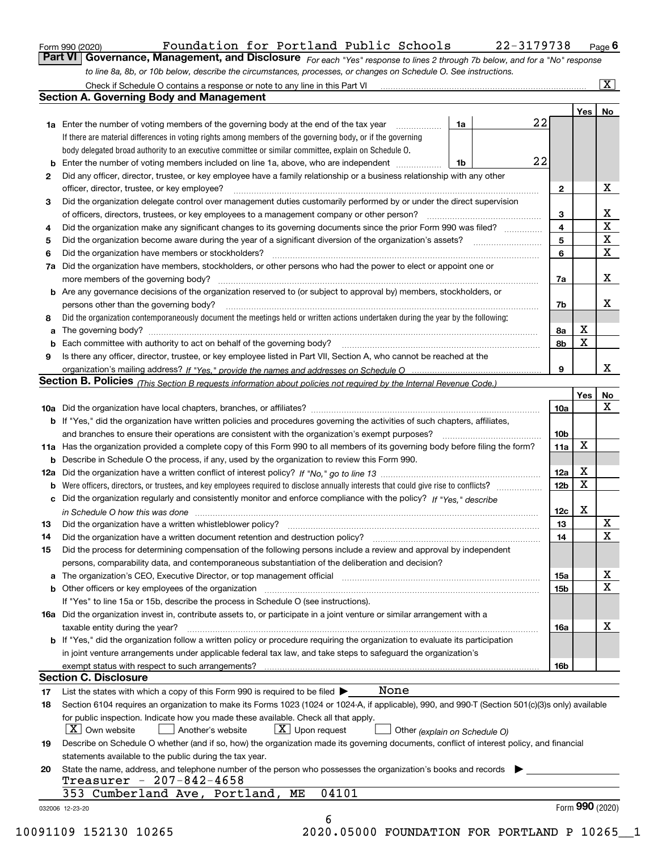|  | Form 990 (2020) |
|--|-----------------|
|  |                 |

Form 990 (2020) Foundation for Portland Public Schools 22-3179738 <sub>Page</sub> 6<br>**Part VI Governance, Management, and Disclosure** *For each "Yes" response to lines 2 through 7b below, a* 

| <b>TVT</b> doverflatice, Matiagement, and Disclosure $F_{or}$ each "Yes" response to lines 2 through 7b below, and for a "No" response |  |  |  |  |
|----------------------------------------------------------------------------------------------------------------------------------------|--|--|--|--|
| to line 8a, 8b, or 10b below, describe the circumstances, processes, or changes on Schedule O. See instructions.                       |  |  |  |  |

|              | <b>1a</b> Enter the number of voting members of the governing body at the end of the tax year <i>manumum</i><br>1a                                                         | 22 |                         | Yes             | No                      |  |  |
|--------------|----------------------------------------------------------------------------------------------------------------------------------------------------------------------------|----|-------------------------|-----------------|-------------------------|--|--|
|              | If there are material differences in voting rights among members of the governing body, or if the governing                                                                |    |                         |                 |                         |  |  |
|              | body delegated broad authority to an executive committee or similar committee, explain on Schedule O.                                                                      |    |                         |                 |                         |  |  |
|              | 1b                                                                                                                                                                         | 22 |                         |                 |                         |  |  |
| $\mathbf{2}$ | Did any officer, director, trustee, or key employee have a family relationship or a business relationship with any other                                                   |    |                         |                 |                         |  |  |
|              | officer, director, trustee, or key employee?                                                                                                                               |    | $\mathbf{2}$            |                 | х                       |  |  |
| 3            | Did the organization delegate control over management duties customarily performed by or under the direct supervision                                                      |    |                         |                 |                         |  |  |
|              | of officers, directors, trustees, or key employees to a management company or other person?                                                                                |    | 3                       |                 | X                       |  |  |
| 4            | Did the organization make any significant changes to its governing documents since the prior Form 990 was filed?                                                           |    | $\overline{\mathbf{4}}$ |                 | $\overline{\mathbf{x}}$ |  |  |
| 5            |                                                                                                                                                                            |    | 5                       |                 | $\mathbf{X}$            |  |  |
| 6            | Did the organization have members or stockholders?                                                                                                                         |    | 6                       |                 | X                       |  |  |
| 7a           | Did the organization have members, stockholders, or other persons who had the power to elect or appoint one or                                                             |    |                         |                 |                         |  |  |
|              |                                                                                                                                                                            |    | 7a                      |                 | х                       |  |  |
|              | <b>b</b> Are any governance decisions of the organization reserved to (or subject to approval by) members, stockholders, or                                                |    |                         |                 |                         |  |  |
|              | persons other than the governing body?                                                                                                                                     |    | 7b                      |                 | х                       |  |  |
| 8            | Did the organization contemporaneously document the meetings held or written actions undertaken during the year by the following:                                          |    |                         |                 |                         |  |  |
| a            |                                                                                                                                                                            |    | 8a                      | X               |                         |  |  |
|              |                                                                                                                                                                            |    | 8b                      | X               |                         |  |  |
| 9            | Is there any officer, director, trustee, or key employee listed in Part VII, Section A, who cannot be reached at the                                                       |    |                         |                 |                         |  |  |
|              |                                                                                                                                                                            |    | 9                       |                 | x                       |  |  |
|              | <b>Section B. Policies</b> (This Section B requests information about policies not required by the Internal Revenue Code.)                                                 |    |                         |                 |                         |  |  |
|              |                                                                                                                                                                            |    |                         | Yes             | No                      |  |  |
|              |                                                                                                                                                                            |    | 10a                     |                 | X                       |  |  |
|              | <b>b</b> If "Yes," did the organization have written policies and procedures governing the activities of such chapters, affiliates,                                        |    |                         |                 |                         |  |  |
|              |                                                                                                                                                                            |    | 10 <sub>b</sub>         |                 |                         |  |  |
|              | 11a Has the organization provided a complete copy of this Form 990 to all members of its governing body before filing the form?                                            |    | 11a                     | X               |                         |  |  |
|              | <b>b</b> Describe in Schedule O the process, if any, used by the organization to review this Form 990.                                                                     |    |                         |                 |                         |  |  |
|              |                                                                                                                                                                            |    | 12a                     | X               |                         |  |  |
|              |                                                                                                                                                                            |    | 12 <sub>b</sub>         | X               |                         |  |  |
| b            | Were officers, directors, or trustees, and key employees required to disclose annually interests that could give rise to conflicts?                                        |    |                         |                 |                         |  |  |
|              | c Did the organization regularly and consistently monitor and enforce compliance with the policy? If "Yes." describe                                                       |    |                         | Х               |                         |  |  |
|              | in Schedule O how this was done manufactured and continuum control of the Schedule O how this was done manufactured and the state of the Schedule O how this was done      |    | 12c                     |                 | X                       |  |  |
| 13           |                                                                                                                                                                            |    | 13                      |                 | X                       |  |  |
| 14           | Did the organization have a written document retention and destruction policy? manufactured and the organization have a written document retention and destruction policy? |    | 14                      |                 |                         |  |  |
| 15           | Did the process for determining compensation of the following persons include a review and approval by independent                                                         |    |                         |                 |                         |  |  |
|              | persons, comparability data, and contemporaneous substantiation of the deliberation and decision?                                                                          |    |                         |                 | х                       |  |  |
|              |                                                                                                                                                                            |    | 15a                     |                 | X                       |  |  |
|              |                                                                                                                                                                            |    | 15b                     |                 |                         |  |  |
|              | If "Yes" to line 15a or 15b, describe the process in Schedule O (see instructions).                                                                                        |    |                         |                 |                         |  |  |
|              | 16a Did the organization invest in, contribute assets to, or participate in a joint venture or similar arrangement with a                                                  |    |                         |                 | х                       |  |  |
|              | taxable entity during the year?                                                                                                                                            |    | 16a                     |                 |                         |  |  |
|              | b If "Yes," did the organization follow a written policy or procedure requiring the organization to evaluate its participation                                             |    |                         |                 |                         |  |  |
|              | in joint venture arrangements under applicable federal tax law, and take steps to safequard the organization's                                                             |    |                         |                 |                         |  |  |
|              |                                                                                                                                                                            |    | 16b                     |                 |                         |  |  |
|              | <b>Section C. Disclosure</b>                                                                                                                                               |    |                         |                 |                         |  |  |
| 17           | None<br>List the states with which a copy of this Form 990 is required to be filed $\blacktriangleright$                                                                   |    |                         |                 |                         |  |  |
| 18           | Section 6104 requires an organization to make its Forms 1023 (1024 or 1024-A, if applicable), 990, and 990-T (Section 501(c)(3)s only) available                           |    |                         |                 |                         |  |  |
|              | for public inspection. Indicate how you made these available. Check all that apply.                                                                                        |    |                         |                 |                         |  |  |
|              | $\vert X \vert$ Own website<br>$X$ Upon request<br>  Another's website<br>Other (explain on Schedule O)                                                                    |    |                         |                 |                         |  |  |
| 19           | Describe on Schedule O whether (and if so, how) the organization made its governing documents, conflict of interest policy, and financial                                  |    |                         |                 |                         |  |  |
|              | statements available to the public during the tax year.                                                                                                                    |    |                         |                 |                         |  |  |
| 20           | State the name, address, and telephone number of the person who possesses the organization's books and records                                                             |    |                         |                 |                         |  |  |
|              | Treasurer - 207-842-4658                                                                                                                                                   |    |                         |                 |                         |  |  |
|              | 04101<br>353 Cumberland Ave, Portland, ME                                                                                                                                  |    |                         |                 |                         |  |  |
|              | 032006 12-23-20                                                                                                                                                            |    |                         | Form 990 (2020) |                         |  |  |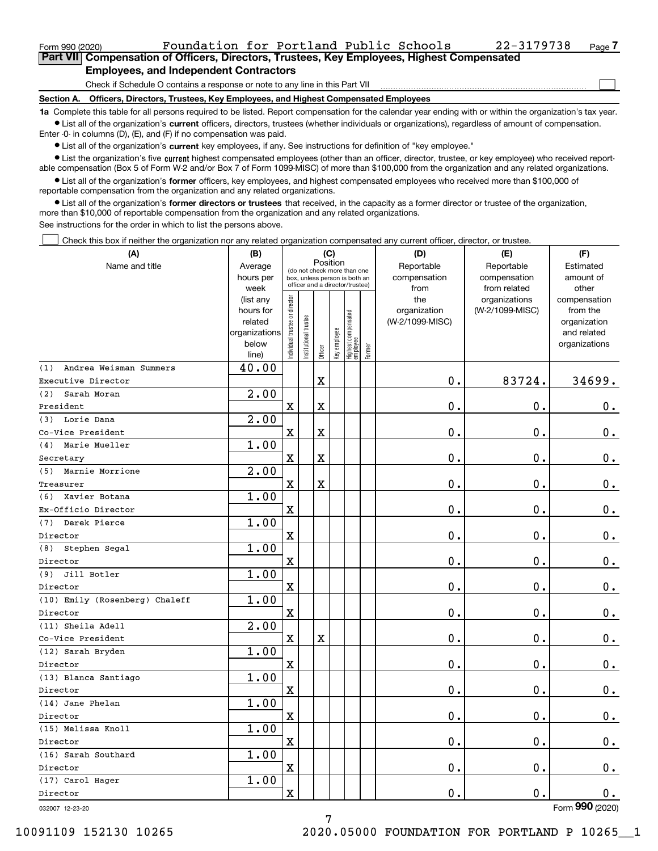$\mathcal{L}^{\text{max}}$ 

| Form 990 (2020) | Foundation for Portland Public Schools                                                     |  |  | 22-3179738 | Page 7 |
|-----------------|--------------------------------------------------------------------------------------------|--|--|------------|--------|
|                 | Part VII Compensation of Officers, Directors, Trustees, Key Employees, Highest Compensated |  |  |            |        |
|                 | <b>Employees, and Independent Contractors</b>                                              |  |  |            |        |

Check if Schedule O contains a response or note to any line in this Part VII

**Section A. Officers, Directors, Trustees, Key Employees, and Highest Compensated Employees**

**1a**  Complete this table for all persons required to be listed. Report compensation for the calendar year ending with or within the organization's tax year. **•** List all of the organization's current officers, directors, trustees (whether individuals or organizations), regardless of amount of compensation.

Enter -0- in columns (D), (E), and (F) if no compensation was paid.

 $\bullet$  List all of the organization's  $\,$ current key employees, if any. See instructions for definition of "key employee."

**•** List the organization's five current highest compensated employees (other than an officer, director, trustee, or key employee) who received reportable compensation (Box 5 of Form W-2 and/or Box 7 of Form 1099-MISC) of more than \$100,000 from the organization and any related organizations.

**•** List all of the organization's former officers, key employees, and highest compensated employees who received more than \$100,000 of reportable compensation from the organization and any related organizations.

**former directors or trustees**  ¥ List all of the organization's that received, in the capacity as a former director or trustee of the organization, more than \$10,000 of reportable compensation from the organization and any related organizations.

See instructions for the order in which to list the persons above.

Check this box if neither the organization nor any related organization compensated any current officer, director, or trustee.  $\mathcal{L}^{\text{max}}$ 

| (A)                            | (B)                |                               |                                                                  | (C)                     |              |                                  |        | (D)             | (E)                              | (F)                   |
|--------------------------------|--------------------|-------------------------------|------------------------------------------------------------------|-------------------------|--------------|----------------------------------|--------|-----------------|----------------------------------|-----------------------|
| Name and title                 | Average            |                               | (do not check more than one                                      | Position                |              |                                  |        | Reportable      | Reportable                       | Estimated             |
|                                | hours per          |                               | box, unless person is both an<br>officer and a director/trustee) |                         |              |                                  |        | compensation    | compensation                     | amount of             |
|                                | week<br>(list any  |                               |                                                                  |                         |              |                                  |        | from<br>the     | from related                     | other<br>compensation |
|                                | hours for          |                               |                                                                  |                         |              |                                  |        | organization    | organizations<br>(W-2/1099-MISC) | from the              |
|                                | related            |                               |                                                                  |                         |              |                                  |        | (W-2/1099-MISC) |                                  | organization          |
|                                | organizations      |                               |                                                                  |                         |              |                                  |        |                 |                                  | and related           |
|                                | below              | ndividual trustee or director | nstitutional trustee                                             |                         | Key employee |                                  |        |                 |                                  | organizations         |
|                                | line)              |                               |                                                                  | Officer                 |              | Highest compensated<br> employee | Former |                 |                                  |                       |
| (1)<br>Andrea Weisman Summers  | 40.00              |                               |                                                                  |                         |              |                                  |        |                 |                                  |                       |
| Executive Director             |                    |                               |                                                                  | $\rm X$                 |              |                                  |        | 0.              | 83724.                           | 34699.                |
| Sarah Moran<br>(2)             | $\overline{2}$ .00 |                               |                                                                  |                         |              |                                  |        |                 |                                  |                       |
| President                      |                    | $\mathbf X$                   |                                                                  | $\overline{\text{X}}$   |              |                                  |        | $\mathbf 0$ .   | $\mathbf 0$ .                    | $\mathbf 0$ .         |
| Lorie Dana<br>(3)              | 2.00               |                               |                                                                  |                         |              |                                  |        |                 |                                  |                       |
| Co-Vice President              |                    | $\mathbf X$                   |                                                                  | $\overline{\mathbf{X}}$ |              |                                  |        | 0.              | $\mathbf 0$ .                    | 0.                    |
| Marie Mueller<br>(4)           | 1.00               |                               |                                                                  |                         |              |                                  |        |                 |                                  |                       |
| Secretary                      |                    | $\mathbf x$                   |                                                                  | X                       |              |                                  |        | 0.              | $\mathbf 0$ .                    | $0_{.}$               |
| Marnie Morrione<br>(5)         | 2.00               |                               |                                                                  |                         |              |                                  |        |                 |                                  |                       |
| Treasurer                      |                    | $\mathbf x$                   |                                                                  | $\overline{\textbf{X}}$ |              |                                  |        | 0.              | $\mathbf 0$ .                    | $0$ .                 |
| Xavier Botana<br>(6)           | 1.00               |                               |                                                                  |                         |              |                                  |        |                 |                                  |                       |
| Ex-Officio Director            |                    | $\mathbf X$                   |                                                                  |                         |              |                                  |        | $\mathbf{0}$ .  | $\mathbf 0$ .                    | $\mathbf 0$ .         |
| Derek Pierce<br>(7)            | 1.00               |                               |                                                                  |                         |              |                                  |        |                 |                                  |                       |
| Director                       |                    | $\mathbf X$                   |                                                                  |                         |              |                                  |        | 0.              | $\mathbf 0$ .                    | $0_{.}$               |
| Stephen Segal<br>(8)           | 1.00               |                               |                                                                  |                         |              |                                  |        |                 |                                  |                       |
| Director                       |                    | $\mathbf x$                   |                                                                  |                         |              |                                  |        | 0.              | $\mathbf 0$ .                    | $\mathbf 0$ .         |
| Jill Botler<br>(9)             | 1.00               |                               |                                                                  |                         |              |                                  |        |                 |                                  |                       |
| Director                       |                    | $\mathbf X$                   |                                                                  |                         |              |                                  |        | 0.              | $\mathbf 0$ .                    | $\mathbf 0$ .         |
| (10) Emily (Rosenberg) Chaleff | 1.00               |                               |                                                                  |                         |              |                                  |        |                 |                                  |                       |
| Director                       |                    | $\mathbf X$                   |                                                                  |                         |              |                                  |        | $\mathbf 0$ .   | $\mathbf 0$ .                    | $\mathbf 0$ .         |
| (11) Sheila Adell              | 2.00               |                               |                                                                  |                         |              |                                  |        |                 |                                  |                       |
| Co-Vice President              |                    | $\mathbf X$                   |                                                                  | $\overline{\textbf{X}}$ |              |                                  |        | 0.              | 0.                               | $0$ .                 |
| (12) Sarah Bryden              | 1.00               |                               |                                                                  |                         |              |                                  |        |                 |                                  |                       |
| Director                       |                    | $\mathbf x$                   |                                                                  |                         |              |                                  |        | 0.              | $\mathbf 0$ .                    | $\mathbf 0$ .         |
| (13) Blanca Santiago           | 1.00               |                               |                                                                  |                         |              |                                  |        |                 |                                  |                       |
| Director                       |                    | X                             |                                                                  |                         |              |                                  |        | 0.              | 0.                               | $\mathbf 0$ .         |
| (14) Jane Phelan               | 1.00               |                               |                                                                  |                         |              |                                  |        |                 |                                  |                       |
| Director                       |                    | $\mathbf x$                   |                                                                  |                         |              |                                  |        | 0.              | $\mathbf 0$ .                    | $\mathbf 0$ .         |
| (15) Melissa Knoll             | 1.00               |                               |                                                                  |                         |              |                                  |        |                 |                                  |                       |
| Director                       |                    | X                             |                                                                  |                         |              |                                  |        | 0.              | $\mathbf 0$ .                    | $\mathbf 0$ .         |
| (16) Sarah Southard            | 1.00               |                               |                                                                  |                         |              |                                  |        |                 |                                  |                       |
| Director                       |                    | X                             |                                                                  |                         |              |                                  |        | $0$ .           | $\mathbf 0$ .                    | 0.                    |
| (17) Carol Hager               | 1.00               |                               |                                                                  |                         |              |                                  |        |                 |                                  |                       |
| Director                       |                    | $\mathbf X$                   |                                                                  |                         |              |                                  |        | 0.              | 0.                               | 0.                    |
|                                |                    |                               |                                                                  |                         |              |                                  |        |                 |                                  | nn                    |

7

032007 12-23-20

Form (2020) **990**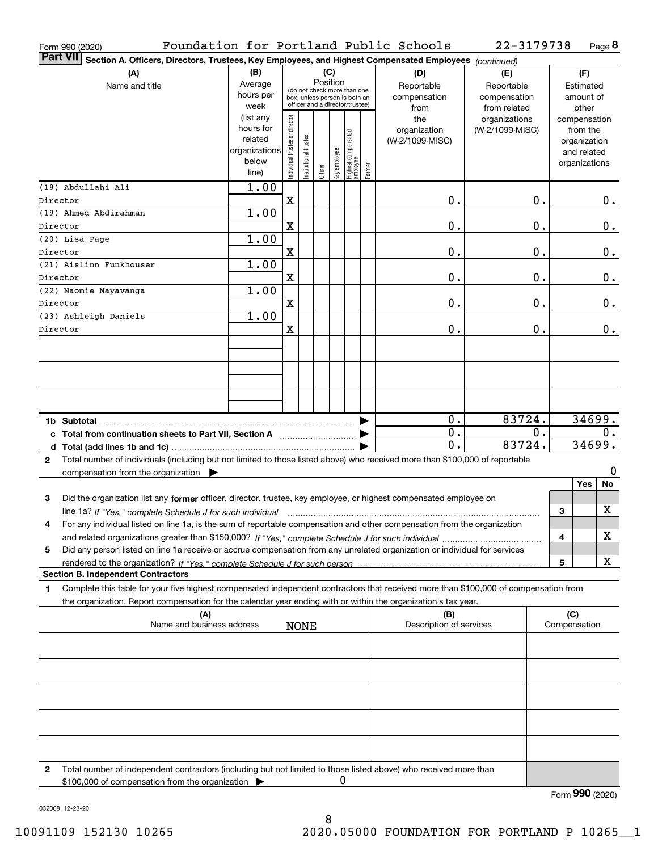| Form 990 (2020)                                                                                                                              |               |                                |                      |          |              |                                                              |        | Foundation for Portland Public Schools | 22-3179738      |    |              |               | Page 8 |
|----------------------------------------------------------------------------------------------------------------------------------------------|---------------|--------------------------------|----------------------|----------|--------------|--------------------------------------------------------------|--------|----------------------------------------|-----------------|----|--------------|---------------|--------|
| <b>Part VII</b><br>Section A. Officers, Directors, Trustees, Key Employees, and Highest Compensated Employees (continued)                    |               |                                |                      |          |              |                                                              |        |                                        |                 |    |              |               |        |
| (A)                                                                                                                                          | (B)           |                                |                      | (C)      |              |                                                              |        | (D)                                    | (E)             |    |              | (F)           |        |
| Name and title                                                                                                                               | Average       |                                |                      | Position |              |                                                              |        | Reportable                             | Reportable      |    |              | Estimated     |        |
|                                                                                                                                              | hours per     |                                |                      |          |              | (do not check more than one<br>box, unless person is both an |        | compensation                           | compensation    |    |              | amount of     |        |
|                                                                                                                                              | week          |                                |                      |          |              | officer and a director/trustee)                              |        | from                                   | from related    |    |              | other         |        |
|                                                                                                                                              | (list any     |                                |                      |          |              |                                                              |        | the                                    | organizations   |    |              | compensation  |        |
|                                                                                                                                              | hours for     |                                |                      |          |              |                                                              |        | organization                           | (W-2/1099-MISC) |    |              | from the      |        |
|                                                                                                                                              | related       |                                |                      |          |              |                                                              |        | (W-2/1099-MISC)                        |                 |    |              | organization  |        |
|                                                                                                                                              | organizations |                                |                      |          |              |                                                              |        |                                        |                 |    |              | and related   |        |
|                                                                                                                                              | below         |                                |                      |          |              |                                                              |        |                                        |                 |    |              | organizations |        |
|                                                                                                                                              | line)         | Individual trustee or director | nstitutional trustee | Officer  | Key employee | Highest compensated<br> employee                             | Former |                                        |                 |    |              |               |        |
| (18) Abdullahi Ali                                                                                                                           | 1.00          |                                |                      |          |              |                                                              |        |                                        |                 |    |              |               |        |
| Director                                                                                                                                     |               | X                              |                      |          |              |                                                              |        | 0.                                     |                 | 0. |              |               | 0.     |
|                                                                                                                                              |               |                                |                      |          |              |                                                              |        |                                        |                 |    |              |               |        |
| (19) Ahmed Abdirahman                                                                                                                        | 1.00          |                                |                      |          |              |                                                              |        |                                        |                 |    |              |               |        |
| Director                                                                                                                                     |               | Χ                              |                      |          |              |                                                              |        | 0.                                     |                 | 0. |              |               | 0.     |
| (20) Lisa Page                                                                                                                               | 1.00          |                                |                      |          |              |                                                              |        |                                        |                 |    |              |               |        |
| Director                                                                                                                                     |               | X                              |                      |          |              |                                                              |        | 0.                                     |                 | 0. |              |               | 0.     |
| (21) Aislinn Funkhouser                                                                                                                      | 1.00          |                                |                      |          |              |                                                              |        |                                        |                 |    |              |               |        |
| Director                                                                                                                                     |               | X                              |                      |          |              |                                                              |        | 0.                                     |                 | 0. |              |               | 0.     |
| (22) Naomie Mayavanga                                                                                                                        | 1.00          |                                |                      |          |              |                                                              |        |                                        |                 |    |              |               |        |
| Director                                                                                                                                     |               | X                              |                      |          |              |                                                              |        | 0.                                     |                 | 0. |              |               | 0.     |
| (23) Ashleigh Daniels                                                                                                                        | 1.00          |                                |                      |          |              |                                                              |        |                                        |                 |    |              |               |        |
|                                                                                                                                              |               |                                |                      |          |              |                                                              |        |                                        |                 |    |              |               |        |
| Director                                                                                                                                     |               | X                              |                      |          |              |                                                              |        | 0.                                     |                 | 0. |              |               | 0.     |
|                                                                                                                                              |               |                                |                      |          |              |                                                              |        |                                        |                 |    |              |               |        |
|                                                                                                                                              |               |                                |                      |          |              |                                                              |        |                                        |                 |    |              |               |        |
|                                                                                                                                              |               |                                |                      |          |              |                                                              |        |                                        |                 |    |              |               |        |
|                                                                                                                                              |               |                                |                      |          |              |                                                              |        |                                        |                 |    |              |               |        |
|                                                                                                                                              |               |                                |                      |          |              |                                                              |        |                                        |                 |    |              |               |        |
|                                                                                                                                              |               |                                |                      |          |              |                                                              |        |                                        |                 |    |              |               |        |
|                                                                                                                                              |               |                                |                      |          |              |                                                              |        | 0.                                     | 83724.          |    |              |               | 34699. |
|                                                                                                                                              |               |                                |                      |          |              |                                                              |        | 0.                                     |                 | 0. |              |               | 0.     |
| c Total from continuation sheets to Part VII, Section A                                                                                      |               |                                |                      |          |              |                                                              |        | 0.                                     | 83724.          |    |              |               | 34699. |
|                                                                                                                                              |               |                                |                      |          |              |                                                              |        |                                        |                 |    |              |               |        |
| Total number of individuals (including but not limited to those listed above) who received more than \$100,000 of reportable<br>$\mathbf{2}$ |               |                                |                      |          |              |                                                              |        |                                        |                 |    |              |               |        |
| compensation from the organization $\blacktriangleright$                                                                                     |               |                                |                      |          |              |                                                              |        |                                        |                 |    |              |               | 0      |
|                                                                                                                                              |               |                                |                      |          |              |                                                              |        |                                        |                 |    |              | Yes           | No     |
| 3<br>Did the organization list any former officer, director, trustee, key employee, or highest compensated employee on                       |               |                                |                      |          |              |                                                              |        |                                        |                 |    |              |               |        |
| line 1a? If "Yes," complete Schedule J for such individual manufactured contained and the Ves," complete Schedule J for such individual      |               |                                |                      |          |              |                                                              |        |                                        |                 |    | З            |               | X      |
| For any individual listed on line 1a, is the sum of reportable compensation and other compensation from the organization                     |               |                                |                      |          |              |                                                              |        |                                        |                 |    |              |               |        |
|                                                                                                                                              |               |                                |                      |          |              |                                                              |        |                                        |                 |    | 4            |               | х      |
| Did any person listed on line 1a receive or accrue compensation from any unrelated organization or individual for services<br>5              |               |                                |                      |          |              |                                                              |        |                                        |                 |    |              |               |        |
|                                                                                                                                              |               |                                |                      |          |              |                                                              |        |                                        |                 |    |              |               | x      |
| rendered to the organization? If "Yes." complete Schedule J for such person.                                                                 |               |                                |                      |          |              |                                                              |        |                                        |                 |    | 5            |               |        |
| <b>Section B. Independent Contractors</b>                                                                                                    |               |                                |                      |          |              |                                                              |        |                                        |                 |    |              |               |        |
| Complete this table for your five highest compensated independent contractors that received more than \$100,000 of compensation from<br>1.   |               |                                |                      |          |              |                                                              |        |                                        |                 |    |              |               |        |
| the organization. Report compensation for the calendar year ending with or within the organization's tax year.                               |               |                                |                      |          |              |                                                              |        |                                        |                 |    |              |               |        |
| (A)                                                                                                                                          |               |                                |                      |          |              |                                                              |        | (B)                                    |                 |    | (C)          |               |        |
| Name and business address                                                                                                                    |               |                                | <b>NONE</b>          |          |              |                                                              |        | Description of services                |                 |    | Compensation |               |        |
|                                                                                                                                              |               |                                |                      |          |              |                                                              |        |                                        |                 |    |              |               |        |
|                                                                                                                                              |               |                                |                      |          |              |                                                              |        |                                        |                 |    |              |               |        |
|                                                                                                                                              |               |                                |                      |          |              |                                                              |        |                                        |                 |    |              |               |        |
|                                                                                                                                              |               |                                |                      |          |              |                                                              |        |                                        |                 |    |              |               |        |
|                                                                                                                                              |               |                                |                      |          |              |                                                              |        |                                        |                 |    |              |               |        |
|                                                                                                                                              |               |                                |                      |          |              |                                                              |        |                                        |                 |    |              |               |        |
|                                                                                                                                              |               |                                |                      |          |              |                                                              |        |                                        |                 |    |              |               |        |
|                                                                                                                                              |               |                                |                      |          |              |                                                              |        |                                        |                 |    |              |               |        |
|                                                                                                                                              |               |                                |                      |          |              |                                                              |        |                                        |                 |    |              |               |        |
|                                                                                                                                              |               |                                |                      |          |              |                                                              |        |                                        |                 |    |              |               |        |
|                                                                                                                                              |               |                                |                      |          |              |                                                              |        |                                        |                 |    |              |               |        |
| Total number of independent contractors (including but not limited to those listed above) who received more than<br>2                        |               |                                |                      |          |              |                                                              |        |                                        |                 |    |              |               |        |
| \$100,000 of compensation from the organization                                                                                              |               |                                |                      |          | U            |                                                              |        |                                        |                 |    |              |               |        |

Form (2020) **990**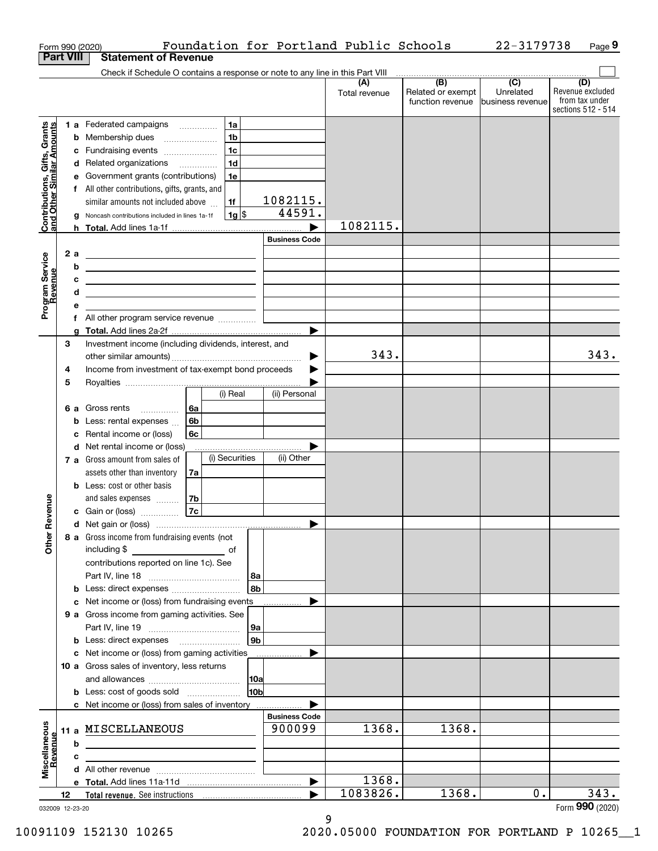|                                                           |                  |     | Foundation for Portland Public Schools<br>Form 990 (2020)                                                                                                                                                                      |                      |               |                                       | 22-3179738                    | Page 9                                    |
|-----------------------------------------------------------|------------------|-----|--------------------------------------------------------------------------------------------------------------------------------------------------------------------------------------------------------------------------------|----------------------|---------------|---------------------------------------|-------------------------------|-------------------------------------------|
|                                                           | <b>Part VIII</b> |     | <b>Statement of Revenue</b>                                                                                                                                                                                                    |                      |               |                                       |                               |                                           |
|                                                           |                  |     | Check if Schedule O contains a response or note to any line in this Part VIII                                                                                                                                                  |                      |               | (B)                                   | $\overline{(C)}$              |                                           |
|                                                           |                  |     |                                                                                                                                                                                                                                |                      | Total revenue | Related or exempt<br>function revenue | Unrelated<br>business revenue | (D)<br>Revenue excluded<br>from tax under |
|                                                           |                  |     |                                                                                                                                                                                                                                |                      |               |                                       |                               | sections 512 - 514                        |
| Contributions, Gifts, Grants<br>and Other Similar Amounts |                  |     | 1a<br>1 a Federated campaigns                                                                                                                                                                                                  |                      |               |                                       |                               |                                           |
|                                                           |                  |     | 1 <sub>b</sub><br><b>b</b> Membership dues<br>$\ldots \ldots \ldots \ldots \ldots$                                                                                                                                             |                      |               |                                       |                               |                                           |
|                                                           |                  |     | 1 <sub>c</sub><br>c Fundraising events<br>1 <sub>d</sub>                                                                                                                                                                       |                      |               |                                       |                               |                                           |
|                                                           |                  |     | d Related organizations<br>e Government grants (contributions)<br>1e                                                                                                                                                           |                      |               |                                       |                               |                                           |
|                                                           |                  |     | f All other contributions, gifts, grants, and                                                                                                                                                                                  |                      |               |                                       |                               |                                           |
|                                                           |                  |     | similar amounts not included above<br>1f                                                                                                                                                                                       | 1082115.             |               |                                       |                               |                                           |
|                                                           |                  |     | $1g$ \$<br>g Noncash contributions included in lines 1a-1f                                                                                                                                                                     | 44591.               |               |                                       |                               |                                           |
|                                                           |                  |     |                                                                                                                                                                                                                                |                      | 1082115.      |                                       |                               |                                           |
|                                                           |                  |     |                                                                                                                                                                                                                                | <b>Business Code</b> |               |                                       |                               |                                           |
|                                                           |                  | 2 a |                                                                                                                                                                                                                                |                      |               |                                       |                               |                                           |
| Program Service<br>Revenue                                |                  | b   | <u> 1989 - Johann Barbara, martin amerikan basar dan berasal dalam basa dalam basar dalam basar dalam basar dala</u>                                                                                                           |                      |               |                                       |                               |                                           |
|                                                           |                  | c   | <u> 1989 - Johann Barbara, martin amerikan basar dan berasal dalam pengaran basar dalam pengaran basar dalam pen</u>                                                                                                           |                      |               |                                       |                               |                                           |
|                                                           |                  | d   | <u> 1989 - Johann Barn, mars ann an t-Amhain ann an t-Amhain an t-Amhain an t-Amhain an t-Amhain an t-Amhain an t-</u>                                                                                                         |                      |               |                                       |                               |                                           |
|                                                           |                  | е   |                                                                                                                                                                                                                                |                      |               |                                       |                               |                                           |
|                                                           |                  |     |                                                                                                                                                                                                                                |                      |               |                                       |                               |                                           |
|                                                           |                  |     |                                                                                                                                                                                                                                |                      |               |                                       |                               |                                           |
|                                                           | З                |     | Investment income (including dividends, interest, and                                                                                                                                                                          |                      |               |                                       |                               |                                           |
|                                                           |                  |     |                                                                                                                                                                                                                                | ▶                    | 343.          |                                       |                               | 343.                                      |
|                                                           | 4                |     | Income from investment of tax-exempt bond proceeds                                                                                                                                                                             |                      |               |                                       |                               |                                           |
|                                                           | 5                |     | (i) Real                                                                                                                                                                                                                       | (ii) Personal        |               |                                       |                               |                                           |
|                                                           |                  |     | <b>6 a</b> Gross rents<br>6a                                                                                                                                                                                                   |                      |               |                                       |                               |                                           |
|                                                           |                  | b   | 6b<br>Less: rental expenses                                                                                                                                                                                                    |                      |               |                                       |                               |                                           |
|                                                           |                  | с   | 6с<br>Rental income or (loss)                                                                                                                                                                                                  |                      |               |                                       |                               |                                           |
|                                                           |                  |     | d Net rental income or (loss)                                                                                                                                                                                                  |                      |               |                                       |                               |                                           |
|                                                           |                  |     | (i) Securities<br>7 a Gross amount from sales of                                                                                                                                                                               | (ii) Other           |               |                                       |                               |                                           |
|                                                           |                  |     | assets other than inventory<br>7a                                                                                                                                                                                              |                      |               |                                       |                               |                                           |
|                                                           |                  |     | <b>b</b> Less: cost or other basis                                                                                                                                                                                             |                      |               |                                       |                               |                                           |
|                                                           |                  |     | and sales expenses<br>7b                                                                                                                                                                                                       |                      |               |                                       |                               |                                           |
| anueve                                                    |                  |     | 7c<br>c Gain or (loss)                                                                                                                                                                                                         |                      |               |                                       |                               |                                           |
|                                                           |                  |     |                                                                                                                                                                                                                                |                      |               |                                       |                               |                                           |
| Other R                                                   |                  |     | 8 a Gross income from fundraising events (not                                                                                                                                                                                  |                      |               |                                       |                               |                                           |
|                                                           |                  |     | including \$<br>of                                                                                                                                                                                                             |                      |               |                                       |                               |                                           |
|                                                           |                  |     | contributions reported on line 1c). See                                                                                                                                                                                        |                      |               |                                       |                               |                                           |
|                                                           |                  |     | 8a                                                                                                                                                                                                                             |                      |               |                                       |                               |                                           |
|                                                           |                  |     | 8b                                                                                                                                                                                                                             |                      |               |                                       |                               |                                           |
|                                                           |                  |     | c Net income or (loss) from fundraising events                                                                                                                                                                                 |                      |               |                                       |                               |                                           |
|                                                           |                  |     | 9 a Gross income from gaming activities. See                                                                                                                                                                                   |                      |               |                                       |                               |                                           |
|                                                           |                  |     | 9a<br>9 <sub>b</sub>                                                                                                                                                                                                           |                      |               |                                       |                               |                                           |
|                                                           |                  |     | c Net income or (loss) from gaming activities                                                                                                                                                                                  |                      |               |                                       |                               |                                           |
|                                                           |                  |     | 10 a Gross sales of inventory, less returns                                                                                                                                                                                    |                      |               |                                       |                               |                                           |
|                                                           |                  |     | 10a                                                                                                                                                                                                                            |                      |               |                                       |                               |                                           |
|                                                           |                  |     | 10 <sub>b</sub>                                                                                                                                                                                                                |                      |               |                                       |                               |                                           |
|                                                           |                  |     | c Net income or (loss) from sales of inventory                                                                                                                                                                                 |                      |               |                                       |                               |                                           |
|                                                           |                  |     |                                                                                                                                                                                                                                | <b>Business Code</b> |               |                                       |                               |                                           |
|                                                           |                  |     | 11 a MISCELLANEOUS                                                                                                                                                                                                             | 900099               | 1368.         | 1368.                                 |                               |                                           |
|                                                           |                  | b   |                                                                                                                                                                                                                                |                      |               |                                       |                               |                                           |
|                                                           |                  | c   |                                                                                                                                                                                                                                |                      |               |                                       |                               |                                           |
| Miscellaneous<br>Revenue                                  |                  |     |                                                                                                                                                                                                                                |                      |               |                                       |                               |                                           |
|                                                           |                  |     |                                                                                                                                                                                                                                | ▶                    | 1368.         |                                       |                               |                                           |
|                                                           | 12               |     | Total revenue. See instructions [100] [100] [100] [100] [100] [100] [100] [100] [100] [100] [100] [100] [100] [100] [100] [100] [100] [100] [100] [100] [100] [100] [100] [100] [100] [100] [100] [100] [100] [100] [100] [100 |                      | 1083826.      | 1368.                                 | 0.                            | 343.                                      |
| 032009 12-23-20                                           |                  |     |                                                                                                                                                                                                                                |                      |               |                                       |                               | Form 990 (2020)                           |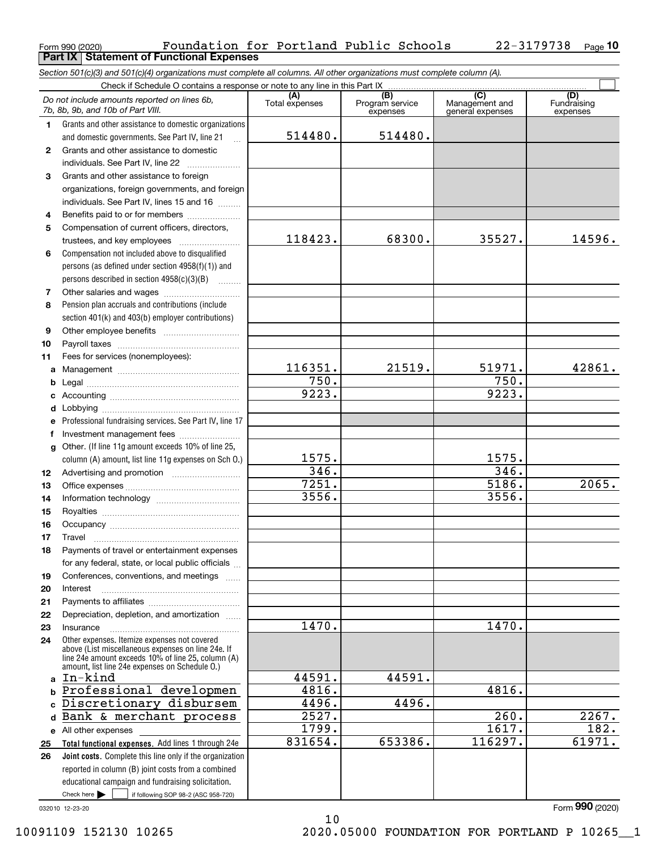| Form 990 (2020) | Foundation for Portland Public Schools            |  |  | $22 - 3179738$ Page 10 |  |
|-----------------|---------------------------------------------------|--|--|------------------------|--|
|                 | <b>Part IX   Statement of Functional Expenses</b> |  |  |                        |  |
|                 |                                                   |  |  |                        |  |

*Section 501(c)(3) and 501(c)(4) organizations must complete all columns. All other organizations must complete column (A).*

|              | Do not include amounts reported on lines 6b,<br>7b, 8b, 9b, and 10b of Part VIII.                        | (A)<br>Total expenses | (B)<br>Program service<br>expenses | $\overline{C}$<br>Management and<br>general expenses | (D)<br>Fundraising<br>expenses |
|--------------|----------------------------------------------------------------------------------------------------------|-----------------------|------------------------------------|------------------------------------------------------|--------------------------------|
| 1.           | Grants and other assistance to domestic organizations                                                    |                       |                                    |                                                      |                                |
|              | and domestic governments. See Part IV, line 21                                                           | 514480.               | 514480.                            |                                                      |                                |
| $\mathbf{2}$ | Grants and other assistance to domestic                                                                  |                       |                                    |                                                      |                                |
|              | individuals. See Part IV, line 22                                                                        |                       |                                    |                                                      |                                |
| 3            | Grants and other assistance to foreign                                                                   |                       |                                    |                                                      |                                |
|              | organizations, foreign governments, and foreign                                                          |                       |                                    |                                                      |                                |
|              | individuals. See Part IV, lines 15 and 16                                                                |                       |                                    |                                                      |                                |
| 4            | Benefits paid to or for members                                                                          |                       |                                    |                                                      |                                |
| 5            | Compensation of current officers, directors,                                                             |                       |                                    |                                                      |                                |
|              | trustees, and key employees                                                                              | 118423.               | 68300.                             | 35527.                                               | 14596.                         |
| 6            | Compensation not included above to disqualified                                                          |                       |                                    |                                                      |                                |
|              | persons (as defined under section 4958(f)(1)) and                                                        |                       |                                    |                                                      |                                |
|              | persons described in section 4958(c)(3)(B)                                                               |                       |                                    |                                                      |                                |
| 7            |                                                                                                          |                       |                                    |                                                      |                                |
| 8            | Pension plan accruals and contributions (include                                                         |                       |                                    |                                                      |                                |
|              | section 401(k) and 403(b) employer contributions)                                                        |                       |                                    |                                                      |                                |
| 9            |                                                                                                          |                       |                                    |                                                      |                                |
| 10           |                                                                                                          |                       |                                    |                                                      |                                |
| 11           | Fees for services (nonemployees):                                                                        |                       |                                    |                                                      |                                |
| a            |                                                                                                          | 116351.               | 21519.                             | 51971.                                               | 42861.                         |
| b            |                                                                                                          | 750.                  |                                    | 750.                                                 |                                |
| c            |                                                                                                          | 9223.                 |                                    | 9223.                                                |                                |
| d            |                                                                                                          |                       |                                    |                                                      |                                |
| e            | Professional fundraising services. See Part IV, line 17                                                  |                       |                                    |                                                      |                                |
| f            | Investment management fees                                                                               |                       |                                    |                                                      |                                |
| $\mathbf{q}$ | Other. (If line 11g amount exceeds 10% of line 25,                                                       |                       |                                    |                                                      |                                |
|              | column (A) amount, list line 11g expenses on Sch O.)                                                     | 1575.                 |                                    | 1575.                                                |                                |
| 12           |                                                                                                          | 346.                  |                                    | 346.                                                 |                                |
| 13           |                                                                                                          | 7251.                 |                                    | 5186.                                                | 2065.                          |
| 14           |                                                                                                          | 3556.                 |                                    | 3556.                                                |                                |
| 15           |                                                                                                          |                       |                                    |                                                      |                                |
| 16           |                                                                                                          |                       |                                    |                                                      |                                |
| 17           | Travel                                                                                                   |                       |                                    |                                                      |                                |
| 18           | Payments of travel or entertainment expenses                                                             |                       |                                    |                                                      |                                |
|              | for any federal, state, or local public officials                                                        |                       |                                    |                                                      |                                |
| 19           | Conferences, conventions, and meetings                                                                   |                       |                                    |                                                      |                                |
| 20           | Interest                                                                                                 |                       |                                    |                                                      |                                |
| 21<br>22     | Depreciation, depletion, and amortization                                                                |                       |                                    |                                                      |                                |
| 23           | Insurance                                                                                                | 1470.                 |                                    | 1470.                                                |                                |
| 24           | Other expenses. Itemize expenses not covered                                                             |                       |                                    |                                                      |                                |
|              | above (List miscellaneous expenses on line 24e. If<br>line 24e amount exceeds 10% of line 25, column (A) |                       |                                    |                                                      |                                |
|              | amount, list line 24e expenses on Schedule 0.)                                                           |                       |                                    |                                                      |                                |
| $\mathbf{a}$ | In-kind                                                                                                  | 44591.                | 44591.                             |                                                      |                                |
|              | b Professional developmen                                                                                | 4816.                 |                                    | 4816.                                                |                                |
|              | c Discretionary disbursem                                                                                | 4496.                 | 4496.                              |                                                      |                                |
| d            | Bank & merchant process                                                                                  | 2527.                 |                                    | $\overline{260}$ .                                   | 2267.                          |
|              | e All other expenses                                                                                     | 1799.                 |                                    | 1617.                                                | 182.                           |
| 25           | Total functional expenses. Add lines 1 through 24e                                                       | 831654.               | 653386.                            | 116297.                                              | 61971.                         |
| 26           | Joint costs. Complete this line only if the organization                                                 |                       |                                    |                                                      |                                |
|              | reported in column (B) joint costs from a combined                                                       |                       |                                    |                                                      |                                |
|              | educational campaign and fundraising solicitation.                                                       |                       |                                    |                                                      |                                |
|              | Check here $\blacktriangleright$<br>if following SOP 98-2 (ASC 958-720)                                  |                       |                                    |                                                      |                                |

10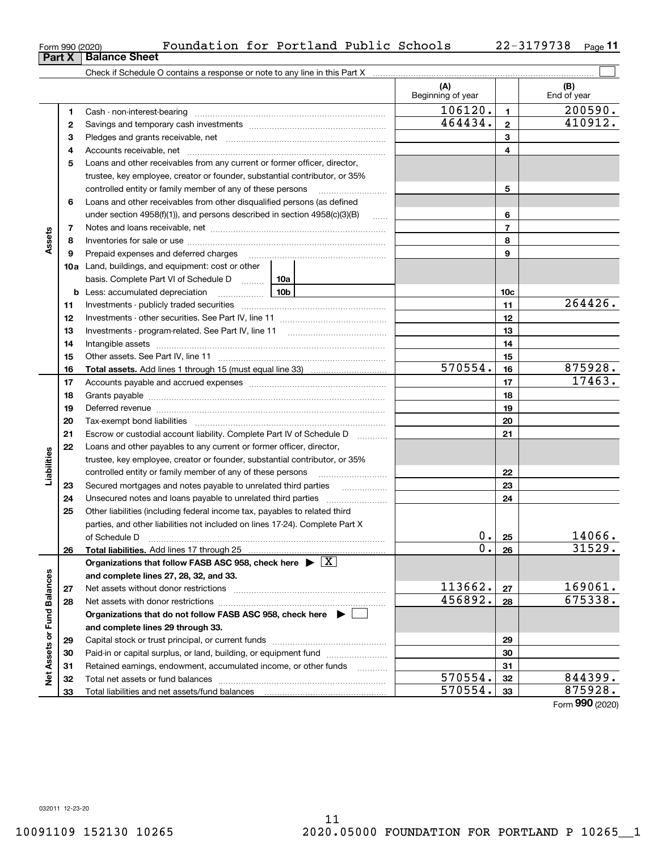11 10091109 152130 10265 2020.05000 FOUNDATION FOR PORTLAND P 10265\_\_1

|                             | 5  | Loans and other receivables from any current or former officer, director,                                            |     |                    |                 |                 |
|-----------------------------|----|----------------------------------------------------------------------------------------------------------------------|-----|--------------------|-----------------|-----------------|
|                             |    | trustee, key employee, creator or founder, substantial contributor, or 35%                                           |     |                    |                 |                 |
|                             |    | controlled entity or family member of any of these persons                                                           |     |                    | 5               |                 |
|                             | 6  | Loans and other receivables from other disqualified persons (as defined                                              |     |                    |                 |                 |
|                             |    | under section $4958(f)(1)$ , and persons described in section $4958(c)(3)(B)$                                        |     | $\ldots$           | 6               |                 |
|                             | 7  |                                                                                                                      |     |                    | $\overline{7}$  |                 |
| Assets                      | 8  |                                                                                                                      |     |                    | 8               |                 |
|                             | 9  | Prepaid expenses and deferred charges                                                                                |     |                    | 9               |                 |
|                             |    | <b>10a</b> Land, buildings, and equipment: cost or other                                                             |     |                    |                 |                 |
|                             |    | basis. Complete Part VI of Schedule D                                                                                | 10a |                    |                 |                 |
|                             | b  | Less: accumulated depreciation                                                                                       | 10b |                    | 10 <sub>c</sub> |                 |
|                             | 11 |                                                                                                                      |     |                    | 11              | 264426.         |
|                             | 12 |                                                                                                                      |     |                    | 12              |                 |
|                             | 13 |                                                                                                                      |     |                    | 13              |                 |
|                             | 14 |                                                                                                                      |     |                    | 14              |                 |
|                             | 15 |                                                                                                                      |     |                    | 15              |                 |
|                             | 16 | <b>Total assets.</b> Add lines 1 through 15 (must equal line 33) <i></i>                                             |     | 570554.            | 16              | 875928.         |
|                             | 17 |                                                                                                                      |     |                    | 17              | 17463.          |
|                             | 18 |                                                                                                                      |     |                    | 18              |                 |
|                             | 19 |                                                                                                                      |     |                    | 19              |                 |
|                             | 20 |                                                                                                                      |     |                    | 20              |                 |
|                             | 21 | Escrow or custodial account liability. Complete Part IV of Schedule D                                                |     |                    | 21              |                 |
|                             | 22 | Loans and other payables to any current or former officer, director,                                                 |     |                    |                 |                 |
| Liabilities                 |    | trustee, key employee, creator or founder, substantial contributor, or 35%                                           |     |                    |                 |                 |
|                             |    | controlled entity or family member of any of these persons                                                           |     |                    | 22              |                 |
|                             | 23 | Secured mortgages and notes payable to unrelated third parties                                                       |     |                    | 23              |                 |
|                             | 24 |                                                                                                                      |     |                    | 24              |                 |
|                             | 25 | Other liabilities (including federal income tax, payables to related third                                           |     |                    |                 |                 |
|                             |    | parties, and other liabilities not included on lines 17-24). Complete Part X                                         |     |                    |                 |                 |
|                             |    | of Schedule D                                                                                                        |     | $0$ .              | 25              | 14066.          |
|                             | 26 |                                                                                                                      |     | 0.                 | 26              | 31529.          |
|                             |    | Organizations that follow FASB ASC 958, check here $\triangleright \lfloor X \rfloor$                                |     |                    |                 |                 |
|                             |    | and complete lines 27, 28, 32, and 33.                                                                               |     |                    |                 |                 |
|                             | 27 | Net assets without donor restrictions [11] Net assets without donor restrictions [11] Metassacream and Metass        |     | 113662.            | 27              | 169061.         |
|                             | 28 |                                                                                                                      |     | 456892.            | 28              | 675338.         |
|                             |    | Organizations that do not follow FASB ASC 958, check here $\blacktriangleright \begin{array}{c} \square \end{array}$ |     |                    |                 |                 |
|                             |    | and complete lines 29 through 33.                                                                                    |     |                    |                 |                 |
|                             | 29 |                                                                                                                      |     |                    | 29              |                 |
| Net Assets or Fund Balances | 30 | Paid-in or capital surplus, or land, building, or equipment fund                                                     |     | 30                 |                 |                 |
|                             | 31 | Retained earnings, endowment, accumulated income, or other funds                                                     |     | 31                 |                 |                 |
|                             | 32 |                                                                                                                      |     | 570554.<br>570554. | 32              | 844399.         |
|                             | 33 | Total liabilities and net assets/fund balances                                                                       |     |                    | 33              | 875928.         |
|                             |    |                                                                                                                      |     |                    |                 | Form 990 (2020) |

Form 990 (2020) Foundation for Portland Public Schools 22-3179738 <sub>Page</sub>

**3** Pledges and grants receivable, net  $\ldots$  **multimes contained and grants receivable**, net **multimes contained and grants receivable**, net **multimes contained and grants receivable 4**Accounts receivable, net ~~~~~~~~~~~~~~~~~~~~~~~~~~

Cash - non-interest-bearing ~~~~~~~~~~~~~~~~~~~~~~~~~ Savings and temporary cash investments ~~~~~~~~~~~~~~~~~~

Check if Schedule O contains a response or note to any line in this Part X

**11**

(B)<br>End of year

 $\mathcal{L}^{\text{max}}$ 

**(A) (B)**

Beginning of year | | End of year

 $106120.$  1 200590.

464434. 410912.

| Form 990 (2020)               |  |  |
|-------------------------------|--|--|
| <b>Part X   Balance Sheet</b> |  |  |

**12**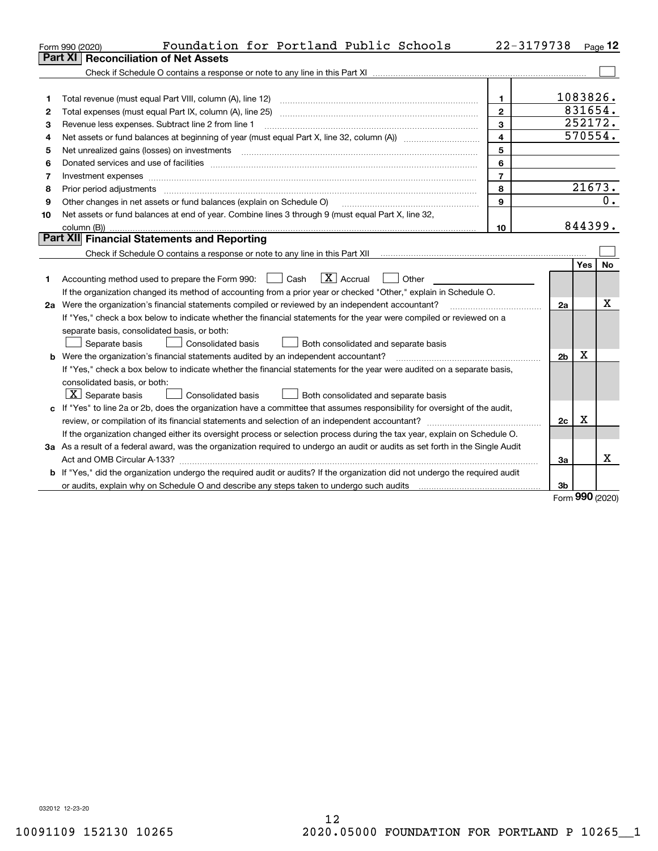|    | Foundation for Portland Public Schools<br>Form 990 (2020)                                                                                                                                                                      | 22-3179738     |                |            | Page $12$ |
|----|--------------------------------------------------------------------------------------------------------------------------------------------------------------------------------------------------------------------------------|----------------|----------------|------------|-----------|
|    | <b>Reconciliation of Net Assets</b><br>Part XI                                                                                                                                                                                 |                |                |            |           |
|    |                                                                                                                                                                                                                                |                |                |            |           |
|    |                                                                                                                                                                                                                                |                |                |            |           |
| 1  | Total revenue (must equal Part VIII, column (A), line 12)                                                                                                                                                                      | 1              |                | 1083826.   |           |
| 2  |                                                                                                                                                                                                                                | $\mathbf{2}$   |                | 831654.    |           |
| з  | Revenue less expenses. Subtract line 2 from line 1                                                                                                                                                                             | 3              |                | 252172.    |           |
| 4  |                                                                                                                                                                                                                                | 4              |                | 570554.    |           |
| 5  |                                                                                                                                                                                                                                | 5              |                |            |           |
| 6  | Donated services and use of facilities [111] Donated and the service of facilities [11] Donated services and use of facilities [11] Donated and the service of the service of the service of the service of the service of the | 6              |                |            |           |
| 7  | Investment expenses www.communication.com/www.communication.com/www.communication.com/www.communication.com                                                                                                                    | $\overline{7}$ |                |            |           |
| 8  | Prior period adjustments                                                                                                                                                                                                       | 8              |                | 21673.     |           |
| 9  | Other changes in net assets or fund balances (explain on Schedule O)                                                                                                                                                           | $\mathbf{Q}$   |                |            | 0.        |
| 10 | Net assets or fund balances at end of year. Combine lines 3 through 9 (must equal Part X, line 32,                                                                                                                             |                |                |            |           |
|    | column (B))                                                                                                                                                                                                                    | 10             |                | 844399.    |           |
|    | Part XII Financial Statements and Reporting                                                                                                                                                                                    |                |                |            |           |
|    |                                                                                                                                                                                                                                |                |                |            |           |
|    |                                                                                                                                                                                                                                |                |                | <b>Yes</b> | <b>No</b> |
| 1  | $\boxed{\mathbf{X}}$ Accrual<br>Accounting method used to prepare the Form 990: <u>June</u> Cash<br>Other                                                                                                                      |                |                |            |           |
|    | If the organization changed its method of accounting from a prior year or checked "Other," explain in Schedule O.                                                                                                              |                |                |            |           |
|    | 2a Were the organization's financial statements compiled or reviewed by an independent accountant?                                                                                                                             |                | 2a             |            | х         |
|    | If "Yes," check a box below to indicate whether the financial statements for the year were compiled or reviewed on a                                                                                                           |                |                |            |           |
|    | separate basis, consolidated basis, or both:                                                                                                                                                                                   |                |                |            |           |
|    | Separate basis<br><b>Consolidated basis</b><br>Both consolidated and separate basis                                                                                                                                            |                |                |            |           |
|    | <b>b</b> Were the organization's financial statements audited by an independent accountant?                                                                                                                                    |                | 2 <sub>b</sub> | Χ          |           |
|    | If "Yes," check a box below to indicate whether the financial statements for the year were audited on a separate basis,                                                                                                        |                |                |            |           |
|    | consolidated basis, or both:                                                                                                                                                                                                   |                |                |            |           |
|    | $\vert X \vert$ Separate basis<br>Consolidated basis<br>Both consolidated and separate basis                                                                                                                                   |                |                |            |           |
|    | c If "Yes" to line 2a or 2b, does the organization have a committee that assumes responsibility for oversight of the audit,                                                                                                    |                |                |            |           |
|    |                                                                                                                                                                                                                                |                | 2c             | х          |           |
|    | If the organization changed either its oversight process or selection process during the tax year, explain on Schedule O.                                                                                                      |                |                |            |           |
|    | 3a As a result of a federal award, was the organization required to undergo an audit or audits as set forth in the Single Audit                                                                                                |                |                |            |           |
|    |                                                                                                                                                                                                                                |                | За             |            | X         |
|    | b If "Yes," did the organization undergo the required audit or audits? If the organization did not undergo the required audit                                                                                                  |                |                |            |           |
|    |                                                                                                                                                                                                                                |                | 3b             | <u>nnn</u> |           |

Form (2020) **990**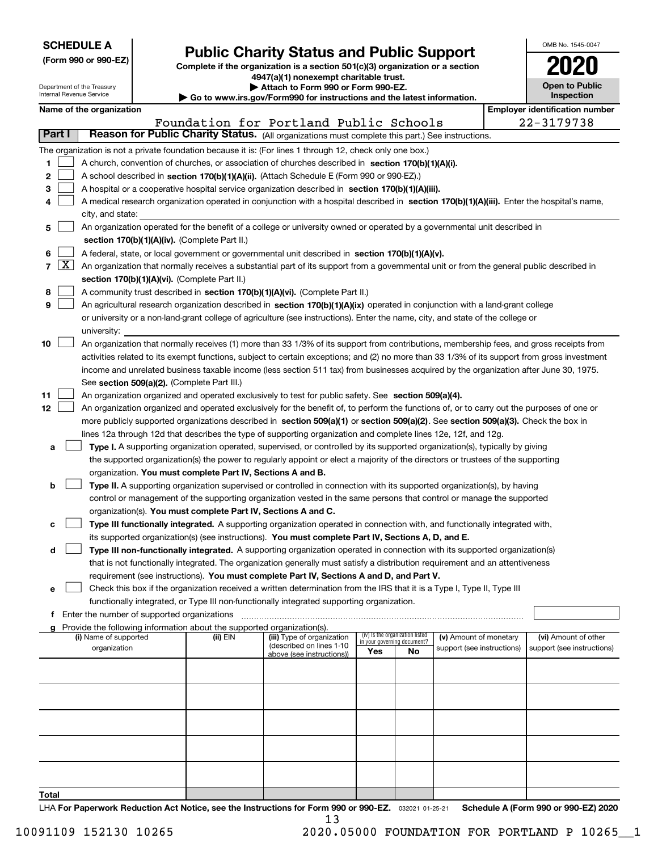Department of the Treasury Internal Revenue Service

|  | (Form 990 or 990-EZ) |  |  |  |  |
|--|----------------------|--|--|--|--|
|--|----------------------|--|--|--|--|

# **Public Charity Status and Public Support**

**Complete if the organization is a section 501(c)(3) organization or a section 4947(a)(1) nonexempt charitable trust. | Attach to Form 990 or Form 990-EZ.** 

|  |  | Go to www.irs.gov/Form990 for instructions and the latest information. |  |  |  |  |
|--|--|------------------------------------------------------------------------|--|--|--|--|
|--|--|------------------------------------------------------------------------|--|--|--|--|

| OMB No. 1545-0047                   |
|-------------------------------------|
| 2020                                |
| <b>Open to Public</b><br>Inspection |

|  |  | Name of the organization |
|--|--|--------------------------|
|  |  |                          |

|        |                                                                                                                           | Name of the organization                                                                                                                                                                                                         |          |                                                       |                             |                                 |                            |  | <b>Employer identification number</b> |  |  |  |
|--------|---------------------------------------------------------------------------------------------------------------------------|----------------------------------------------------------------------------------------------------------------------------------------------------------------------------------------------------------------------------------|----------|-------------------------------------------------------|-----------------------------|---------------------------------|----------------------------|--|---------------------------------------|--|--|--|
|        |                                                                                                                           |                                                                                                                                                                                                                                  |          | Foundation for Portland Public Schools                |                             |                                 |                            |  | 22-3179738                            |  |  |  |
| Part I |                                                                                                                           | Reason for Public Charity Status. (All organizations must complete this part.) See instructions.                                                                                                                                 |          |                                                       |                             |                                 |                            |  |                                       |  |  |  |
|        |                                                                                                                           | The organization is not a private foundation because it is: (For lines 1 through 12, check only one box.)                                                                                                                        |          |                                                       |                             |                                 |                            |  |                                       |  |  |  |
| 1      |                                                                                                                           | A church, convention of churches, or association of churches described in section 170(b)(1)(A)(i).                                                                                                                               |          |                                                       |                             |                                 |                            |  |                                       |  |  |  |
| 2      |                                                                                                                           | A school described in section 170(b)(1)(A)(ii). (Attach Schedule E (Form 990 or 990-EZ).)                                                                                                                                        |          |                                                       |                             |                                 |                            |  |                                       |  |  |  |
| з      |                                                                                                                           | A hospital or a cooperative hospital service organization described in section 170(b)(1)(A)(iii).                                                                                                                                |          |                                                       |                             |                                 |                            |  |                                       |  |  |  |
|        |                                                                                                                           | A medical research organization operated in conjunction with a hospital described in section 170(b)(1)(A)(iii). Enter the hospital's name,                                                                                       |          |                                                       |                             |                                 |                            |  |                                       |  |  |  |
|        | city, and state:                                                                                                          |                                                                                                                                                                                                                                  |          |                                                       |                             |                                 |                            |  |                                       |  |  |  |
| 5.     | An organization operated for the benefit of a college or university owned or operated by a governmental unit described in |                                                                                                                                                                                                                                  |          |                                                       |                             |                                 |                            |  |                                       |  |  |  |
|        |                                                                                                                           | section 170(b)(1)(A)(iv). (Complete Part II.)                                                                                                                                                                                    |          |                                                       |                             |                                 |                            |  |                                       |  |  |  |
| 6      |                                                                                                                           | A federal, state, or local government or governmental unit described in section 170(b)(1)(A)(v).                                                                                                                                 |          |                                                       |                             |                                 |                            |  |                                       |  |  |  |
|        | $7 \times$                                                                                                                | An organization that normally receives a substantial part of its support from a governmental unit or from the general public described in                                                                                        |          |                                                       |                             |                                 |                            |  |                                       |  |  |  |
|        |                                                                                                                           | section 170(b)(1)(A)(vi). (Complete Part II.)                                                                                                                                                                                    |          |                                                       |                             |                                 |                            |  |                                       |  |  |  |
| 8      |                                                                                                                           | A community trust described in section 170(b)(1)(A)(vi). (Complete Part II.)                                                                                                                                                     |          |                                                       |                             |                                 |                            |  |                                       |  |  |  |
| 9      |                                                                                                                           | An agricultural research organization described in section 170(b)(1)(A)(ix) operated in conjunction with a land-grant college                                                                                                    |          |                                                       |                             |                                 |                            |  |                                       |  |  |  |
|        |                                                                                                                           | or university or a non-land-grant college of agriculture (see instructions). Enter the name, city, and state of the college or                                                                                                   |          |                                                       |                             |                                 |                            |  |                                       |  |  |  |
|        |                                                                                                                           | university:                                                                                                                                                                                                                      |          |                                                       |                             |                                 |                            |  |                                       |  |  |  |
| 10     |                                                                                                                           | An organization that normally receives (1) more than 33 1/3% of its support from contributions, membership fees, and gross receipts from                                                                                         |          |                                                       |                             |                                 |                            |  |                                       |  |  |  |
|        |                                                                                                                           | activities related to its exempt functions, subject to certain exceptions; and (2) no more than 33 1/3% of its support from gross investment                                                                                     |          |                                                       |                             |                                 |                            |  |                                       |  |  |  |
|        |                                                                                                                           | income and unrelated business taxable income (less section 511 tax) from businesses acquired by the organization after June 30, 1975.                                                                                            |          |                                                       |                             |                                 |                            |  |                                       |  |  |  |
|        |                                                                                                                           | See section 509(a)(2). (Complete Part III.)                                                                                                                                                                                      |          |                                                       |                             |                                 |                            |  |                                       |  |  |  |
| 11     |                                                                                                                           | An organization organized and operated exclusively to test for public safety. See section 509(a)(4).                                                                                                                             |          |                                                       |                             |                                 |                            |  |                                       |  |  |  |
| 12     |                                                                                                                           | An organization organized and operated exclusively for the benefit of, to perform the functions of, or to carry out the purposes of one or                                                                                       |          |                                                       |                             |                                 |                            |  |                                       |  |  |  |
|        |                                                                                                                           | more publicly supported organizations described in section 509(a)(1) or section 509(a)(2). See section 509(a)(3). Check the box in                                                                                               |          |                                                       |                             |                                 |                            |  |                                       |  |  |  |
|        |                                                                                                                           | lines 12a through 12d that describes the type of supporting organization and complete lines 12e, 12f, and 12g.                                                                                                                   |          |                                                       |                             |                                 |                            |  |                                       |  |  |  |
| а      |                                                                                                                           | Type I. A supporting organization operated, supervised, or controlled by its supported organization(s), typically by giving                                                                                                      |          |                                                       |                             |                                 |                            |  |                                       |  |  |  |
|        |                                                                                                                           | the supported organization(s) the power to regularly appoint or elect a majority of the directors or trustees of the supporting                                                                                                  |          |                                                       |                             |                                 |                            |  |                                       |  |  |  |
|        |                                                                                                                           | organization. You must complete Part IV, Sections A and B.                                                                                                                                                                       |          |                                                       |                             |                                 |                            |  |                                       |  |  |  |
| b      |                                                                                                                           | Type II. A supporting organization supervised or controlled in connection with its supported organization(s), by having                                                                                                          |          |                                                       |                             |                                 |                            |  |                                       |  |  |  |
|        |                                                                                                                           | control or management of the supporting organization vested in the same persons that control or manage the supported                                                                                                             |          |                                                       |                             |                                 |                            |  |                                       |  |  |  |
|        |                                                                                                                           | organization(s). You must complete Part IV, Sections A and C.                                                                                                                                                                    |          |                                                       |                             |                                 |                            |  |                                       |  |  |  |
| с      |                                                                                                                           | Type III functionally integrated. A supporting organization operated in connection with, and functionally integrated with,<br>its supported organization(s) (see instructions). You must complete Part IV, Sections A, D, and E. |          |                                                       |                             |                                 |                            |  |                                       |  |  |  |
| d      |                                                                                                                           | Type III non-functionally integrated. A supporting organization operated in connection with its supported organization(s)                                                                                                        |          |                                                       |                             |                                 |                            |  |                                       |  |  |  |
|        |                                                                                                                           | that is not functionally integrated. The organization generally must satisfy a distribution requirement and an attentiveness                                                                                                     |          |                                                       |                             |                                 |                            |  |                                       |  |  |  |
|        |                                                                                                                           | requirement (see instructions). You must complete Part IV, Sections A and D, and Part V.                                                                                                                                         |          |                                                       |                             |                                 |                            |  |                                       |  |  |  |
| е      |                                                                                                                           | Check this box if the organization received a written determination from the IRS that it is a Type I, Type II, Type III                                                                                                          |          |                                                       |                             |                                 |                            |  |                                       |  |  |  |
|        |                                                                                                                           | functionally integrated, or Type III non-functionally integrated supporting organization.                                                                                                                                        |          |                                                       |                             |                                 |                            |  |                                       |  |  |  |
|        |                                                                                                                           | Enter the number of supported organizations                                                                                                                                                                                      |          |                                                       |                             |                                 |                            |  |                                       |  |  |  |
|        |                                                                                                                           | Provide the following information about the supported organization(s).                                                                                                                                                           |          |                                                       |                             |                                 |                            |  |                                       |  |  |  |
|        |                                                                                                                           | (i) Name of supported                                                                                                                                                                                                            | (ii) EIN | (iii) Type of organization                            | in your governing document? | (iv) Is the organization listed | (v) Amount of monetary     |  | (vi) Amount of other                  |  |  |  |
|        |                                                                                                                           | organization                                                                                                                                                                                                                     |          | (described on lines 1-10<br>above (see instructions)) | Yes                         | No.                             | support (see instructions) |  | support (see instructions)            |  |  |  |
|        |                                                                                                                           |                                                                                                                                                                                                                                  |          |                                                       |                             |                                 |                            |  |                                       |  |  |  |
|        |                                                                                                                           |                                                                                                                                                                                                                                  |          |                                                       |                             |                                 |                            |  |                                       |  |  |  |
|        |                                                                                                                           |                                                                                                                                                                                                                                  |          |                                                       |                             |                                 |                            |  |                                       |  |  |  |
|        |                                                                                                                           |                                                                                                                                                                                                                                  |          |                                                       |                             |                                 |                            |  |                                       |  |  |  |
|        |                                                                                                                           |                                                                                                                                                                                                                                  |          |                                                       |                             |                                 |                            |  |                                       |  |  |  |
|        |                                                                                                                           |                                                                                                                                                                                                                                  |          |                                                       |                             |                                 |                            |  |                                       |  |  |  |
|        |                                                                                                                           |                                                                                                                                                                                                                                  |          |                                                       |                             |                                 |                            |  |                                       |  |  |  |
|        |                                                                                                                           |                                                                                                                                                                                                                                  |          |                                                       |                             |                                 |                            |  |                                       |  |  |  |
|        |                                                                                                                           |                                                                                                                                                                                                                                  |          |                                                       |                             |                                 |                            |  |                                       |  |  |  |
|        |                                                                                                                           |                                                                                                                                                                                                                                  |          |                                                       |                             |                                 |                            |  |                                       |  |  |  |
| Total  |                                                                                                                           |                                                                                                                                                                                                                                  |          |                                                       |                             |                                 |                            |  |                                       |  |  |  |

LHA For Paperwork Reduction Act Notice, see the Instructions for Form 990 or 990-EZ. <sub>032021</sub> o1-25-21 Schedule A (Form 990 or 990-EZ) 2020 13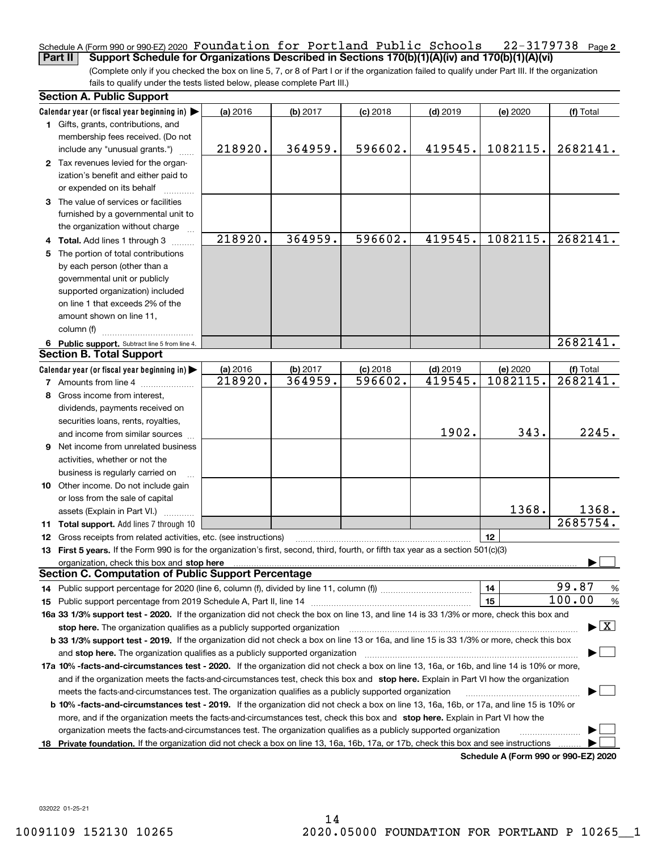#### Schedule A (Form 990 or 990-EZ) 2020  $\,$  **F<code>oundation for Portland Public Schools 22-3179738**  $\,$  **Page 2</code> Part II Support Schedule for Organizations Described in Sections 170(b)(1)(A)(iv) and 170(b)(1)(A)(vi)**

(Complete only if you checked the box on line 5, 7, or 8 of Part I or if the organization failed to qualify under Part III. If the organization fails to qualify under the tests listed below, please complete Part III.)

| <b>Section A. Public Support</b>                                                                                                               |          |          |            |            |                                      |                                          |
|------------------------------------------------------------------------------------------------------------------------------------------------|----------|----------|------------|------------|--------------------------------------|------------------------------------------|
| Calendar year (or fiscal year beginning in) $\blacktriangleright$                                                                              | (a) 2016 | (b) 2017 | $(c)$ 2018 | $(d)$ 2019 | (e) 2020                             | (f) Total                                |
| 1 Gifts, grants, contributions, and                                                                                                            |          |          |            |            |                                      |                                          |
| membership fees received. (Do not                                                                                                              |          |          |            |            |                                      |                                          |
| include any "unusual grants.")                                                                                                                 | 218920.  | 364959.  | 596602.    | 419545.    | 1082115.                             | 2682141.                                 |
| 2 Tax revenues levied for the organ-                                                                                                           |          |          |            |            |                                      |                                          |
| ization's benefit and either paid to                                                                                                           |          |          |            |            |                                      |                                          |
| or expended on its behalf                                                                                                                      |          |          |            |            |                                      |                                          |
| 3 The value of services or facilities                                                                                                          |          |          |            |            |                                      |                                          |
| furnished by a governmental unit to                                                                                                            |          |          |            |            |                                      |                                          |
| the organization without charge                                                                                                                |          |          |            |            |                                      |                                          |
| 4 Total. Add lines 1 through 3                                                                                                                 | 218920.  | 364959.  | 596602.    | 419545.    | 1082115.                             | 2682141.                                 |
| 5 The portion of total contributions                                                                                                           |          |          |            |            |                                      |                                          |
| by each person (other than a                                                                                                                   |          |          |            |            |                                      |                                          |
| governmental unit or publicly                                                                                                                  |          |          |            |            |                                      |                                          |
| supported organization) included                                                                                                               |          |          |            |            |                                      |                                          |
| on line 1 that exceeds 2% of the                                                                                                               |          |          |            |            |                                      |                                          |
| amount shown on line 11,                                                                                                                       |          |          |            |            |                                      |                                          |
| column (f)                                                                                                                                     |          |          |            |            |                                      |                                          |
| 6 Public support. Subtract line 5 from line 4.                                                                                                 |          |          |            |            |                                      | 2682141.                                 |
| <b>Section B. Total Support</b>                                                                                                                |          |          |            |            |                                      |                                          |
| Calendar year (or fiscal year beginning in)                                                                                                    | (a) 2016 | (b) 2017 | $(c)$ 2018 | $(d)$ 2019 | (e) 2020                             | (f) Total                                |
| <b>7</b> Amounts from line 4                                                                                                                   | 218920.  | 364959.  | 596602.    | 419545.    | 1082115.                             | 2682141.                                 |
| 8 Gross income from interest,                                                                                                                  |          |          |            |            |                                      |                                          |
| dividends, payments received on                                                                                                                |          |          |            |            |                                      |                                          |
| securities loans, rents, royalties,                                                                                                            |          |          |            |            |                                      |                                          |
| and income from similar sources                                                                                                                |          |          |            | 1902.      | 343.                                 | 2245.                                    |
| <b>9</b> Net income from unrelated business                                                                                                    |          |          |            |            |                                      |                                          |
| activities, whether or not the                                                                                                                 |          |          |            |            |                                      |                                          |
| business is regularly carried on                                                                                                               |          |          |            |            |                                      |                                          |
| 10 Other income. Do not include gain                                                                                                           |          |          |            |            |                                      |                                          |
| or loss from the sale of capital                                                                                                               |          |          |            |            |                                      |                                          |
| assets (Explain in Part VI.)                                                                                                                   |          |          |            |            | 1368.                                | 1368.                                    |
| 11 Total support. Add lines 7 through 10                                                                                                       |          |          |            |            |                                      | 2685754.                                 |
| <b>12</b> Gross receipts from related activities, etc. (see instructions)                                                                      |          |          |            |            | 12                                   |                                          |
| 13 First 5 years. If the Form 990 is for the organization's first, second, third, fourth, or fifth tax year as a section 501(c)(3)             |          |          |            |            |                                      |                                          |
|                                                                                                                                                |          |          |            |            |                                      |                                          |
| <b>Section C. Computation of Public Support Percentage</b>                                                                                     |          |          |            |            |                                      |                                          |
| 14 Public support percentage for 2020 (line 6, column (f), divided by line 11, column (f) <i>mummumumum</i>                                    |          |          |            |            | 14                                   | 99.87<br>%                               |
|                                                                                                                                                |          |          |            |            | 15                                   | 100.00<br>%                              |
| 16a 33 1/3% support test - 2020. If the organization did not check the box on line 13, and line 14 is 33 1/3% or more, check this box and      |          |          |            |            |                                      |                                          |
| stop here. The organization qualifies as a publicly supported organization                                                                     |          |          |            |            |                                      | $\blacktriangleright$ $\boxed{\text{X}}$ |
| b 33 1/3% support test - 2019. If the organization did not check a box on line 13 or 16a, and line 15 is 33 1/3% or more, check this box       |          |          |            |            |                                      |                                          |
| and stop here. The organization qualifies as a publicly supported organization                                                                 |          |          |            |            |                                      |                                          |
| 17a 10% -facts-and-circumstances test - 2020. If the organization did not check a box on line 13, 16a, or 16b, and line 14 is 10% or more,     |          |          |            |            |                                      |                                          |
| and if the organization meets the facts-and-circumstances test, check this box and stop here. Explain in Part VI how the organization          |          |          |            |            |                                      |                                          |
| meets the facts-and-circumstances test. The organization qualifies as a publicly supported organization                                        |          |          |            |            |                                      |                                          |
| <b>b 10% -facts-and-circumstances test - 2019.</b> If the organization did not check a box on line 13, 16a, 16b, or 17a, and line 15 is 10% or |          |          |            |            |                                      |                                          |
| more, and if the organization meets the facts-and-circumstances test, check this box and stop here. Explain in Part VI how the                 |          |          |            |            |                                      |                                          |
| organization meets the facts-and-circumstances test. The organization qualifies as a publicly supported organization                           |          |          |            |            |                                      |                                          |
| 18 Private foundation. If the organization did not check a box on line 13, 16a, 16b, 17a, or 17b, check this box and see instructions          |          |          |            |            |                                      |                                          |
|                                                                                                                                                |          |          |            |            | Schedule A (Form 990 or 990-F7) 2020 |                                          |

**Schedule A (Form 990 or 990-EZ) 2020**

032022 01-25-21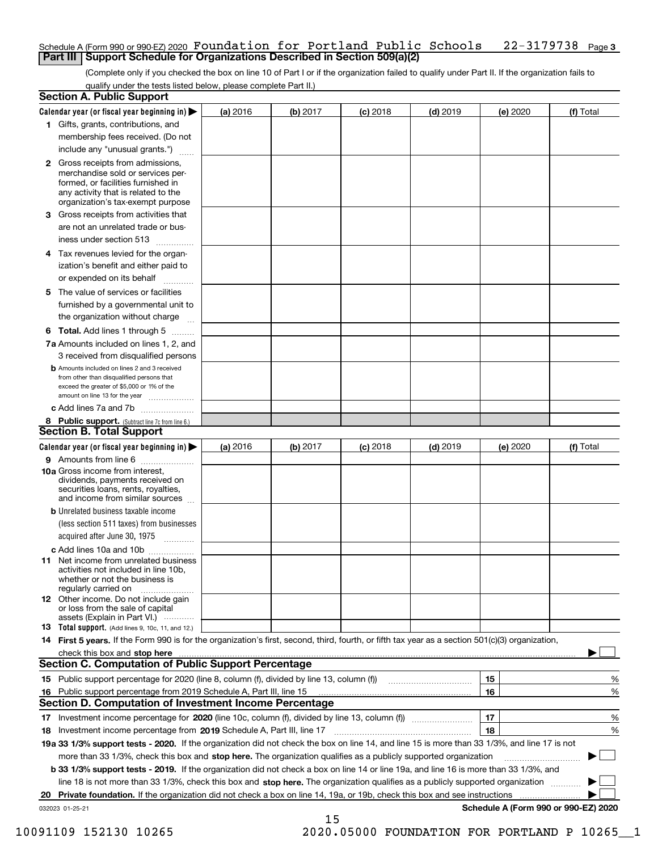#### Schedule A (Form 990 or 990-EZ) 2020  $\,$  **F<code>oundation for Portland Public Schools 22-3179738**  $\,$  **Page 3</code> Part III Support Schedule for Organizations Described in Section 509(a)(2)**

(Complete only if you checked the box on line 10 of Part I or if the organization failed to qualify under Part II. If the organization fails to qualify under the tests listed below, please complete Part II.)

|    | <b>Section A. Public Support</b>                                                                                                                                                                                                      |          |          |            |            |                                      |           |
|----|---------------------------------------------------------------------------------------------------------------------------------------------------------------------------------------------------------------------------------------|----------|----------|------------|------------|--------------------------------------|-----------|
|    | Calendar year (or fiscal year beginning in) $\blacktriangleright$                                                                                                                                                                     | (a) 2016 | (b) 2017 | $(c)$ 2018 | $(d)$ 2019 | (e) 2020                             | (f) Total |
|    | 1 Gifts, grants, contributions, and                                                                                                                                                                                                   |          |          |            |            |                                      |           |
|    | membership fees received. (Do not                                                                                                                                                                                                     |          |          |            |            |                                      |           |
|    | include any "unusual grants.")                                                                                                                                                                                                        |          |          |            |            |                                      |           |
|    | 2 Gross receipts from admissions,<br>merchandise sold or services per-<br>formed, or facilities furnished in<br>any activity that is related to the<br>organization's tax-exempt purpose                                              |          |          |            |            |                                      |           |
|    | 3 Gross receipts from activities that<br>are not an unrelated trade or bus-<br>iness under section 513                                                                                                                                |          |          |            |            |                                      |           |
|    | 4 Tax revenues levied for the organ-<br>ization's benefit and either paid to                                                                                                                                                          |          |          |            |            |                                      |           |
|    | or expended on its behalf<br>.                                                                                                                                                                                                        |          |          |            |            |                                      |           |
|    | 5 The value of services or facilities                                                                                                                                                                                                 |          |          |            |            |                                      |           |
|    | furnished by a governmental unit to                                                                                                                                                                                                   |          |          |            |            |                                      |           |
|    | the organization without charge                                                                                                                                                                                                       |          |          |            |            |                                      |           |
|    | <b>6 Total.</b> Add lines 1 through 5                                                                                                                                                                                                 |          |          |            |            |                                      |           |
|    | 7a Amounts included on lines 1, 2, and                                                                                                                                                                                                |          |          |            |            |                                      |           |
|    | 3 received from disqualified persons<br><b>b</b> Amounts included on lines 2 and 3 received                                                                                                                                           |          |          |            |            |                                      |           |
|    | from other than disqualified persons that                                                                                                                                                                                             |          |          |            |            |                                      |           |
|    | exceed the greater of \$5,000 or 1% of the<br>amount on line 13 for the year                                                                                                                                                          |          |          |            |            |                                      |           |
|    | c Add lines 7a and 7b                                                                                                                                                                                                                 |          |          |            |            |                                      |           |
|    | 8 Public support. (Subtract line 7c from line 6.)                                                                                                                                                                                     |          |          |            |            |                                      |           |
|    | <b>Section B. Total Support</b>                                                                                                                                                                                                       |          |          |            |            |                                      |           |
|    | Calendar year (or fiscal year beginning in) $\blacktriangleright$                                                                                                                                                                     | (a) 2016 | (b) 2017 | $(c)$ 2018 | $(d)$ 2019 | (e) 2020                             | (f) Total |
|    | 9 Amounts from line 6                                                                                                                                                                                                                 |          |          |            |            |                                      |           |
|    | 10a Gross income from interest,<br>dividends, payments received on<br>securities loans, rents, royalties,<br>and income from similar sources                                                                                          |          |          |            |            |                                      |           |
|    | <b>b</b> Unrelated business taxable income                                                                                                                                                                                            |          |          |            |            |                                      |           |
|    | (less section 511 taxes) from businesses                                                                                                                                                                                              |          |          |            |            |                                      |           |
|    | acquired after June 30, 1975                                                                                                                                                                                                          |          |          |            |            |                                      |           |
|    | c Add lines 10a and 10b<br>11 Net income from unrelated business<br>activities not included in line 10b,<br>whether or not the business is<br>regularly carried on                                                                    |          |          |            |            |                                      |           |
|    | <b>12</b> Other income. Do not include gain<br>or loss from the sale of capital<br>assets (Explain in Part VI.)                                                                                                                       |          |          |            |            |                                      |           |
|    | <b>13</b> Total support. (Add lines 9, 10c, 11, and 12.)                                                                                                                                                                              |          |          |            |            |                                      |           |
|    | 14 First 5 years. If the Form 990 is for the organization's first, second, third, fourth, or fifth tax year as a section 501(c)(3) organization,                                                                                      |          |          |            |            |                                      |           |
|    |                                                                                                                                                                                                                                       |          |          |            |            |                                      |           |
|    | <b>Section C. Computation of Public Support Percentage</b>                                                                                                                                                                            |          |          |            |            |                                      |           |
|    | 15 Public support percentage for 2020 (line 8, column (f), divided by line 13, column (f))                                                                                                                                            |          |          |            |            | 15                                   | %         |
|    | 16 Public support percentage from 2019 Schedule A, Part III, line 15<br><b>Section D. Computation of Investment Income Percentage</b>                                                                                                 |          |          |            |            | 16                                   | %         |
|    |                                                                                                                                                                                                                                       |          |          |            |            | 17                                   |           |
|    | 17 Investment income percentage for 2020 (line 10c, column (f), divided by line 13, column (f))                                                                                                                                       |          |          |            |            | 18                                   | %         |
|    | <b>18</b> Investment income percentage from <b>2019</b> Schedule A, Part III, line 17<br>19a 33 1/3% support tests - 2020. If the organization did not check the box on line 14, and line 15 is more than 33 1/3%, and line 17 is not |          |          |            |            |                                      | %         |
|    | more than 33 1/3%, check this box and stop here. The organization qualifies as a publicly supported organization                                                                                                                      |          |          |            |            |                                      | ▶         |
|    | b 33 1/3% support tests - 2019. If the organization did not check a box on line 14 or line 19a, and line 16 is more than 33 1/3%, and                                                                                                 |          |          |            |            |                                      |           |
|    | line 18 is not more than 33 1/3%, check this box and stop here. The organization qualifies as a publicly supported organization                                                                                                       |          |          |            |            |                                      |           |
| 20 | Private foundation. If the organization did not check a box on line 14, 19a, or 19b, check this box and see instructions                                                                                                              |          |          |            |            | .                                    |           |
|    | 032023 01-25-21                                                                                                                                                                                                                       |          |          |            |            | Schedule A (Form 990 or 990-EZ) 2020 |           |

15

10091109 152130 10265 2020.05000 FOUNDATION FOR PORTLAND P 10265\_\_1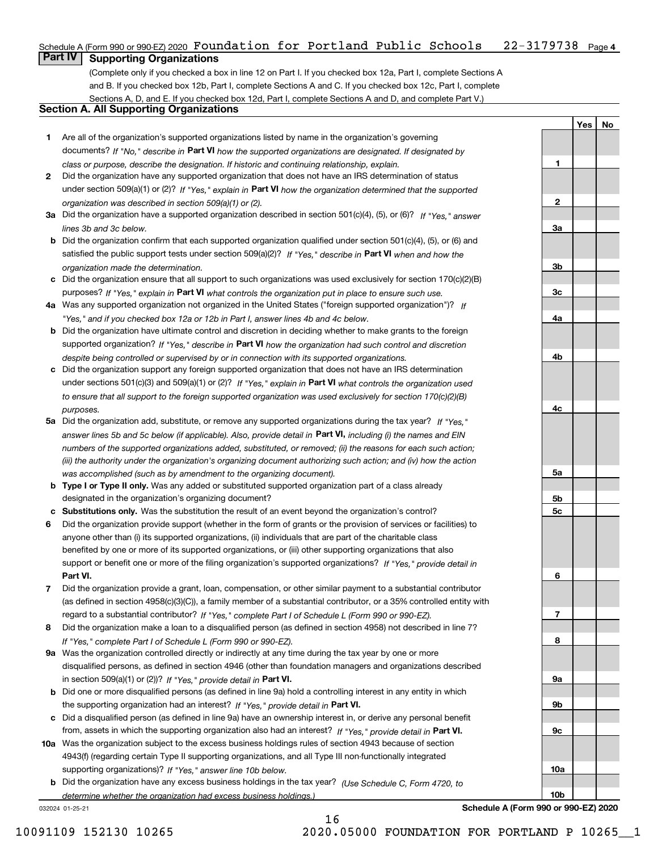### Schedule A (Form 990 or 990-EZ) 2020 <code>Foundation for Portland Public Schools 22-3179738</code> Page 4 **Part IV Supporting Organizations**

(Complete only if you checked a box in line 12 on Part I. If you checked box 12a, Part I, complete Sections A and B. If you checked box 12b, Part I, complete Sections A and C. If you checked box 12c, Part I, complete Sections A, D, and E. If you checked box 12d, Part I, complete Sections A and D, and complete Part V.)

#### **Section A. All Supporting Organizations**

- **1** Are all of the organization's supported organizations listed by name in the organization's governing documents? If "No," describe in **Part VI** how the supported organizations are designated. If designated by *class or purpose, describe the designation. If historic and continuing relationship, explain.*
- **2** Did the organization have any supported organization that does not have an IRS determination of status under section 509(a)(1) or (2)? If "Yes," explain in Part VI how the organization determined that the supported *organization was described in section 509(a)(1) or (2).*
- **3a** Did the organization have a supported organization described in section 501(c)(4), (5), or (6)? If "Yes," answer *lines 3b and 3c below.*
- **b** Did the organization confirm that each supported organization qualified under section 501(c)(4), (5), or (6) and satisfied the public support tests under section 509(a)(2)? If "Yes," describe in **Part VI** when and how the *organization made the determination.*
- **c**Did the organization ensure that all support to such organizations was used exclusively for section 170(c)(2)(B) purposes? If "Yes," explain in **Part VI** what controls the organization put in place to ensure such use.
- **4a***If* Was any supported organization not organized in the United States ("foreign supported organization")? *"Yes," and if you checked box 12a or 12b in Part I, answer lines 4b and 4c below.*
- **b** Did the organization have ultimate control and discretion in deciding whether to make grants to the foreign supported organization? If "Yes," describe in **Part VI** how the organization had such control and discretion *despite being controlled or supervised by or in connection with its supported organizations.*
- **c** Did the organization support any foreign supported organization that does not have an IRS determination under sections 501(c)(3) and 509(a)(1) or (2)? If "Yes," explain in **Part VI** what controls the organization used *to ensure that all support to the foreign supported organization was used exclusively for section 170(c)(2)(B) purposes.*
- **5a** Did the organization add, substitute, or remove any supported organizations during the tax year? If "Yes," answer lines 5b and 5c below (if applicable). Also, provide detail in **Part VI,** including (i) the names and EIN *numbers of the supported organizations added, substituted, or removed; (ii) the reasons for each such action; (iii) the authority under the organization's organizing document authorizing such action; and (iv) how the action was accomplished (such as by amendment to the organizing document).*
- **b** Type I or Type II only. Was any added or substituted supported organization part of a class already designated in the organization's organizing document?
- **cSubstitutions only.**  Was the substitution the result of an event beyond the organization's control?
- **6** Did the organization provide support (whether in the form of grants or the provision of services or facilities) to **Part VI.** *If "Yes," provide detail in* support or benefit one or more of the filing organization's supported organizations? anyone other than (i) its supported organizations, (ii) individuals that are part of the charitable class benefited by one or more of its supported organizations, or (iii) other supporting organizations that also
- **7**Did the organization provide a grant, loan, compensation, or other similar payment to a substantial contributor *If "Yes," complete Part I of Schedule L (Form 990 or 990-EZ).* regard to a substantial contributor? (as defined in section 4958(c)(3)(C)), a family member of a substantial contributor, or a 35% controlled entity with
- **8** Did the organization make a loan to a disqualified person (as defined in section 4958) not described in line 7? *If "Yes," complete Part I of Schedule L (Form 990 or 990-EZ).*
- **9a** Was the organization controlled directly or indirectly at any time during the tax year by one or more in section 509(a)(1) or (2))? If "Yes," *provide detail in* <code>Part VI.</code> disqualified persons, as defined in section 4946 (other than foundation managers and organizations described
- **b** Did one or more disqualified persons (as defined in line 9a) hold a controlling interest in any entity in which the supporting organization had an interest? If "Yes," provide detail in P**art VI**.
- **c**Did a disqualified person (as defined in line 9a) have an ownership interest in, or derive any personal benefit from, assets in which the supporting organization also had an interest? If "Yes," provide detail in P**art VI.**
- **10a** Was the organization subject to the excess business holdings rules of section 4943 because of section supporting organizations)? If "Yes," answer line 10b below. 4943(f) (regarding certain Type II supporting organizations, and all Type III non-functionally integrated
- **b** Did the organization have any excess business holdings in the tax year? (Use Schedule C, Form 4720, to *determine whether the organization had excess business holdings.)*

16

032024 01-25-21

**10a10bSchedule A (Form 990 or 990-EZ) 2020**

**YesNo**

**1**

**2**

**3a**

**3b**

**3c**

**4a**

**4b**

**4c**

**5a**

**5b5c**

**6**

**7**

**8**

**9a**

**9b**

**9c**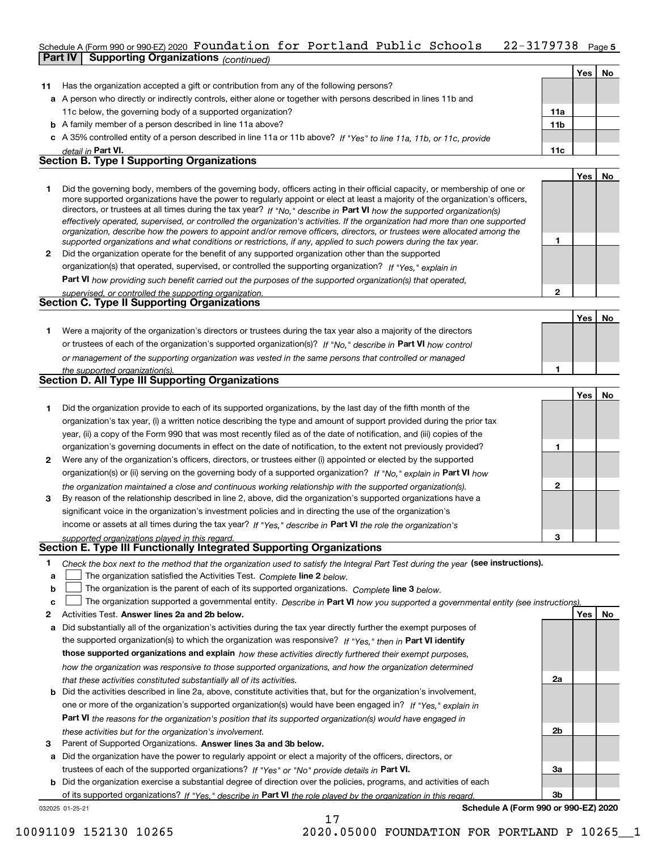#### 22-3179738 Page 5 Schedule A (Form 990 or 990 EZ) 2020 <code>Foundation for Portland Public Schools 22-3179738</code> Page **Part IV Supporting Organizations** *(continued)*

|              |                                                                                                                                                                                                                                                                                                                                                                                                                                                                                                                                                                                                                                                      |                 | Yes        | No        |
|--------------|------------------------------------------------------------------------------------------------------------------------------------------------------------------------------------------------------------------------------------------------------------------------------------------------------------------------------------------------------------------------------------------------------------------------------------------------------------------------------------------------------------------------------------------------------------------------------------------------------------------------------------------------------|-----------------|------------|-----------|
| 11           | Has the organization accepted a gift or contribution from any of the following persons?                                                                                                                                                                                                                                                                                                                                                                                                                                                                                                                                                              |                 |            |           |
|              | a A person who directly or indirectly controls, either alone or together with persons described in lines 11b and                                                                                                                                                                                                                                                                                                                                                                                                                                                                                                                                     |                 |            |           |
|              | 11c below, the governing body of a supported organization?                                                                                                                                                                                                                                                                                                                                                                                                                                                                                                                                                                                           | 11a             |            |           |
|              | <b>b</b> A family member of a person described in line 11a above?                                                                                                                                                                                                                                                                                                                                                                                                                                                                                                                                                                                    | 11 <sub>b</sub> |            |           |
|              | c A 35% controlled entity of a person described in line 11a or 11b above? If "Yes" to line 11a, 11b, or 11c, provide                                                                                                                                                                                                                                                                                                                                                                                                                                                                                                                                 |                 |            |           |
|              | detail in Part VI.                                                                                                                                                                                                                                                                                                                                                                                                                                                                                                                                                                                                                                   | 11c             |            |           |
|              | <b>Section B. Type I Supporting Organizations</b>                                                                                                                                                                                                                                                                                                                                                                                                                                                                                                                                                                                                    |                 |            |           |
|              |                                                                                                                                                                                                                                                                                                                                                                                                                                                                                                                                                                                                                                                      |                 | <b>Yes</b> | No.       |
| 1            | Did the governing body, members of the governing body, officers acting in their official capacity, or membership of one or<br>more supported organizations have the power to regularly appoint or elect at least a majority of the organization's officers,<br>directors, or trustees at all times during the tax year? If "No," describe in Part VI how the supported organization(s)<br>effectively operated, supervised, or controlled the organization's activities. If the organization had more than one supported<br>organization, describe how the powers to appoint and/or remove officers, directors, or trustees were allocated among the |                 |            |           |
|              | supported organizations and what conditions or restrictions, if any, applied to such powers during the tax year.                                                                                                                                                                                                                                                                                                                                                                                                                                                                                                                                     |                 |            |           |
| $\mathbf{2}$ | Did the organization operate for the benefit of any supported organization other than the supported                                                                                                                                                                                                                                                                                                                                                                                                                                                                                                                                                  |                 |            |           |
|              | organization(s) that operated, supervised, or controlled the supporting organization? If "Yes," explain in                                                                                                                                                                                                                                                                                                                                                                                                                                                                                                                                           |                 |            |           |
|              | <b>Part VI</b> how providing such benefit carried out the purposes of the supported organization(s) that operated,                                                                                                                                                                                                                                                                                                                                                                                                                                                                                                                                   |                 |            |           |
|              | supervised, or controlled the supporting organization.                                                                                                                                                                                                                                                                                                                                                                                                                                                                                                                                                                                               | 2               |            |           |
|              | <b>Section C. Type II Supporting Organizations</b>                                                                                                                                                                                                                                                                                                                                                                                                                                                                                                                                                                                                   |                 |            |           |
|              |                                                                                                                                                                                                                                                                                                                                                                                                                                                                                                                                                                                                                                                      |                 | Yes        | <b>No</b> |
| 1            | Were a majority of the organization's directors or trustees during the tax year also a majority of the directors                                                                                                                                                                                                                                                                                                                                                                                                                                                                                                                                     |                 |            |           |
|              | or trustees of each of the organization's supported organization(s)? If "No," describe in Part VI how control                                                                                                                                                                                                                                                                                                                                                                                                                                                                                                                                        |                 |            |           |
|              | or management of the supporting organization was vested in the same persons that controlled or managed                                                                                                                                                                                                                                                                                                                                                                                                                                                                                                                                               |                 |            |           |
|              | the supported organization(s).                                                                                                                                                                                                                                                                                                                                                                                                                                                                                                                                                                                                                       |                 |            |           |
|              | Section D. All Type III Supporting Organizations                                                                                                                                                                                                                                                                                                                                                                                                                                                                                                                                                                                                     |                 |            |           |
|              |                                                                                                                                                                                                                                                                                                                                                                                                                                                                                                                                                                                                                                                      |                 | Yes        | No.       |
|              |                                                                                                                                                                                                                                                                                                                                                                                                                                                                                                                                                                                                                                                      |                 |            |           |

|              |                                                                                                                        |   | . |  |
|--------------|------------------------------------------------------------------------------------------------------------------------|---|---|--|
|              | Did the organization provide to each of its supported organizations, by the last day of the fifth month of the         |   |   |  |
|              | organization's tax year, (i) a written notice describing the type and amount of support provided during the prior tax  |   |   |  |
|              | year, (ii) a copy of the Form 990 that was most recently filed as of the date of notification, and (iii) copies of the |   |   |  |
|              | organization's governing documents in effect on the date of notification, to the extent not previously provided?       |   |   |  |
| $\mathbf{2}$ | Were any of the organization's officers, directors, or trustees either (i) appointed or elected by the supported       |   |   |  |
|              | organization(s) or (ii) serving on the governing body of a supported organization? If "No," explain in Part VI how     |   |   |  |
|              | the organization maintained a close and continuous working relationship with the supported organization(s).            | 2 |   |  |
| 3            | By reason of the relationship described in line 2, above, did the organization's supported organizations have a        |   |   |  |
|              | significant voice in the organization's investment policies and in directing the use of the organization's             |   |   |  |
|              | income or assets at all times during the tax year? If "Yes," describe in Part VI the role the organization's           |   |   |  |
|              | supported organizations played in this regard.                                                                         | з |   |  |

# *supported organizations played in this regard.* **Section E. Type III Functionally Integrated Supporting Organizations**

|  | Check the box next to the method that the organization used to satisfy the Integral Part Test during the year (see instructions). |  |  |  |
|--|-----------------------------------------------------------------------------------------------------------------------------------|--|--|--|
|--|-----------------------------------------------------------------------------------------------------------------------------------|--|--|--|

- **a**The organization satisfied the Activities Test. *Complete* line 2 below.  $\mathcal{L}^{\text{max}}$
- **b**The organization is the parent of each of its supported organizations. *Complete* line 3 *below.*  $\mathcal{L}^{\text{max}}$

|  |  | c $\Box$ The organization supported a governmental entity. Describe in Part VI how you supported a governmental entity (see instructions). |  |  |  |  |
|--|--|--------------------------------------------------------------------------------------------------------------------------------------------|--|--|--|--|
|--|--|--------------------------------------------------------------------------------------------------------------------------------------------|--|--|--|--|

17

- **2Answer lines 2a and 2b below. Yes No** Activities Test.
- **a** Did substantially all of the organization's activities during the tax year directly further the exempt purposes of the supported organization(s) to which the organization was responsive? If "Yes," then in **Part VI identify those supported organizations and explain**  *how these activities directly furthered their exempt purposes, how the organization was responsive to those supported organizations, and how the organization determined that these activities constituted substantially all of its activities.*
- **b** Did the activities described in line 2a, above, constitute activities that, but for the organization's involvement, **Part VI**  *the reasons for the organization's position that its supported organization(s) would have engaged in* one or more of the organization's supported organization(s) would have been engaged in? If "Yes," e*xplain in these activities but for the organization's involvement.*
- **3** Parent of Supported Organizations. Answer lines 3a and 3b below.

**a** Did the organization have the power to regularly appoint or elect a majority of the officers, directors, or trustees of each of the supported organizations? If "Yes" or "No" provide details in P**art VI.** 

**b** Did the organization exercise a substantial degree of direction over the policies, programs, and activities of each of its supported organizations? If "Yes," describe in Part VI the role played by the organization in this regard.

032025 01-25-21

**Schedule A (Form 990 or 990-EZ) 2020**

**2a**

**2b**

**3a**

**3b**

10091109 152130 10265 2020.05000 FOUNDATION FOR PORTLAND P 10265\_\_1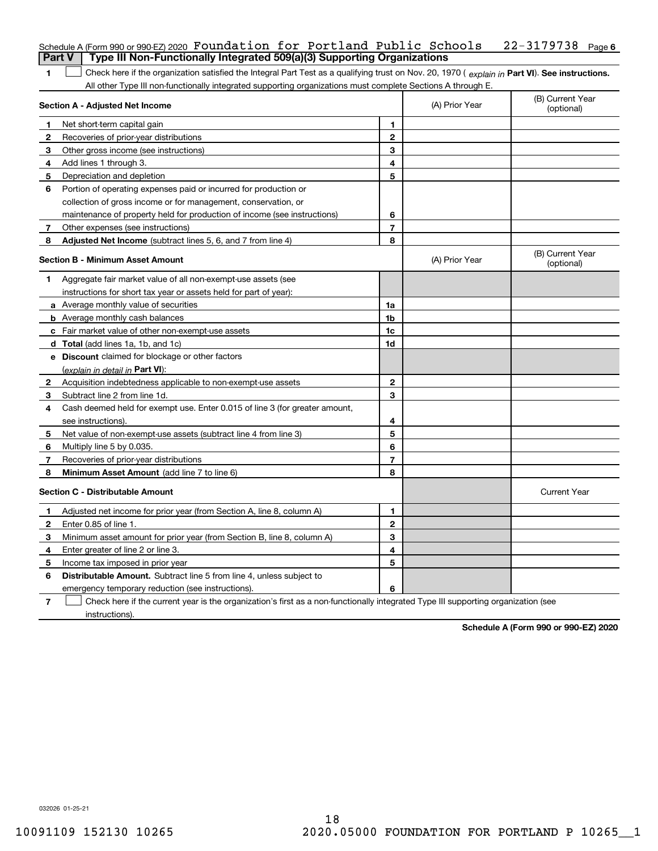|                | Schedule A (Form 990 or 990-EZ) 2020 Foundation for Portland Public Schools                                                                    |                |                | 22-3179738<br>Page 6           |
|----------------|------------------------------------------------------------------------------------------------------------------------------------------------|----------------|----------------|--------------------------------|
| <b>Part V</b>  | Type III Non-Functionally Integrated 509(a)(3) Supporting Organizations                                                                        |                |                |                                |
| 1              | Check here if the organization satisfied the Integral Part Test as a qualifying trust on Nov. 20, 1970 (explain in Part VI). See instructions. |                |                |                                |
|                | All other Type III non-functionally integrated supporting organizations must complete Sections A through E.                                    |                |                |                                |
|                | Section A - Adjusted Net Income                                                                                                                |                | (A) Prior Year | (B) Current Year<br>(optional) |
| 1              | Net short-term capital gain                                                                                                                    | 1              |                |                                |
| 2              | Recoveries of prior-year distributions                                                                                                         | $\mathbf{2}$   |                |                                |
| 3              | Other gross income (see instructions)                                                                                                          | 3              |                |                                |
| 4              | Add lines 1 through 3.                                                                                                                         | 4              |                |                                |
| 5              | Depreciation and depletion                                                                                                                     | 5              |                |                                |
| 6              | Portion of operating expenses paid or incurred for production or                                                                               |                |                |                                |
|                | collection of gross income or for management, conservation, or                                                                                 |                |                |                                |
|                | maintenance of property held for production of income (see instructions)                                                                       | 6              |                |                                |
| 7              | Other expenses (see instructions)                                                                                                              | 7              |                |                                |
| 8              | Adjusted Net Income (subtract lines 5, 6, and 7 from line 4)                                                                                   | 8              |                |                                |
|                | <b>Section B - Minimum Asset Amount</b>                                                                                                        |                | (A) Prior Year | (B) Current Year<br>(optional) |
| 1              | Aggregate fair market value of all non-exempt-use assets (see                                                                                  |                |                |                                |
|                | instructions for short tax year or assets held for part of year):                                                                              |                |                |                                |
|                | a Average monthly value of securities                                                                                                          | 1a             |                |                                |
|                | <b>b</b> Average monthly cash balances                                                                                                         | 1b             |                |                                |
|                | c Fair market value of other non-exempt-use assets                                                                                             | 1c             |                |                                |
|                | d Total (add lines 1a, 1b, and 1c)                                                                                                             | 1d             |                |                                |
|                | e Discount claimed for blockage or other factors                                                                                               |                |                |                                |
|                | (explain in detail in Part VI):                                                                                                                |                |                |                                |
| 2              | Acquisition indebtedness applicable to non-exempt-use assets                                                                                   | $\mathbf{2}$   |                |                                |
| 3              | Subtract line 2 from line 1d.                                                                                                                  | 3              |                |                                |
| 4              | Cash deemed held for exempt use. Enter 0.015 of line 3 (for greater amount,                                                                    |                |                |                                |
|                | see instructions).                                                                                                                             | 4              |                |                                |
| 5              | Net value of non-exempt-use assets (subtract line 4 from line 3)                                                                               | 5              |                |                                |
| 6              | Multiply line 5 by 0.035.                                                                                                                      | 6              |                |                                |
| 7              | Recoveries of prior-year distributions                                                                                                         | $\overline{7}$ |                |                                |
| 8              | Minimum Asset Amount (add line 7 to line 6)                                                                                                    | 8              |                |                                |
|                | <b>Section C - Distributable Amount</b>                                                                                                        |                |                | <b>Current Year</b>            |
|                | Adjusted net income for prior year (from Section A, line 8, column A)                                                                          | 1              |                |                                |
| 2              | Enter 0.85 of line 1.                                                                                                                          | 2              |                |                                |
| 3              | Minimum asset amount for prior year (from Section B, line 8, column A)                                                                         | 3              |                |                                |
| 4              | Enter greater of line 2 or line 3.                                                                                                             | 4              |                |                                |
| 5              | Income tax imposed in prior year                                                                                                               | 5              |                |                                |
| 6              | Distributable Amount. Subtract line 5 from line 4, unless subject to                                                                           |                |                |                                |
|                | emergency temporary reduction (see instructions).                                                                                              | 6              |                |                                |
| $\overline{7}$ | Check here if the current year is the organization's first as a non-functionally integrated Type III supporting organization (see              |                |                |                                |
|                |                                                                                                                                                |                |                |                                |

instructions).

**Schedule A (Form 990 or 990-EZ) 2020**

032026 01-25-21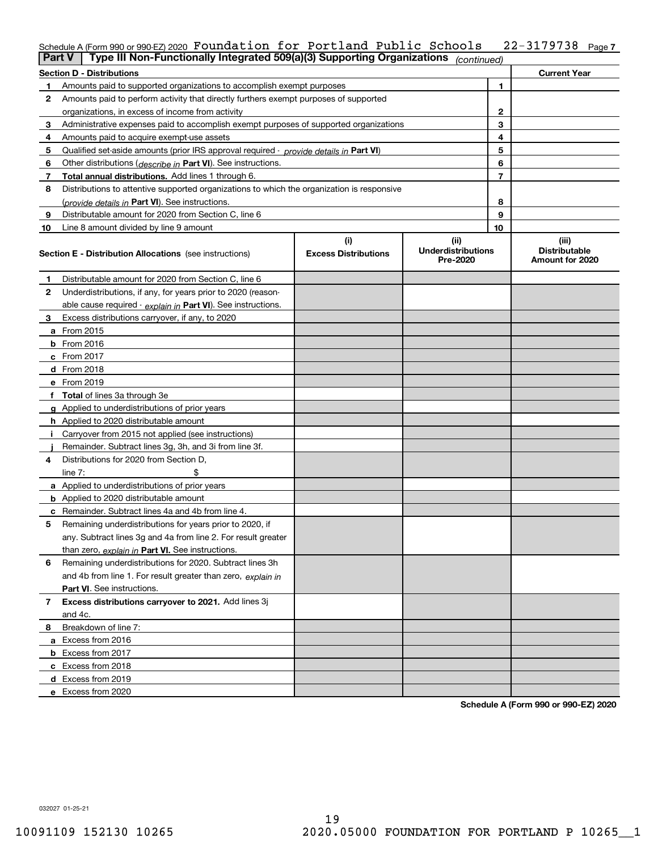## Schedule A (Form 990 or 990-EZ) 2020  $\,$  **F<code>oundation for Portland Public Schools 22-3179738**  $\,$  **Page 7</code>**

| Part V | Type III Non-Functionally Integrated 509(a)(3) Supporting Organizations                    |                             | (continued)                           |                                         |
|--------|--------------------------------------------------------------------------------------------|-----------------------------|---------------------------------------|-----------------------------------------|
|        | <b>Section D - Distributions</b>                                                           |                             |                                       | <b>Current Year</b>                     |
|        | Amounts paid to supported organizations to accomplish exempt purposes                      | 1                           |                                       |                                         |
| 2      | Amounts paid to perform activity that directly furthers exempt purposes of supported       |                             |                                       |                                         |
|        | organizations, in excess of income from activity                                           | 2                           |                                       |                                         |
| 3      | Administrative expenses paid to accomplish exempt purposes of supported organizations      | 3                           |                                       |                                         |
| 4      | Amounts paid to acquire exempt-use assets                                                  |                             | 4                                     |                                         |
| 5      | Qualified set aside amounts (prior IRS approval required - provide details in Part VI)     |                             | 5                                     |                                         |
| 6      | Other distributions (describe in Part VI). See instructions.                               |                             | 6                                     |                                         |
| 7      | Total annual distributions. Add lines 1 through 6.                                         |                             | 7                                     |                                         |
| 8      | Distributions to attentive supported organizations to which the organization is responsive |                             |                                       |                                         |
|        | (provide details in Part VI). See instructions.                                            |                             | 8                                     |                                         |
| 9      | Distributable amount for 2020 from Section C, line 6                                       |                             | 9                                     |                                         |
| 10     | Line 8 amount divided by line 9 amount                                                     |                             | 10                                    |                                         |
|        |                                                                                            | (i)                         | (ii)                                  | (iii)                                   |
|        | <b>Section E - Distribution Allocations</b> (see instructions)                             | <b>Excess Distributions</b> | <b>Underdistributions</b><br>Pre-2020 | <b>Distributable</b><br>Amount for 2020 |
| 1      | Distributable amount for 2020 from Section C, line 6                                       |                             |                                       |                                         |
| 2      | Underdistributions, if any, for years prior to 2020 (reason-                               |                             |                                       |                                         |
|        | able cause required - explain in Part VI). See instructions.                               |                             |                                       |                                         |
| 3      | Excess distributions carryover, if any, to 2020                                            |                             |                                       |                                         |
|        | a From 2015                                                                                |                             |                                       |                                         |
|        | $b$ From 2016                                                                              |                             |                                       |                                         |
|        | $c$ From 2017                                                                              |                             |                                       |                                         |
|        | <b>d</b> From 2018                                                                         |                             |                                       |                                         |
|        | e From 2019                                                                                |                             |                                       |                                         |
|        | f Total of lines 3a through 3e                                                             |                             |                                       |                                         |
|        | g Applied to underdistributions of prior years                                             |                             |                                       |                                         |
|        | <b>h</b> Applied to 2020 distributable amount                                              |                             |                                       |                                         |
|        | Carryover from 2015 not applied (see instructions)                                         |                             |                                       |                                         |
|        | Remainder. Subtract lines 3g, 3h, and 3i from line 3f.                                     |                             |                                       |                                         |
| 4      | Distributions for 2020 from Section D.                                                     |                             |                                       |                                         |
|        | line $7:$                                                                                  |                             |                                       |                                         |
|        | a Applied to underdistributions of prior years                                             |                             |                                       |                                         |
|        | <b>b</b> Applied to 2020 distributable amount                                              |                             |                                       |                                         |
|        | <b>c</b> Remainder. Subtract lines 4a and 4b from line 4.                                  |                             |                                       |                                         |
| 5      | Remaining underdistributions for years prior to 2020, if                                   |                             |                                       |                                         |
|        | any. Subtract lines 3g and 4a from line 2. For result greater                              |                             |                                       |                                         |
|        | than zero, explain in Part VI. See instructions.                                           |                             |                                       |                                         |
| 6      | Remaining underdistributions for 2020. Subtract lines 3h                                   |                             |                                       |                                         |
|        | and 4b from line 1. For result greater than zero, explain in                               |                             |                                       |                                         |
|        | <b>Part VI.</b> See instructions.                                                          |                             |                                       |                                         |
| 7      | Excess distributions carryover to 2021. Add lines 3j                                       |                             |                                       |                                         |
|        | and 4c.                                                                                    |                             |                                       |                                         |
| 8      | Breakdown of line 7:                                                                       |                             |                                       |                                         |
|        | a Excess from 2016                                                                         |                             |                                       |                                         |
|        | <b>b</b> Excess from 2017                                                                  |                             |                                       |                                         |
|        | c Excess from 2018                                                                         |                             |                                       |                                         |
|        | d Excess from 2019                                                                         |                             |                                       |                                         |
|        | e Excess from 2020                                                                         |                             |                                       |                                         |

**Schedule A (Form 990 or 990-EZ) 2020**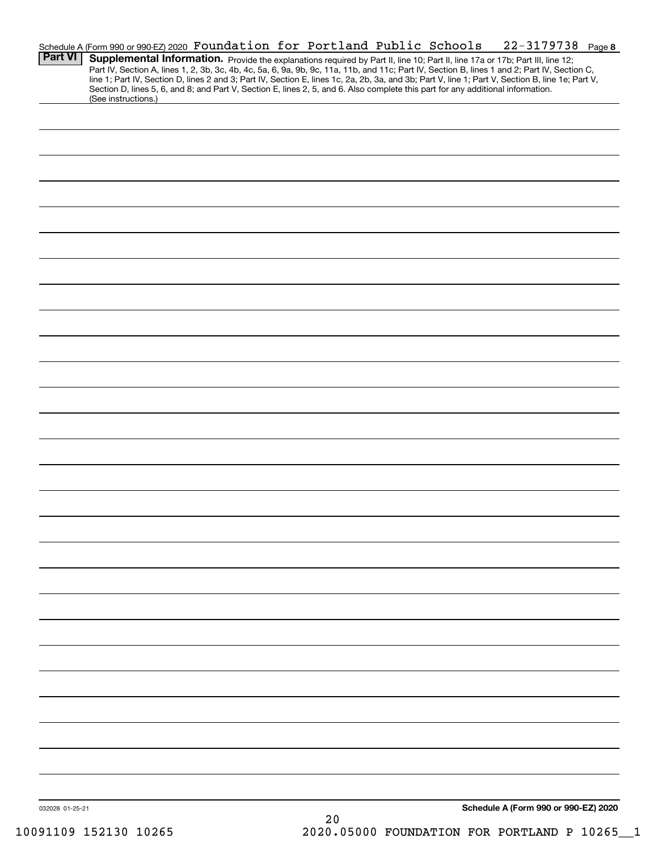|                 | Schedule A (Form 990 or 990-EZ) 2020 Foundation for Portland Public Schools                                                                                                                                                                                                                                                                                                                                                                                                                                                                                          |  |  |          |  |  | 22-3179738 Page 8                    |  |
|-----------------|----------------------------------------------------------------------------------------------------------------------------------------------------------------------------------------------------------------------------------------------------------------------------------------------------------------------------------------------------------------------------------------------------------------------------------------------------------------------------------------------------------------------------------------------------------------------|--|--|----------|--|--|--------------------------------------|--|
| <b>Part VI</b>  | Supplemental Information. Provide the explanations required by Part II, line 10; Part II, line 17a or 17b; Part III, line 12;<br>Part IV, Section A, lines 1, 2, 3b, 3c, 4b, 4c, 5a, 6, 9a, 9b, 9c, 11a, 11b, and 11c; Part IV, Section B, lines 1 and 2; Part IV, Section C,<br>line 1; Part IV, Section D, lines 2 and 3; Part IV, Section E, lines 1c, 2a, 2b, 3a, and 3b; Part V, line 1; Part V, Section B, line 1e; Part V,<br>Section D, lines 5, 6, and 8; and Part V, Section E, lines 2, 5, and 6. Also complete this part for any additional information. |  |  |          |  |  |                                      |  |
|                 | (See instructions.)                                                                                                                                                                                                                                                                                                                                                                                                                                                                                                                                                  |  |  |          |  |  |                                      |  |
|                 |                                                                                                                                                                                                                                                                                                                                                                                                                                                                                                                                                                      |  |  |          |  |  |                                      |  |
|                 |                                                                                                                                                                                                                                                                                                                                                                                                                                                                                                                                                                      |  |  |          |  |  |                                      |  |
|                 |                                                                                                                                                                                                                                                                                                                                                                                                                                                                                                                                                                      |  |  |          |  |  |                                      |  |
|                 |                                                                                                                                                                                                                                                                                                                                                                                                                                                                                                                                                                      |  |  |          |  |  |                                      |  |
|                 |                                                                                                                                                                                                                                                                                                                                                                                                                                                                                                                                                                      |  |  |          |  |  |                                      |  |
|                 |                                                                                                                                                                                                                                                                                                                                                                                                                                                                                                                                                                      |  |  |          |  |  |                                      |  |
|                 |                                                                                                                                                                                                                                                                                                                                                                                                                                                                                                                                                                      |  |  |          |  |  |                                      |  |
|                 |                                                                                                                                                                                                                                                                                                                                                                                                                                                                                                                                                                      |  |  |          |  |  |                                      |  |
|                 |                                                                                                                                                                                                                                                                                                                                                                                                                                                                                                                                                                      |  |  |          |  |  |                                      |  |
|                 |                                                                                                                                                                                                                                                                                                                                                                                                                                                                                                                                                                      |  |  |          |  |  |                                      |  |
|                 |                                                                                                                                                                                                                                                                                                                                                                                                                                                                                                                                                                      |  |  |          |  |  |                                      |  |
|                 |                                                                                                                                                                                                                                                                                                                                                                                                                                                                                                                                                                      |  |  |          |  |  |                                      |  |
|                 |                                                                                                                                                                                                                                                                                                                                                                                                                                                                                                                                                                      |  |  |          |  |  |                                      |  |
|                 |                                                                                                                                                                                                                                                                                                                                                                                                                                                                                                                                                                      |  |  |          |  |  |                                      |  |
|                 |                                                                                                                                                                                                                                                                                                                                                                                                                                                                                                                                                                      |  |  |          |  |  |                                      |  |
|                 |                                                                                                                                                                                                                                                                                                                                                                                                                                                                                                                                                                      |  |  |          |  |  |                                      |  |
|                 |                                                                                                                                                                                                                                                                                                                                                                                                                                                                                                                                                                      |  |  |          |  |  |                                      |  |
|                 |                                                                                                                                                                                                                                                                                                                                                                                                                                                                                                                                                                      |  |  |          |  |  |                                      |  |
|                 |                                                                                                                                                                                                                                                                                                                                                                                                                                                                                                                                                                      |  |  |          |  |  |                                      |  |
|                 |                                                                                                                                                                                                                                                                                                                                                                                                                                                                                                                                                                      |  |  |          |  |  |                                      |  |
|                 |                                                                                                                                                                                                                                                                                                                                                                                                                                                                                                                                                                      |  |  |          |  |  |                                      |  |
|                 |                                                                                                                                                                                                                                                                                                                                                                                                                                                                                                                                                                      |  |  |          |  |  |                                      |  |
|                 |                                                                                                                                                                                                                                                                                                                                                                                                                                                                                                                                                                      |  |  |          |  |  |                                      |  |
|                 |                                                                                                                                                                                                                                                                                                                                                                                                                                                                                                                                                                      |  |  |          |  |  |                                      |  |
|                 |                                                                                                                                                                                                                                                                                                                                                                                                                                                                                                                                                                      |  |  |          |  |  |                                      |  |
|                 |                                                                                                                                                                                                                                                                                                                                                                                                                                                                                                                                                                      |  |  |          |  |  |                                      |  |
|                 |                                                                                                                                                                                                                                                                                                                                                                                                                                                                                                                                                                      |  |  |          |  |  |                                      |  |
|                 |                                                                                                                                                                                                                                                                                                                                                                                                                                                                                                                                                                      |  |  |          |  |  |                                      |  |
|                 |                                                                                                                                                                                                                                                                                                                                                                                                                                                                                                                                                                      |  |  |          |  |  |                                      |  |
|                 |                                                                                                                                                                                                                                                                                                                                                                                                                                                                                                                                                                      |  |  |          |  |  |                                      |  |
|                 |                                                                                                                                                                                                                                                                                                                                                                                                                                                                                                                                                                      |  |  |          |  |  |                                      |  |
| 032028 01-25-21 |                                                                                                                                                                                                                                                                                                                                                                                                                                                                                                                                                                      |  |  | $\Omega$ |  |  | Schedule A (Form 990 or 990-EZ) 2020 |  |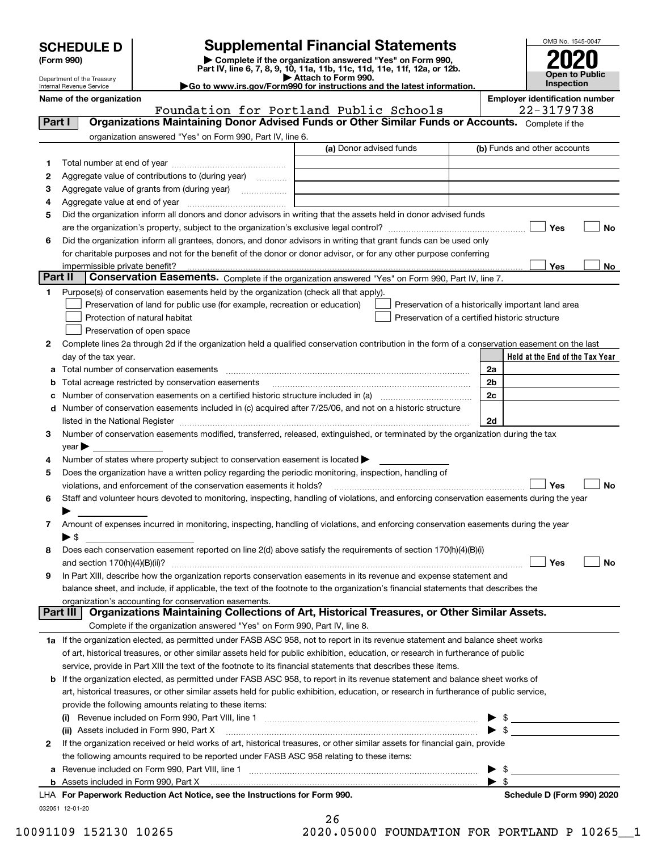Department of the Treasury Internal Revenue Service

| (Form 990) |  |
|------------|--|
|------------|--|

## **SCHEDULE D Supplemental Financial Statements**

(Form 990)<br>
Pepartment of the Treasury<br>
Department of the Treasury<br>
Department of the Treasury<br>
Department of the Treasury<br> **Co to www.irs.gov/Form990 for instructions and the latest information.**<br> **Co to www.irs.gov/Form9** 





| Name of the organization |  |
|--------------------------|--|
|--------------------------|--|

Foundation for Portland Public Schools

**Employer identification number**<br>22-3179738

| Part I       | rodnaacion ror rorciana rabiic<br>Organizations Maintaining Donor Advised Funds or Other Similar Funds or Accounts. Complete if the                                                                                           |                         |                                                    |    |
|--------------|-------------------------------------------------------------------------------------------------------------------------------------------------------------------------------------------------------------------------------|-------------------------|----------------------------------------------------|----|
|              | organization answered "Yes" on Form 990, Part IV, line 6.                                                                                                                                                                     |                         |                                                    |    |
|              |                                                                                                                                                                                                                               | (a) Donor advised funds | (b) Funds and other accounts                       |    |
| 1            |                                                                                                                                                                                                                               |                         |                                                    |    |
| 2            | Aggregate value of contributions to (during year)                                                                                                                                                                             |                         |                                                    |    |
| з            | Aggregate value of grants from (during year)                                                                                                                                                                                  |                         |                                                    |    |
| 4            |                                                                                                                                                                                                                               |                         |                                                    |    |
| 5.           | Did the organization inform all donors and donor advisors in writing that the assets held in donor advised funds                                                                                                              |                         |                                                    |    |
|              | are the organization's property, subject to the organization's exclusive legal control?                                                                                                                                       |                         | Yes                                                | No |
| 6            | Did the organization inform all grantees, donors, and donor advisors in writing that grant funds can be used only                                                                                                             |                         |                                                    |    |
|              | for charitable purposes and not for the benefit of the donor or donor advisor, or for any other purpose conferring                                                                                                            |                         |                                                    |    |
|              | impermissible private benefit?                                                                                                                                                                                                |                         | Yes                                                | No |
| Part II      | Conservation Easements. Complete if the organization answered "Yes" on Form 990, Part IV, line 7.                                                                                                                             |                         |                                                    |    |
| 1            | Purpose(s) of conservation easements held by the organization (check all that apply).                                                                                                                                         |                         |                                                    |    |
|              | Preservation of land for public use (for example, recreation or education)                                                                                                                                                    |                         | Preservation of a historically important land area |    |
|              | Protection of natural habitat                                                                                                                                                                                                 |                         | Preservation of a certified historic structure     |    |
|              | Preservation of open space                                                                                                                                                                                                    |                         |                                                    |    |
| $\mathbf{2}$ | Complete lines 2a through 2d if the organization held a qualified conservation contribution in the form of a conservation easement on the last                                                                                |                         |                                                    |    |
|              | day of the tax year.                                                                                                                                                                                                          |                         | Held at the End of the Tax Year                    |    |
| а            | Total number of conservation easements                                                                                                                                                                                        |                         | 2a                                                 |    |
| b            | Total acreage restricted by conservation easements                                                                                                                                                                            |                         | 2 <sub>b</sub>                                     |    |
| c            |                                                                                                                                                                                                                               |                         | 2c                                                 |    |
| d            | Number of conservation easements included in (c) acquired after 7/25/06, and not on a historic structure                                                                                                                      |                         |                                                    |    |
|              | listed in the National Register [11, 1200] [12] The National Register [11, 1200] [12] The National Register [11, 1200] [12] The National Register [11, 1200] [12] The National Register [11, 1200] [12] The National Register |                         | 2d                                                 |    |
| З.           | Number of conservation easements modified, transferred, released, extinguished, or terminated by the organization during the tax                                                                                              |                         |                                                    |    |
|              | $year \blacktriangleright$                                                                                                                                                                                                    |                         |                                                    |    |
| 4            | Number of states where property subject to conservation easement is located ><br>Does the organization have a written policy regarding the periodic monitoring, inspection, handling of                                       |                         |                                                    |    |
| 5.           | violations, and enforcement of the conservation easements it holds?                                                                                                                                                           |                         | Yes                                                | No |
| 6            | Staff and volunteer hours devoted to monitoring, inspecting, handling of violations, and enforcing conservation easements during the year                                                                                     |                         |                                                    |    |
|              |                                                                                                                                                                                                                               |                         |                                                    |    |
| 7            | Amount of expenses incurred in monitoring, inspecting, handling of violations, and enforcing conservation easements during the year                                                                                           |                         |                                                    |    |
|              | $\blacktriangleright$ \$                                                                                                                                                                                                      |                         |                                                    |    |
| 8            | Does each conservation easement reported on line 2(d) above satisfy the requirements of section 170(h)(4)(B)(i)                                                                                                               |                         |                                                    |    |
|              |                                                                                                                                                                                                                               |                         | Yes                                                | No |
| 9            | In Part XIII, describe how the organization reports conservation easements in its revenue and expense statement and                                                                                                           |                         |                                                    |    |
|              | balance sheet, and include, if applicable, the text of the footnote to the organization's financial statements that describes the                                                                                             |                         |                                                    |    |
|              | organization's accounting for conservation easements.                                                                                                                                                                         |                         |                                                    |    |
| Part III     | Organizations Maintaining Collections of Art, Historical Treasures, or Other Similar Assets.                                                                                                                                  |                         |                                                    |    |
|              | Complete if the organization answered "Yes" on Form 990, Part IV, line 8.                                                                                                                                                     |                         |                                                    |    |
|              | 1a If the organization elected, as permitted under FASB ASC 958, not to report in its revenue statement and balance sheet works                                                                                               |                         |                                                    |    |
|              | of art, historical treasures, or other similar assets held for public exhibition, education, or research in furtherance of public                                                                                             |                         |                                                    |    |
|              | service, provide in Part XIII the text of the footnote to its financial statements that describes these items.                                                                                                                |                         |                                                    |    |
| b            | If the organization elected, as permitted under FASB ASC 958, to report in its revenue statement and balance sheet works of                                                                                                   |                         |                                                    |    |
|              | art, historical treasures, or other similar assets held for public exhibition, education, or research in furtherance of public service,                                                                                       |                         |                                                    |    |
|              | provide the following amounts relating to these items:                                                                                                                                                                        |                         |                                                    |    |
|              |                                                                                                                                                                                                                               |                         |                                                    |    |
|              | (ii) Assets included in Form 990, Part X                                                                                                                                                                                      |                         |                                                    |    |
| $\mathbf{2}$ | If the organization received or held works of art, historical treasures, or other similar assets for financial gain, provide                                                                                                  |                         |                                                    |    |
|              | the following amounts required to be reported under FASB ASC 958 relating to these items:                                                                                                                                     |                         |                                                    |    |
| а            |                                                                                                                                                                                                                               |                         | $\qquad \qquad \$$                                 |    |
|              |                                                                                                                                                                                                                               |                         | $\blacktriangleright$ \$                           |    |
|              | LHA For Paperwork Reduction Act Notice, see the Instructions for Form 990.                                                                                                                                                    |                         | Schedule D (Form 990) 2020                         |    |

032051 12-01-20

26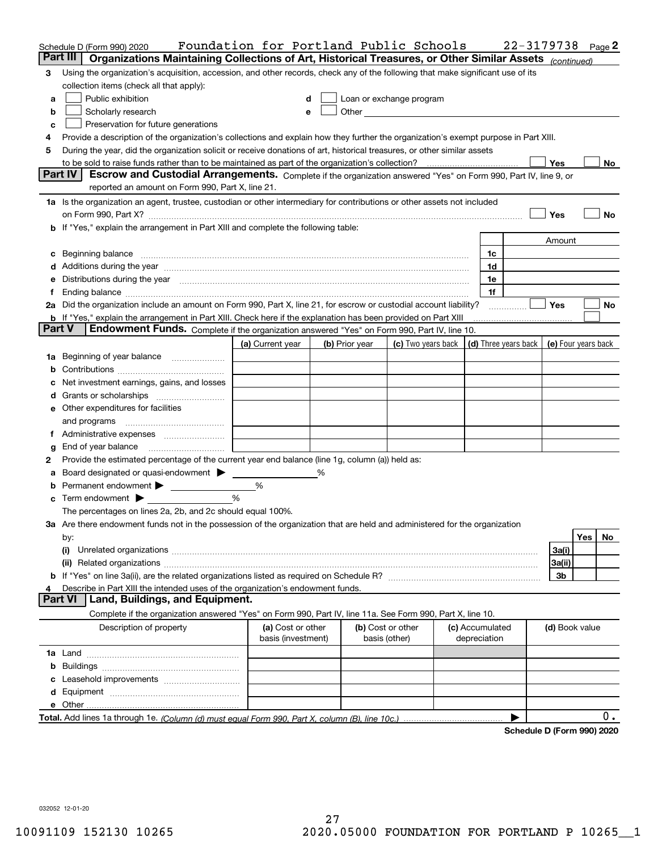| Organizations Maintaining Collections of Art, Historical Treasures, or Other Similar Assets (continued)<br>Part III<br>Using the organization's acquisition, accession, and other records, check any of the following that make significant use of its<br>3<br>collection items (check all that apply):<br>Public exhibition<br>Loan or exchange program<br>a<br>d<br>Scholarly research<br>Other and the contract of the contract of the contract of the contract of the contract of the contract of the contract of the contract of the contract of the contract of the contract of the contract of the contract of the<br>b<br>e<br>Preservation for future generations<br>с<br>Provide a description of the organization's collections and explain how they further the organization's exempt purpose in Part XIII.<br>4<br>During the year, did the organization solicit or receive donations of art, historical treasures, or other similar assets<br>5<br>Yes<br>No<br><b>Part IV</b><br>Escrow and Custodial Arrangements. Complete if the organization answered "Yes" on Form 990, Part IV, line 9, or<br>reported an amount on Form 990, Part X, line 21.<br>1a Is the organization an agent, trustee, custodian or other intermediary for contributions or other assets not included<br>on Form 990, Part X? [11] matter and the contract of the contract of the contract of the contract of the contract of the contract of the contract of the contract of the contract of the contract of the contract of the contr<br>Yes<br>No<br>If "Yes," explain the arrangement in Part XIII and complete the following table:<br>b<br>Amount<br>Beginning balance manufactured and contain an account of the state of the state of the state of the state of the state of the state of the state of the state of the state of the state of the state of the state of the state<br>1c<br>с<br>1d<br>Additions during the year manufactured and an account of the state of the state of the state of the state of the state of the state of the state of the state of the state of the state of the state of the state of the state<br>d<br>Distributions during the year manufactured and an account of the year manufactured and the year manufactured and the year manufactured and the year manufactured and the year manufactured and the year manufactured and the y<br>1e<br>е<br>1f<br>Ending balance measurements are all the contract of the contract of the contract of the contract of the contract of the contract of the contract of the contract of the contract of the contract of the contract of the contra<br>f<br>2a Did the organization include an amount on Form 990, Part X, line 21, for escrow or custodial account liability?<br>Yes<br>No<br><b>b</b> If "Yes," explain the arrangement in Part XIII. Check here if the explanation has been provided on Part XIII<br><b>Part V</b><br>Endowment Funds. Complete if the organization answered "Yes" on Form 990, Part IV, line 10.<br>(c) Two years back $\vert$ (d) Three years back $\vert$<br>(a) Current year<br>(b) Prior year<br>(e) Four years back<br>Beginning of year balance<br>1a<br>b<br>Net investment earnings, gains, and losses<br>d<br>e Other expenditures for facilities<br>and programs<br>Administrative expenses <i>manually communicative</i><br>1.<br>End of year balance<br>g<br>Provide the estimated percentage of the current year end balance (line 1g, column (a)) held as:<br>2<br>Board designated or quasi-endowment ><br>а<br>Permanent endowment<br>%<br>b<br>Term endowment $\blacktriangleright$<br>%<br>c<br>The percentages on lines 2a, 2b, and 2c should equal 100%.<br>3a Are there endowment funds not in the possession of the organization that are held and administered for the organization<br><b>Yes</b><br>No<br>by:<br>(i)<br>3a(i)<br>3a(ii)<br>3b<br>Describe in Part XIII the intended uses of the organization's endowment funds.<br><b>Part VI</b><br>Land, Buildings, and Equipment.<br>Complete if the organization answered "Yes" on Form 990, Part IV, line 11a. See Form 990, Part X, line 10.<br>Description of property<br>(a) Cost or other<br>(b) Cost or other<br>(c) Accumulated<br>(d) Book value<br>basis (investment)<br>basis (other)<br>depreciation<br>b<br>0.<br>Cahadula D (Faunt 000) 0000 | Schedule D (Form 990) 2020 | Foundation for Portland Public Schools |  |  | 22-3179738 |  | Page 2 |
|--------------------------------------------------------------------------------------------------------------------------------------------------------------------------------------------------------------------------------------------------------------------------------------------------------------------------------------------------------------------------------------------------------------------------------------------------------------------------------------------------------------------------------------------------------------------------------------------------------------------------------------------------------------------------------------------------------------------------------------------------------------------------------------------------------------------------------------------------------------------------------------------------------------------------------------------------------------------------------------------------------------------------------------------------------------------------------------------------------------------------------------------------------------------------------------------------------------------------------------------------------------------------------------------------------------------------------------------------------------------------------------------------------------------------------------------------------------------------------------------------------------------------------------------------------------------------------------------------------------------------------------------------------------------------------------------------------------------------------------------------------------------------------------------------------------------------------------------------------------------------------------------------------------------------------------------------------------------------------------------------------------------------------------------------------------------------------------------------------------------------------------------------------------------------------------------------------------------------------------------------------------------------------------------------------------------------------------------------------------------------------------------------------------------------------------------------------------------------------------------------------------------------------------------------------------------------------------------------------------------------------------------------------------------------------------------------------------------------------------------------------------------------------------------------------------------------------------------------------------------------------------------------------------------------------------------------------------------------------------------------------------------------------------------------------------------------------------------------------------------------------------------------------------------------------------------------------------------------------------------------------------------------------------------------------------------------------------------------------------------------------------------------------------------------------------------------------------------------------------------------------------------------------------------------------------------------------------------------------------------------------------------------------------------------------------------------------------------------------------------------------------------------------------------------------------------------------------------------------------------------------------------------------------------------------------------------------------------------------------------------------------------------------------------------------------------------------------------------------------------------------------------------------------------------------------------------------------------------------------------------------------------------------------------------------------------------------------------------------|----------------------------|----------------------------------------|--|--|------------|--|--------|
|                                                                                                                                                                                                                                                                                                                                                                                                                                                                                                                                                                                                                                                                                                                                                                                                                                                                                                                                                                                                                                                                                                                                                                                                                                                                                                                                                                                                                                                                                                                                                                                                                                                                                                                                                                                                                                                                                                                                                                                                                                                                                                                                                                                                                                                                                                                                                                                                                                                                                                                                                                                                                                                                                                                                                                                                                                                                                                                                                                                                                                                                                                                                                                                                                                                                                                                                                                                                                                                                                                                                                                                                                                                                                                                                                                                                                                                                                                                                                                                                                                                                                                                                                                                                                                                                                                                                                        |                            |                                        |  |  |            |  |        |
|                                                                                                                                                                                                                                                                                                                                                                                                                                                                                                                                                                                                                                                                                                                                                                                                                                                                                                                                                                                                                                                                                                                                                                                                                                                                                                                                                                                                                                                                                                                                                                                                                                                                                                                                                                                                                                                                                                                                                                                                                                                                                                                                                                                                                                                                                                                                                                                                                                                                                                                                                                                                                                                                                                                                                                                                                                                                                                                                                                                                                                                                                                                                                                                                                                                                                                                                                                                                                                                                                                                                                                                                                                                                                                                                                                                                                                                                                                                                                                                                                                                                                                                                                                                                                                                                                                                                                        |                            |                                        |  |  |            |  |        |
|                                                                                                                                                                                                                                                                                                                                                                                                                                                                                                                                                                                                                                                                                                                                                                                                                                                                                                                                                                                                                                                                                                                                                                                                                                                                                                                                                                                                                                                                                                                                                                                                                                                                                                                                                                                                                                                                                                                                                                                                                                                                                                                                                                                                                                                                                                                                                                                                                                                                                                                                                                                                                                                                                                                                                                                                                                                                                                                                                                                                                                                                                                                                                                                                                                                                                                                                                                                                                                                                                                                                                                                                                                                                                                                                                                                                                                                                                                                                                                                                                                                                                                                                                                                                                                                                                                                                                        |                            |                                        |  |  |            |  |        |
|                                                                                                                                                                                                                                                                                                                                                                                                                                                                                                                                                                                                                                                                                                                                                                                                                                                                                                                                                                                                                                                                                                                                                                                                                                                                                                                                                                                                                                                                                                                                                                                                                                                                                                                                                                                                                                                                                                                                                                                                                                                                                                                                                                                                                                                                                                                                                                                                                                                                                                                                                                                                                                                                                                                                                                                                                                                                                                                                                                                                                                                                                                                                                                                                                                                                                                                                                                                                                                                                                                                                                                                                                                                                                                                                                                                                                                                                                                                                                                                                                                                                                                                                                                                                                                                                                                                                                        |                            |                                        |  |  |            |  |        |
|                                                                                                                                                                                                                                                                                                                                                                                                                                                                                                                                                                                                                                                                                                                                                                                                                                                                                                                                                                                                                                                                                                                                                                                                                                                                                                                                                                                                                                                                                                                                                                                                                                                                                                                                                                                                                                                                                                                                                                                                                                                                                                                                                                                                                                                                                                                                                                                                                                                                                                                                                                                                                                                                                                                                                                                                                                                                                                                                                                                                                                                                                                                                                                                                                                                                                                                                                                                                                                                                                                                                                                                                                                                                                                                                                                                                                                                                                                                                                                                                                                                                                                                                                                                                                                                                                                                                                        |                            |                                        |  |  |            |  |        |
|                                                                                                                                                                                                                                                                                                                                                                                                                                                                                                                                                                                                                                                                                                                                                                                                                                                                                                                                                                                                                                                                                                                                                                                                                                                                                                                                                                                                                                                                                                                                                                                                                                                                                                                                                                                                                                                                                                                                                                                                                                                                                                                                                                                                                                                                                                                                                                                                                                                                                                                                                                                                                                                                                                                                                                                                                                                                                                                                                                                                                                                                                                                                                                                                                                                                                                                                                                                                                                                                                                                                                                                                                                                                                                                                                                                                                                                                                                                                                                                                                                                                                                                                                                                                                                                                                                                                                        |                            |                                        |  |  |            |  |        |
|                                                                                                                                                                                                                                                                                                                                                                                                                                                                                                                                                                                                                                                                                                                                                                                                                                                                                                                                                                                                                                                                                                                                                                                                                                                                                                                                                                                                                                                                                                                                                                                                                                                                                                                                                                                                                                                                                                                                                                                                                                                                                                                                                                                                                                                                                                                                                                                                                                                                                                                                                                                                                                                                                                                                                                                                                                                                                                                                                                                                                                                                                                                                                                                                                                                                                                                                                                                                                                                                                                                                                                                                                                                                                                                                                                                                                                                                                                                                                                                                                                                                                                                                                                                                                                                                                                                                                        |                            |                                        |  |  |            |  |        |
|                                                                                                                                                                                                                                                                                                                                                                                                                                                                                                                                                                                                                                                                                                                                                                                                                                                                                                                                                                                                                                                                                                                                                                                                                                                                                                                                                                                                                                                                                                                                                                                                                                                                                                                                                                                                                                                                                                                                                                                                                                                                                                                                                                                                                                                                                                                                                                                                                                                                                                                                                                                                                                                                                                                                                                                                                                                                                                                                                                                                                                                                                                                                                                                                                                                                                                                                                                                                                                                                                                                                                                                                                                                                                                                                                                                                                                                                                                                                                                                                                                                                                                                                                                                                                                                                                                                                                        |                            |                                        |  |  |            |  |        |
|                                                                                                                                                                                                                                                                                                                                                                                                                                                                                                                                                                                                                                                                                                                                                                                                                                                                                                                                                                                                                                                                                                                                                                                                                                                                                                                                                                                                                                                                                                                                                                                                                                                                                                                                                                                                                                                                                                                                                                                                                                                                                                                                                                                                                                                                                                                                                                                                                                                                                                                                                                                                                                                                                                                                                                                                                                                                                                                                                                                                                                                                                                                                                                                                                                                                                                                                                                                                                                                                                                                                                                                                                                                                                                                                                                                                                                                                                                                                                                                                                                                                                                                                                                                                                                                                                                                                                        |                            |                                        |  |  |            |  |        |
|                                                                                                                                                                                                                                                                                                                                                                                                                                                                                                                                                                                                                                                                                                                                                                                                                                                                                                                                                                                                                                                                                                                                                                                                                                                                                                                                                                                                                                                                                                                                                                                                                                                                                                                                                                                                                                                                                                                                                                                                                                                                                                                                                                                                                                                                                                                                                                                                                                                                                                                                                                                                                                                                                                                                                                                                                                                                                                                                                                                                                                                                                                                                                                                                                                                                                                                                                                                                                                                                                                                                                                                                                                                                                                                                                                                                                                                                                                                                                                                                                                                                                                                                                                                                                                                                                                                                                        |                            |                                        |  |  |            |  |        |
|                                                                                                                                                                                                                                                                                                                                                                                                                                                                                                                                                                                                                                                                                                                                                                                                                                                                                                                                                                                                                                                                                                                                                                                                                                                                                                                                                                                                                                                                                                                                                                                                                                                                                                                                                                                                                                                                                                                                                                                                                                                                                                                                                                                                                                                                                                                                                                                                                                                                                                                                                                                                                                                                                                                                                                                                                                                                                                                                                                                                                                                                                                                                                                                                                                                                                                                                                                                                                                                                                                                                                                                                                                                                                                                                                                                                                                                                                                                                                                                                                                                                                                                                                                                                                                                                                                                                                        |                            |                                        |  |  |            |  |        |
|                                                                                                                                                                                                                                                                                                                                                                                                                                                                                                                                                                                                                                                                                                                                                                                                                                                                                                                                                                                                                                                                                                                                                                                                                                                                                                                                                                                                                                                                                                                                                                                                                                                                                                                                                                                                                                                                                                                                                                                                                                                                                                                                                                                                                                                                                                                                                                                                                                                                                                                                                                                                                                                                                                                                                                                                                                                                                                                                                                                                                                                                                                                                                                                                                                                                                                                                                                                                                                                                                                                                                                                                                                                                                                                                                                                                                                                                                                                                                                                                                                                                                                                                                                                                                                                                                                                                                        |                            |                                        |  |  |            |  |        |
|                                                                                                                                                                                                                                                                                                                                                                                                                                                                                                                                                                                                                                                                                                                                                                                                                                                                                                                                                                                                                                                                                                                                                                                                                                                                                                                                                                                                                                                                                                                                                                                                                                                                                                                                                                                                                                                                                                                                                                                                                                                                                                                                                                                                                                                                                                                                                                                                                                                                                                                                                                                                                                                                                                                                                                                                                                                                                                                                                                                                                                                                                                                                                                                                                                                                                                                                                                                                                                                                                                                                                                                                                                                                                                                                                                                                                                                                                                                                                                                                                                                                                                                                                                                                                                                                                                                                                        |                            |                                        |  |  |            |  |        |
|                                                                                                                                                                                                                                                                                                                                                                                                                                                                                                                                                                                                                                                                                                                                                                                                                                                                                                                                                                                                                                                                                                                                                                                                                                                                                                                                                                                                                                                                                                                                                                                                                                                                                                                                                                                                                                                                                                                                                                                                                                                                                                                                                                                                                                                                                                                                                                                                                                                                                                                                                                                                                                                                                                                                                                                                                                                                                                                                                                                                                                                                                                                                                                                                                                                                                                                                                                                                                                                                                                                                                                                                                                                                                                                                                                                                                                                                                                                                                                                                                                                                                                                                                                                                                                                                                                                                                        |                            |                                        |  |  |            |  |        |
|                                                                                                                                                                                                                                                                                                                                                                                                                                                                                                                                                                                                                                                                                                                                                                                                                                                                                                                                                                                                                                                                                                                                                                                                                                                                                                                                                                                                                                                                                                                                                                                                                                                                                                                                                                                                                                                                                                                                                                                                                                                                                                                                                                                                                                                                                                                                                                                                                                                                                                                                                                                                                                                                                                                                                                                                                                                                                                                                                                                                                                                                                                                                                                                                                                                                                                                                                                                                                                                                                                                                                                                                                                                                                                                                                                                                                                                                                                                                                                                                                                                                                                                                                                                                                                                                                                                                                        |                            |                                        |  |  |            |  |        |
|                                                                                                                                                                                                                                                                                                                                                                                                                                                                                                                                                                                                                                                                                                                                                                                                                                                                                                                                                                                                                                                                                                                                                                                                                                                                                                                                                                                                                                                                                                                                                                                                                                                                                                                                                                                                                                                                                                                                                                                                                                                                                                                                                                                                                                                                                                                                                                                                                                                                                                                                                                                                                                                                                                                                                                                                                                                                                                                                                                                                                                                                                                                                                                                                                                                                                                                                                                                                                                                                                                                                                                                                                                                                                                                                                                                                                                                                                                                                                                                                                                                                                                                                                                                                                                                                                                                                                        |                            |                                        |  |  |            |  |        |
|                                                                                                                                                                                                                                                                                                                                                                                                                                                                                                                                                                                                                                                                                                                                                                                                                                                                                                                                                                                                                                                                                                                                                                                                                                                                                                                                                                                                                                                                                                                                                                                                                                                                                                                                                                                                                                                                                                                                                                                                                                                                                                                                                                                                                                                                                                                                                                                                                                                                                                                                                                                                                                                                                                                                                                                                                                                                                                                                                                                                                                                                                                                                                                                                                                                                                                                                                                                                                                                                                                                                                                                                                                                                                                                                                                                                                                                                                                                                                                                                                                                                                                                                                                                                                                                                                                                                                        |                            |                                        |  |  |            |  |        |
|                                                                                                                                                                                                                                                                                                                                                                                                                                                                                                                                                                                                                                                                                                                                                                                                                                                                                                                                                                                                                                                                                                                                                                                                                                                                                                                                                                                                                                                                                                                                                                                                                                                                                                                                                                                                                                                                                                                                                                                                                                                                                                                                                                                                                                                                                                                                                                                                                                                                                                                                                                                                                                                                                                                                                                                                                                                                                                                                                                                                                                                                                                                                                                                                                                                                                                                                                                                                                                                                                                                                                                                                                                                                                                                                                                                                                                                                                                                                                                                                                                                                                                                                                                                                                                                                                                                                                        |                            |                                        |  |  |            |  |        |
|                                                                                                                                                                                                                                                                                                                                                                                                                                                                                                                                                                                                                                                                                                                                                                                                                                                                                                                                                                                                                                                                                                                                                                                                                                                                                                                                                                                                                                                                                                                                                                                                                                                                                                                                                                                                                                                                                                                                                                                                                                                                                                                                                                                                                                                                                                                                                                                                                                                                                                                                                                                                                                                                                                                                                                                                                                                                                                                                                                                                                                                                                                                                                                                                                                                                                                                                                                                                                                                                                                                                                                                                                                                                                                                                                                                                                                                                                                                                                                                                                                                                                                                                                                                                                                                                                                                                                        |                            |                                        |  |  |            |  |        |
|                                                                                                                                                                                                                                                                                                                                                                                                                                                                                                                                                                                                                                                                                                                                                                                                                                                                                                                                                                                                                                                                                                                                                                                                                                                                                                                                                                                                                                                                                                                                                                                                                                                                                                                                                                                                                                                                                                                                                                                                                                                                                                                                                                                                                                                                                                                                                                                                                                                                                                                                                                                                                                                                                                                                                                                                                                                                                                                                                                                                                                                                                                                                                                                                                                                                                                                                                                                                                                                                                                                                                                                                                                                                                                                                                                                                                                                                                                                                                                                                                                                                                                                                                                                                                                                                                                                                                        |                            |                                        |  |  |            |  |        |
|                                                                                                                                                                                                                                                                                                                                                                                                                                                                                                                                                                                                                                                                                                                                                                                                                                                                                                                                                                                                                                                                                                                                                                                                                                                                                                                                                                                                                                                                                                                                                                                                                                                                                                                                                                                                                                                                                                                                                                                                                                                                                                                                                                                                                                                                                                                                                                                                                                                                                                                                                                                                                                                                                                                                                                                                                                                                                                                                                                                                                                                                                                                                                                                                                                                                                                                                                                                                                                                                                                                                                                                                                                                                                                                                                                                                                                                                                                                                                                                                                                                                                                                                                                                                                                                                                                                                                        |                            |                                        |  |  |            |  |        |
|                                                                                                                                                                                                                                                                                                                                                                                                                                                                                                                                                                                                                                                                                                                                                                                                                                                                                                                                                                                                                                                                                                                                                                                                                                                                                                                                                                                                                                                                                                                                                                                                                                                                                                                                                                                                                                                                                                                                                                                                                                                                                                                                                                                                                                                                                                                                                                                                                                                                                                                                                                                                                                                                                                                                                                                                                                                                                                                                                                                                                                                                                                                                                                                                                                                                                                                                                                                                                                                                                                                                                                                                                                                                                                                                                                                                                                                                                                                                                                                                                                                                                                                                                                                                                                                                                                                                                        |                            |                                        |  |  |            |  |        |
|                                                                                                                                                                                                                                                                                                                                                                                                                                                                                                                                                                                                                                                                                                                                                                                                                                                                                                                                                                                                                                                                                                                                                                                                                                                                                                                                                                                                                                                                                                                                                                                                                                                                                                                                                                                                                                                                                                                                                                                                                                                                                                                                                                                                                                                                                                                                                                                                                                                                                                                                                                                                                                                                                                                                                                                                                                                                                                                                                                                                                                                                                                                                                                                                                                                                                                                                                                                                                                                                                                                                                                                                                                                                                                                                                                                                                                                                                                                                                                                                                                                                                                                                                                                                                                                                                                                                                        |                            |                                        |  |  |            |  |        |
|                                                                                                                                                                                                                                                                                                                                                                                                                                                                                                                                                                                                                                                                                                                                                                                                                                                                                                                                                                                                                                                                                                                                                                                                                                                                                                                                                                                                                                                                                                                                                                                                                                                                                                                                                                                                                                                                                                                                                                                                                                                                                                                                                                                                                                                                                                                                                                                                                                                                                                                                                                                                                                                                                                                                                                                                                                                                                                                                                                                                                                                                                                                                                                                                                                                                                                                                                                                                                                                                                                                                                                                                                                                                                                                                                                                                                                                                                                                                                                                                                                                                                                                                                                                                                                                                                                                                                        |                            |                                        |  |  |            |  |        |
|                                                                                                                                                                                                                                                                                                                                                                                                                                                                                                                                                                                                                                                                                                                                                                                                                                                                                                                                                                                                                                                                                                                                                                                                                                                                                                                                                                                                                                                                                                                                                                                                                                                                                                                                                                                                                                                                                                                                                                                                                                                                                                                                                                                                                                                                                                                                                                                                                                                                                                                                                                                                                                                                                                                                                                                                                                                                                                                                                                                                                                                                                                                                                                                                                                                                                                                                                                                                                                                                                                                                                                                                                                                                                                                                                                                                                                                                                                                                                                                                                                                                                                                                                                                                                                                                                                                                                        |                            |                                        |  |  |            |  |        |
|                                                                                                                                                                                                                                                                                                                                                                                                                                                                                                                                                                                                                                                                                                                                                                                                                                                                                                                                                                                                                                                                                                                                                                                                                                                                                                                                                                                                                                                                                                                                                                                                                                                                                                                                                                                                                                                                                                                                                                                                                                                                                                                                                                                                                                                                                                                                                                                                                                                                                                                                                                                                                                                                                                                                                                                                                                                                                                                                                                                                                                                                                                                                                                                                                                                                                                                                                                                                                                                                                                                                                                                                                                                                                                                                                                                                                                                                                                                                                                                                                                                                                                                                                                                                                                                                                                                                                        |                            |                                        |  |  |            |  |        |
|                                                                                                                                                                                                                                                                                                                                                                                                                                                                                                                                                                                                                                                                                                                                                                                                                                                                                                                                                                                                                                                                                                                                                                                                                                                                                                                                                                                                                                                                                                                                                                                                                                                                                                                                                                                                                                                                                                                                                                                                                                                                                                                                                                                                                                                                                                                                                                                                                                                                                                                                                                                                                                                                                                                                                                                                                                                                                                                                                                                                                                                                                                                                                                                                                                                                                                                                                                                                                                                                                                                                                                                                                                                                                                                                                                                                                                                                                                                                                                                                                                                                                                                                                                                                                                                                                                                                                        |                            |                                        |  |  |            |  |        |
|                                                                                                                                                                                                                                                                                                                                                                                                                                                                                                                                                                                                                                                                                                                                                                                                                                                                                                                                                                                                                                                                                                                                                                                                                                                                                                                                                                                                                                                                                                                                                                                                                                                                                                                                                                                                                                                                                                                                                                                                                                                                                                                                                                                                                                                                                                                                                                                                                                                                                                                                                                                                                                                                                                                                                                                                                                                                                                                                                                                                                                                                                                                                                                                                                                                                                                                                                                                                                                                                                                                                                                                                                                                                                                                                                                                                                                                                                                                                                                                                                                                                                                                                                                                                                                                                                                                                                        |                            |                                        |  |  |            |  |        |
|                                                                                                                                                                                                                                                                                                                                                                                                                                                                                                                                                                                                                                                                                                                                                                                                                                                                                                                                                                                                                                                                                                                                                                                                                                                                                                                                                                                                                                                                                                                                                                                                                                                                                                                                                                                                                                                                                                                                                                                                                                                                                                                                                                                                                                                                                                                                                                                                                                                                                                                                                                                                                                                                                                                                                                                                                                                                                                                                                                                                                                                                                                                                                                                                                                                                                                                                                                                                                                                                                                                                                                                                                                                                                                                                                                                                                                                                                                                                                                                                                                                                                                                                                                                                                                                                                                                                                        |                            |                                        |  |  |            |  |        |
|                                                                                                                                                                                                                                                                                                                                                                                                                                                                                                                                                                                                                                                                                                                                                                                                                                                                                                                                                                                                                                                                                                                                                                                                                                                                                                                                                                                                                                                                                                                                                                                                                                                                                                                                                                                                                                                                                                                                                                                                                                                                                                                                                                                                                                                                                                                                                                                                                                                                                                                                                                                                                                                                                                                                                                                                                                                                                                                                                                                                                                                                                                                                                                                                                                                                                                                                                                                                                                                                                                                                                                                                                                                                                                                                                                                                                                                                                                                                                                                                                                                                                                                                                                                                                                                                                                                                                        |                            |                                        |  |  |            |  |        |
|                                                                                                                                                                                                                                                                                                                                                                                                                                                                                                                                                                                                                                                                                                                                                                                                                                                                                                                                                                                                                                                                                                                                                                                                                                                                                                                                                                                                                                                                                                                                                                                                                                                                                                                                                                                                                                                                                                                                                                                                                                                                                                                                                                                                                                                                                                                                                                                                                                                                                                                                                                                                                                                                                                                                                                                                                                                                                                                                                                                                                                                                                                                                                                                                                                                                                                                                                                                                                                                                                                                                                                                                                                                                                                                                                                                                                                                                                                                                                                                                                                                                                                                                                                                                                                                                                                                                                        |                            |                                        |  |  |            |  |        |
|                                                                                                                                                                                                                                                                                                                                                                                                                                                                                                                                                                                                                                                                                                                                                                                                                                                                                                                                                                                                                                                                                                                                                                                                                                                                                                                                                                                                                                                                                                                                                                                                                                                                                                                                                                                                                                                                                                                                                                                                                                                                                                                                                                                                                                                                                                                                                                                                                                                                                                                                                                                                                                                                                                                                                                                                                                                                                                                                                                                                                                                                                                                                                                                                                                                                                                                                                                                                                                                                                                                                                                                                                                                                                                                                                                                                                                                                                                                                                                                                                                                                                                                                                                                                                                                                                                                                                        |                            |                                        |  |  |            |  |        |
|                                                                                                                                                                                                                                                                                                                                                                                                                                                                                                                                                                                                                                                                                                                                                                                                                                                                                                                                                                                                                                                                                                                                                                                                                                                                                                                                                                                                                                                                                                                                                                                                                                                                                                                                                                                                                                                                                                                                                                                                                                                                                                                                                                                                                                                                                                                                                                                                                                                                                                                                                                                                                                                                                                                                                                                                                                                                                                                                                                                                                                                                                                                                                                                                                                                                                                                                                                                                                                                                                                                                                                                                                                                                                                                                                                                                                                                                                                                                                                                                                                                                                                                                                                                                                                                                                                                                                        |                            |                                        |  |  |            |  |        |
|                                                                                                                                                                                                                                                                                                                                                                                                                                                                                                                                                                                                                                                                                                                                                                                                                                                                                                                                                                                                                                                                                                                                                                                                                                                                                                                                                                                                                                                                                                                                                                                                                                                                                                                                                                                                                                                                                                                                                                                                                                                                                                                                                                                                                                                                                                                                                                                                                                                                                                                                                                                                                                                                                                                                                                                                                                                                                                                                                                                                                                                                                                                                                                                                                                                                                                                                                                                                                                                                                                                                                                                                                                                                                                                                                                                                                                                                                                                                                                                                                                                                                                                                                                                                                                                                                                                                                        |                            |                                        |  |  |            |  |        |
|                                                                                                                                                                                                                                                                                                                                                                                                                                                                                                                                                                                                                                                                                                                                                                                                                                                                                                                                                                                                                                                                                                                                                                                                                                                                                                                                                                                                                                                                                                                                                                                                                                                                                                                                                                                                                                                                                                                                                                                                                                                                                                                                                                                                                                                                                                                                                                                                                                                                                                                                                                                                                                                                                                                                                                                                                                                                                                                                                                                                                                                                                                                                                                                                                                                                                                                                                                                                                                                                                                                                                                                                                                                                                                                                                                                                                                                                                                                                                                                                                                                                                                                                                                                                                                                                                                                                                        |                            |                                        |  |  |            |  |        |
|                                                                                                                                                                                                                                                                                                                                                                                                                                                                                                                                                                                                                                                                                                                                                                                                                                                                                                                                                                                                                                                                                                                                                                                                                                                                                                                                                                                                                                                                                                                                                                                                                                                                                                                                                                                                                                                                                                                                                                                                                                                                                                                                                                                                                                                                                                                                                                                                                                                                                                                                                                                                                                                                                                                                                                                                                                                                                                                                                                                                                                                                                                                                                                                                                                                                                                                                                                                                                                                                                                                                                                                                                                                                                                                                                                                                                                                                                                                                                                                                                                                                                                                                                                                                                                                                                                                                                        |                            |                                        |  |  |            |  |        |
|                                                                                                                                                                                                                                                                                                                                                                                                                                                                                                                                                                                                                                                                                                                                                                                                                                                                                                                                                                                                                                                                                                                                                                                                                                                                                                                                                                                                                                                                                                                                                                                                                                                                                                                                                                                                                                                                                                                                                                                                                                                                                                                                                                                                                                                                                                                                                                                                                                                                                                                                                                                                                                                                                                                                                                                                                                                                                                                                                                                                                                                                                                                                                                                                                                                                                                                                                                                                                                                                                                                                                                                                                                                                                                                                                                                                                                                                                                                                                                                                                                                                                                                                                                                                                                                                                                                                                        |                            |                                        |  |  |            |  |        |
|                                                                                                                                                                                                                                                                                                                                                                                                                                                                                                                                                                                                                                                                                                                                                                                                                                                                                                                                                                                                                                                                                                                                                                                                                                                                                                                                                                                                                                                                                                                                                                                                                                                                                                                                                                                                                                                                                                                                                                                                                                                                                                                                                                                                                                                                                                                                                                                                                                                                                                                                                                                                                                                                                                                                                                                                                                                                                                                                                                                                                                                                                                                                                                                                                                                                                                                                                                                                                                                                                                                                                                                                                                                                                                                                                                                                                                                                                                                                                                                                                                                                                                                                                                                                                                                                                                                                                        |                            |                                        |  |  |            |  |        |
|                                                                                                                                                                                                                                                                                                                                                                                                                                                                                                                                                                                                                                                                                                                                                                                                                                                                                                                                                                                                                                                                                                                                                                                                                                                                                                                                                                                                                                                                                                                                                                                                                                                                                                                                                                                                                                                                                                                                                                                                                                                                                                                                                                                                                                                                                                                                                                                                                                                                                                                                                                                                                                                                                                                                                                                                                                                                                                                                                                                                                                                                                                                                                                                                                                                                                                                                                                                                                                                                                                                                                                                                                                                                                                                                                                                                                                                                                                                                                                                                                                                                                                                                                                                                                                                                                                                                                        |                            |                                        |  |  |            |  |        |
|                                                                                                                                                                                                                                                                                                                                                                                                                                                                                                                                                                                                                                                                                                                                                                                                                                                                                                                                                                                                                                                                                                                                                                                                                                                                                                                                                                                                                                                                                                                                                                                                                                                                                                                                                                                                                                                                                                                                                                                                                                                                                                                                                                                                                                                                                                                                                                                                                                                                                                                                                                                                                                                                                                                                                                                                                                                                                                                                                                                                                                                                                                                                                                                                                                                                                                                                                                                                                                                                                                                                                                                                                                                                                                                                                                                                                                                                                                                                                                                                                                                                                                                                                                                                                                                                                                                                                        |                            |                                        |  |  |            |  |        |
|                                                                                                                                                                                                                                                                                                                                                                                                                                                                                                                                                                                                                                                                                                                                                                                                                                                                                                                                                                                                                                                                                                                                                                                                                                                                                                                                                                                                                                                                                                                                                                                                                                                                                                                                                                                                                                                                                                                                                                                                                                                                                                                                                                                                                                                                                                                                                                                                                                                                                                                                                                                                                                                                                                                                                                                                                                                                                                                                                                                                                                                                                                                                                                                                                                                                                                                                                                                                                                                                                                                                                                                                                                                                                                                                                                                                                                                                                                                                                                                                                                                                                                                                                                                                                                                                                                                                                        |                            |                                        |  |  |            |  |        |
|                                                                                                                                                                                                                                                                                                                                                                                                                                                                                                                                                                                                                                                                                                                                                                                                                                                                                                                                                                                                                                                                                                                                                                                                                                                                                                                                                                                                                                                                                                                                                                                                                                                                                                                                                                                                                                                                                                                                                                                                                                                                                                                                                                                                                                                                                                                                                                                                                                                                                                                                                                                                                                                                                                                                                                                                                                                                                                                                                                                                                                                                                                                                                                                                                                                                                                                                                                                                                                                                                                                                                                                                                                                                                                                                                                                                                                                                                                                                                                                                                                                                                                                                                                                                                                                                                                                                                        |                            |                                        |  |  |            |  |        |
|                                                                                                                                                                                                                                                                                                                                                                                                                                                                                                                                                                                                                                                                                                                                                                                                                                                                                                                                                                                                                                                                                                                                                                                                                                                                                                                                                                                                                                                                                                                                                                                                                                                                                                                                                                                                                                                                                                                                                                                                                                                                                                                                                                                                                                                                                                                                                                                                                                                                                                                                                                                                                                                                                                                                                                                                                                                                                                                                                                                                                                                                                                                                                                                                                                                                                                                                                                                                                                                                                                                                                                                                                                                                                                                                                                                                                                                                                                                                                                                                                                                                                                                                                                                                                                                                                                                                                        |                            |                                        |  |  |            |  |        |
|                                                                                                                                                                                                                                                                                                                                                                                                                                                                                                                                                                                                                                                                                                                                                                                                                                                                                                                                                                                                                                                                                                                                                                                                                                                                                                                                                                                                                                                                                                                                                                                                                                                                                                                                                                                                                                                                                                                                                                                                                                                                                                                                                                                                                                                                                                                                                                                                                                                                                                                                                                                                                                                                                                                                                                                                                                                                                                                                                                                                                                                                                                                                                                                                                                                                                                                                                                                                                                                                                                                                                                                                                                                                                                                                                                                                                                                                                                                                                                                                                                                                                                                                                                                                                                                                                                                                                        |                            |                                        |  |  |            |  |        |
|                                                                                                                                                                                                                                                                                                                                                                                                                                                                                                                                                                                                                                                                                                                                                                                                                                                                                                                                                                                                                                                                                                                                                                                                                                                                                                                                                                                                                                                                                                                                                                                                                                                                                                                                                                                                                                                                                                                                                                                                                                                                                                                                                                                                                                                                                                                                                                                                                                                                                                                                                                                                                                                                                                                                                                                                                                                                                                                                                                                                                                                                                                                                                                                                                                                                                                                                                                                                                                                                                                                                                                                                                                                                                                                                                                                                                                                                                                                                                                                                                                                                                                                                                                                                                                                                                                                                                        |                            |                                        |  |  |            |  |        |
|                                                                                                                                                                                                                                                                                                                                                                                                                                                                                                                                                                                                                                                                                                                                                                                                                                                                                                                                                                                                                                                                                                                                                                                                                                                                                                                                                                                                                                                                                                                                                                                                                                                                                                                                                                                                                                                                                                                                                                                                                                                                                                                                                                                                                                                                                                                                                                                                                                                                                                                                                                                                                                                                                                                                                                                                                                                                                                                                                                                                                                                                                                                                                                                                                                                                                                                                                                                                                                                                                                                                                                                                                                                                                                                                                                                                                                                                                                                                                                                                                                                                                                                                                                                                                                                                                                                                                        |                            |                                        |  |  |            |  |        |
|                                                                                                                                                                                                                                                                                                                                                                                                                                                                                                                                                                                                                                                                                                                                                                                                                                                                                                                                                                                                                                                                                                                                                                                                                                                                                                                                                                                                                                                                                                                                                                                                                                                                                                                                                                                                                                                                                                                                                                                                                                                                                                                                                                                                                                                                                                                                                                                                                                                                                                                                                                                                                                                                                                                                                                                                                                                                                                                                                                                                                                                                                                                                                                                                                                                                                                                                                                                                                                                                                                                                                                                                                                                                                                                                                                                                                                                                                                                                                                                                                                                                                                                                                                                                                                                                                                                                                        |                            |                                        |  |  |            |  |        |
|                                                                                                                                                                                                                                                                                                                                                                                                                                                                                                                                                                                                                                                                                                                                                                                                                                                                                                                                                                                                                                                                                                                                                                                                                                                                                                                                                                                                                                                                                                                                                                                                                                                                                                                                                                                                                                                                                                                                                                                                                                                                                                                                                                                                                                                                                                                                                                                                                                                                                                                                                                                                                                                                                                                                                                                                                                                                                                                                                                                                                                                                                                                                                                                                                                                                                                                                                                                                                                                                                                                                                                                                                                                                                                                                                                                                                                                                                                                                                                                                                                                                                                                                                                                                                                                                                                                                                        |                            |                                        |  |  |            |  |        |
|                                                                                                                                                                                                                                                                                                                                                                                                                                                                                                                                                                                                                                                                                                                                                                                                                                                                                                                                                                                                                                                                                                                                                                                                                                                                                                                                                                                                                                                                                                                                                                                                                                                                                                                                                                                                                                                                                                                                                                                                                                                                                                                                                                                                                                                                                                                                                                                                                                                                                                                                                                                                                                                                                                                                                                                                                                                                                                                                                                                                                                                                                                                                                                                                                                                                                                                                                                                                                                                                                                                                                                                                                                                                                                                                                                                                                                                                                                                                                                                                                                                                                                                                                                                                                                                                                                                                                        |                            |                                        |  |  |            |  |        |
|                                                                                                                                                                                                                                                                                                                                                                                                                                                                                                                                                                                                                                                                                                                                                                                                                                                                                                                                                                                                                                                                                                                                                                                                                                                                                                                                                                                                                                                                                                                                                                                                                                                                                                                                                                                                                                                                                                                                                                                                                                                                                                                                                                                                                                                                                                                                                                                                                                                                                                                                                                                                                                                                                                                                                                                                                                                                                                                                                                                                                                                                                                                                                                                                                                                                                                                                                                                                                                                                                                                                                                                                                                                                                                                                                                                                                                                                                                                                                                                                                                                                                                                                                                                                                                                                                                                                                        |                            |                                        |  |  |            |  |        |

**Schedule D (Form 990) 2020**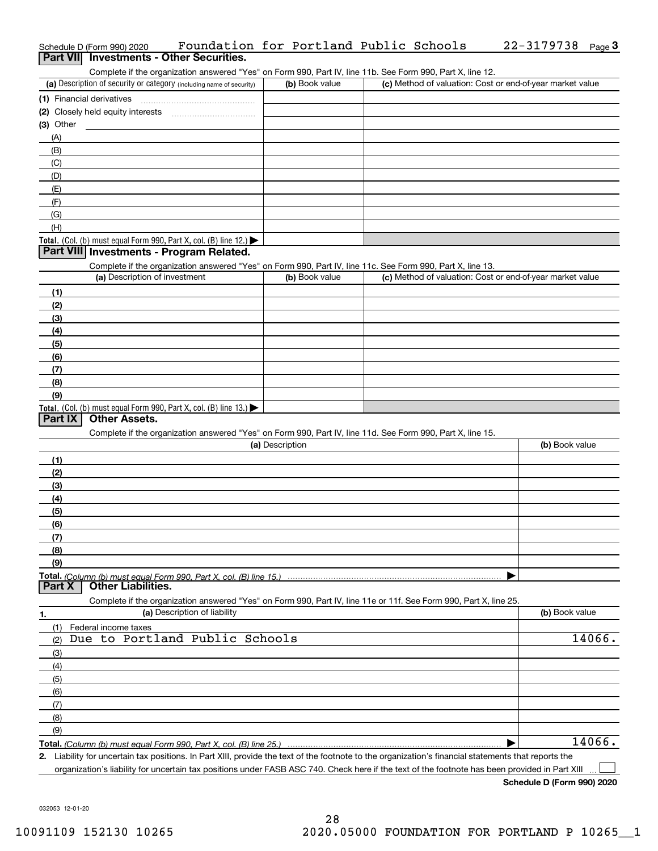| (a) Description of security or category (including name of security)                                                                              | (b) Book value  | (c) Method of valuation: Cost or end-of-year market value |                  |
|---------------------------------------------------------------------------------------------------------------------------------------------------|-----------------|-----------------------------------------------------------|------------------|
|                                                                                                                                                   |                 |                                                           |                  |
|                                                                                                                                                   |                 |                                                           |                  |
| $(3)$ Other                                                                                                                                       |                 |                                                           |                  |
| (A)                                                                                                                                               |                 |                                                           |                  |
| (B)                                                                                                                                               |                 |                                                           |                  |
| (C)                                                                                                                                               |                 |                                                           |                  |
| (D)                                                                                                                                               |                 |                                                           |                  |
| (E)                                                                                                                                               |                 |                                                           |                  |
| (F)                                                                                                                                               |                 |                                                           |                  |
| (G)                                                                                                                                               |                 |                                                           |                  |
| (H)                                                                                                                                               |                 |                                                           |                  |
| Total. (Col. (b) must equal Form 990, Part X, col. (B) line 12.)                                                                                  |                 |                                                           |                  |
| Part VIII Investments - Program Related.                                                                                                          |                 |                                                           |                  |
| Complete if the organization answered "Yes" on Form 990, Part IV, line 11c. See Form 990, Part X, line 13.                                        |                 |                                                           |                  |
| (a) Description of investment                                                                                                                     | (b) Book value  | (c) Method of valuation: Cost or end-of-year market value |                  |
| (1)                                                                                                                                               |                 |                                                           |                  |
| (2)                                                                                                                                               |                 |                                                           |                  |
| (3)                                                                                                                                               |                 |                                                           |                  |
| (4)                                                                                                                                               |                 |                                                           |                  |
| (5)                                                                                                                                               |                 |                                                           |                  |
| (6)                                                                                                                                               |                 |                                                           |                  |
| (7)                                                                                                                                               |                 |                                                           |                  |
| (8)                                                                                                                                               |                 |                                                           |                  |
| (9)                                                                                                                                               |                 |                                                           |                  |
| Total. (Col. (b) must equal Form 990, Part X, col. (B) line 13.)                                                                                  |                 |                                                           |                  |
| Complete if the organization answered "Yes" on Form 990, Part IV, line 11d. See Form 990, Part X, line 15.                                        | (a) Description |                                                           | (b) Book value   |
|                                                                                                                                                   |                 |                                                           |                  |
| (1)                                                                                                                                               |                 |                                                           |                  |
| (2)                                                                                                                                               |                 |                                                           |                  |
| (3)                                                                                                                                               |                 |                                                           |                  |
| (4)                                                                                                                                               |                 |                                                           |                  |
| (5)                                                                                                                                               |                 |                                                           |                  |
| (6)                                                                                                                                               |                 |                                                           |                  |
| (7)                                                                                                                                               |                 |                                                           |                  |
| (8)                                                                                                                                               |                 |                                                           |                  |
| (9)<br><b>Other Liabilities.</b>                                                                                                                  |                 |                                                           |                  |
| Part X                                                                                                                                            |                 |                                                           |                  |
| Complete if the organization answered "Yes" on Form 990, Part IV, line 11e or 11f. See Form 990, Part X, line 25.<br>(a) Description of liability |                 |                                                           | (b) Book value   |
| 1.                                                                                                                                                |                 |                                                           |                  |
| (1)<br>Federal income taxes<br>(2)                                                                                                                |                 |                                                           |                  |
| Due to Portland Public Schools                                                                                                                    |                 |                                                           |                  |
| (3)                                                                                                                                               |                 |                                                           |                  |
| (4)                                                                                                                                               |                 |                                                           |                  |
| (5)                                                                                                                                               |                 |                                                           |                  |
| (6)                                                                                                                                               |                 |                                                           |                  |
| (7)                                                                                                                                               |                 |                                                           |                  |
| (8)                                                                                                                                               |                 |                                                           |                  |
| (9)                                                                                                                                               |                 |                                                           | 14066.<br>14066. |

organization's liability for uncertain tax positions under FASB ASC 740. Check here if the text of the footnote has been provided in Part XIII

032053 12-01-20

#### Schedule D (Form 990) 2020 **Foundation for Portland Public Schools 22**-3179738 <sub>Page</sub> 3<br>| **Part VII** | Investments - Other Securities. 22-3179738 Page 3

| (a) Description of security or category (including name of security) | (b) Book value | (c) Method of valuation: Cost or end-of-year market value |
|----------------------------------------------------------------------|----------------|-----------------------------------------------------------|
| (1) Financial derivatives                                            |                |                                                           |
| (2) Closely held equity interests                                    |                |                                                           |
| (3) Other                                                            |                |                                                           |
| (A)                                                                  |                |                                                           |
| (B)                                                                  |                |                                                           |
| (C)                                                                  |                |                                                           |
| (D)                                                                  |                |                                                           |
| (E)                                                                  |                |                                                           |
| (F)                                                                  |                |                                                           |
| $(\cap)$                                                             |                |                                                           |

| (a) Description                                                                                                   | (b) Book value |
|-------------------------------------------------------------------------------------------------------------------|----------------|
| (1)                                                                                                               |                |
| (2)                                                                                                               |                |
| (3)                                                                                                               |                |
| (4)                                                                                                               |                |
| (5)                                                                                                               |                |
| (6)                                                                                                               |                |
| (7)                                                                                                               |                |
| (8)                                                                                                               |                |
| (9)                                                                                                               |                |
| Total. (Column (b) must equal Form 990, Part X, col. (B) line 15.) …………………………………………………                            |                |
| Part X   Other Liabilities.                                                                                       |                |
| Complete if the organization answered "Yes" on Form 990, Part IV, line 11e or 11f. See Form 990, Part X, line 25. |                |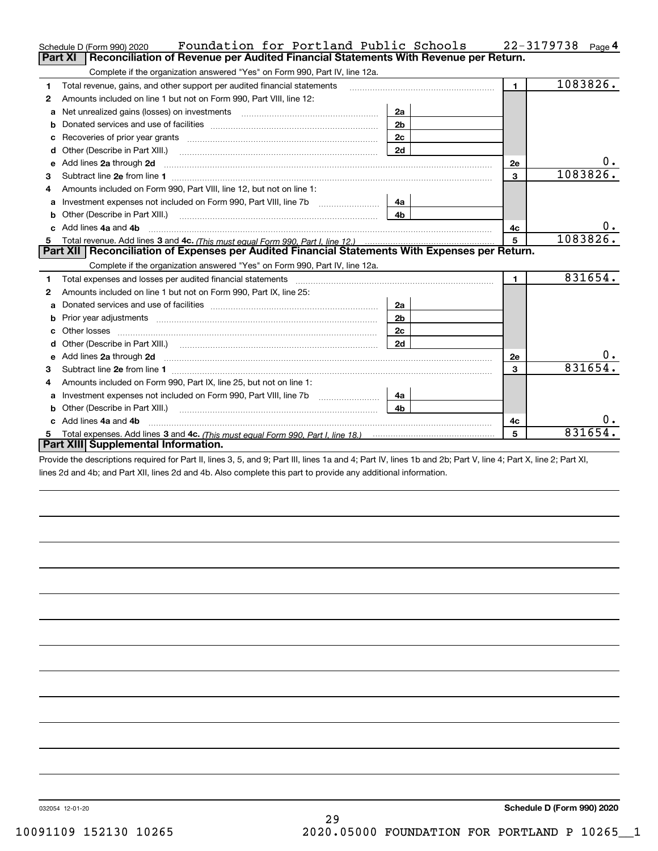|   | Foundation for Portland Public Schools<br>Schedule D (Form 990) 2020                                                                                                                                                                |                |                | 22-3179738<br>Page $4$ |
|---|-------------------------------------------------------------------------------------------------------------------------------------------------------------------------------------------------------------------------------------|----------------|----------------|------------------------|
|   | Reconciliation of Revenue per Audited Financial Statements With Revenue per Return.<br><b>Part XI</b>                                                                                                                               |                |                |                        |
|   | Complete if the organization answered "Yes" on Form 990, Part IV, line 12a.                                                                                                                                                         |                |                |                        |
| 1 | Total revenue, gains, and other support per audited financial statements                                                                                                                                                            |                | $\blacksquare$ | 1083826.               |
| 2 | Amounts included on line 1 but not on Form 990, Part VIII, line 12:                                                                                                                                                                 |                |                |                        |
| a | Net unrealized gains (losses) on investments [11] matter contracts and the unrealized gains (losses) on investments                                                                                                                 | 2a             |                |                        |
|   |                                                                                                                                                                                                                                     | 2 <sub>b</sub> |                |                        |
|   |                                                                                                                                                                                                                                     | 2c             |                |                        |
| d |                                                                                                                                                                                                                                     | 2d             |                |                        |
| e | Add lines 2a through 2d                                                                                                                                                                                                             |                | 2e             | $0_{\cdot}$            |
| 3 |                                                                                                                                                                                                                                     |                | $\mathbf{3}$   | 1083826.               |
| 4 | Amounts included on Form 990, Part VIII, line 12, but not on line 1:                                                                                                                                                                |                |                |                        |
|   | Investment expenses not included on Form 990, Part VIII, line 7b [100] [100] [100] [100] [100] [100] [100] [100] [100] [100] [100] [100] [100] [100] [100] [100] [100] [100] [100] [100] [100] [100] [100] [100] [100] [100] [      | 4a             |                |                        |
|   |                                                                                                                                                                                                                                     | 4 <sub>b</sub> |                |                        |
|   | c Add lines 4a and 4b                                                                                                                                                                                                               |                | 4с             | 0.                     |
|   |                                                                                                                                                                                                                                     |                | 5              | 1083826.               |
|   |                                                                                                                                                                                                                                     |                |                |                        |
|   | Part XII   Reconciliation of Expenses per Audited Financial Statements With Expenses per Return.                                                                                                                                    |                |                |                        |
|   | Complete if the organization answered "Yes" on Form 990, Part IV, line 12a.                                                                                                                                                         |                |                |                        |
| 1 |                                                                                                                                                                                                                                     |                | $\mathbf{1}$   | 831654.                |
| 2 | Amounts included on line 1 but not on Form 990, Part IX, line 25:                                                                                                                                                                   |                |                |                        |
| a |                                                                                                                                                                                                                                     | 2a             |                |                        |
| b |                                                                                                                                                                                                                                     | 2 <sub>b</sub> |                |                        |
|   |                                                                                                                                                                                                                                     | 2c             |                |                        |
|   |                                                                                                                                                                                                                                     | 2d             |                |                        |
| e | Add lines 2a through 2d <b>contained a contained a contained a contained a</b> contained a contained a contained a contained a contained a contained a contained a contained a contained a contained a contained a contained a cont |                | 2e             | о.                     |
| з |                                                                                                                                                                                                                                     |                | $\overline{3}$ | 831654.                |
| 4 | Amounts included on Form 990, Part IX, line 25, but not on line 1:                                                                                                                                                                  |                |                |                        |
| a |                                                                                                                                                                                                                                     | 4a             |                |                        |
|   | Other (Describe in Part XIII.)                                                                                                                                                                                                      | 4 <sub>b</sub> |                |                        |
|   | c Add lines 4a and 4b                                                                                                                                                                                                               |                | 4c             |                        |
|   | Part XIII Supplemental Information.                                                                                                                                                                                                 |                | 5              | 831654                 |

Provide the descriptions required for Part II, lines 3, 5, and 9; Part III, lines 1a and 4; Part IV, lines 1b and 2b; Part V, line 4; Part X, line 2; Part XI, lines 2d and 4b; and Part XII, lines 2d and 4b. Also complete this part to provide any additional information.

032054 12-01-20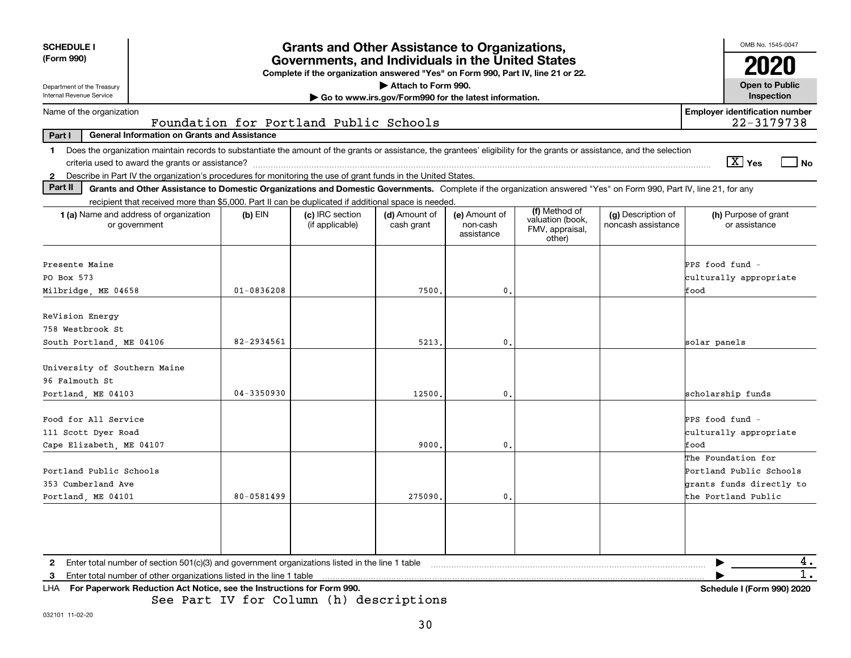| <b>SCHEDULE I</b>                                      |                                                                                                                                                                          |                | <b>Grants and Other Assistance to Organizations,</b>                                                                                  |                                                                              |                                         |                                                                |                                          |                 | OMB No. 1545-0047                     |      |
|--------------------------------------------------------|--------------------------------------------------------------------------------------------------------------------------------------------------------------------------|----------------|---------------------------------------------------------------------------------------------------------------------------------------|------------------------------------------------------------------------------|-----------------------------------------|----------------------------------------------------------------|------------------------------------------|-----------------|---------------------------------------|------|
| (Form 990)                                             |                                                                                                                                                                          |                | Governments, and Individuals in the United States<br>Complete if the organization answered "Yes" on Form 990, Part IV, line 21 or 22. |                                                                              |                                         |                                                                |                                          |                 | 2020                                  |      |
| Department of the Treasury<br>Internal Revenue Service |                                                                                                                                                                          |                |                                                                                                                                       | Attach to Form 990.<br>Go to www.irs.gov/Form990 for the latest information. |                                         |                                                                |                                          |                 | <b>Open to Public</b><br>Inspection   |      |
| Name of the organization                               |                                                                                                                                                                          |                |                                                                                                                                       |                                                                              |                                         |                                                                |                                          |                 | <b>Employer identification number</b> |      |
| Part I                                                 | <b>General Information on Grants and Assistance</b>                                                                                                                      |                | Foundation for Portland Public Schools                                                                                                |                                                                              |                                         |                                                                |                                          |                 | 22-3179738                            |      |
| 1.                                                     | Does the organization maintain records to substantiate the amount of the grants or assistance, the grantees' eligibility for the grants or assistance, and the selection |                |                                                                                                                                       |                                                                              |                                         |                                                                |                                          |                 |                                       |      |
|                                                        | criteria used to award the grants or assistance?                                                                                                                         |                |                                                                                                                                       |                                                                              |                                         |                                                                |                                          |                 | $X$ Yes                               | l No |
|                                                        | Describe in Part IV the organization's procedures for monitoring the use of grant funds in the United States.                                                            |                |                                                                                                                                       |                                                                              |                                         |                                                                |                                          |                 |                                       |      |
| Part II                                                | Grants and Other Assistance to Domestic Organizations and Domestic Governments. Complete if the organization answered "Yes" on Form 990, Part IV, line 21, for any       |                |                                                                                                                                       |                                                                              |                                         |                                                                |                                          |                 |                                       |      |
|                                                        | recipient that received more than \$5,000. Part II can be duplicated if additional space is needed.                                                                      |                |                                                                                                                                       |                                                                              |                                         |                                                                |                                          |                 |                                       |      |
|                                                        | 1 (a) Name and address of organization<br>or government                                                                                                                  | $(b)$ EIN      | (c) IRC section<br>(if applicable)                                                                                                    | (d) Amount of<br>cash grant                                                  | (e) Amount of<br>non-cash<br>assistance | (f) Method of<br>valuation (book,<br>FMV, appraisal,<br>other) | (g) Description of<br>noncash assistance |                 | (h) Purpose of grant<br>or assistance |      |
| Presente Maine                                         |                                                                                                                                                                          |                |                                                                                                                                       |                                                                              |                                         |                                                                |                                          | PPS food fund - |                                       |      |
| PO Box 573                                             |                                                                                                                                                                          |                |                                                                                                                                       |                                                                              |                                         |                                                                |                                          |                 | culturally appropriate                |      |
| Milbridge, ME 04658                                    |                                                                                                                                                                          | $01 - 0836208$ |                                                                                                                                       | 7500.                                                                        | $\mathbf{0}$ .                          |                                                                |                                          | Eood            |                                       |      |
|                                                        |                                                                                                                                                                          |                |                                                                                                                                       |                                                                              |                                         |                                                                |                                          |                 |                                       |      |
| ReVision Energy                                        |                                                                                                                                                                          |                |                                                                                                                                       |                                                                              |                                         |                                                                |                                          |                 |                                       |      |
| 758 Westbrook St                                       |                                                                                                                                                                          |                |                                                                                                                                       |                                                                              |                                         |                                                                |                                          |                 |                                       |      |
| South Portland, ME 04106                               |                                                                                                                                                                          | 82-2934561     |                                                                                                                                       | 5213                                                                         | 0.                                      |                                                                |                                          | solar panels    |                                       |      |
| University of Southern Maine                           |                                                                                                                                                                          |                |                                                                                                                                       |                                                                              |                                         |                                                                |                                          |                 |                                       |      |
| 96 Falmouth St                                         |                                                                                                                                                                          |                |                                                                                                                                       |                                                                              |                                         |                                                                |                                          |                 |                                       |      |
| Portland, ME 04103                                     |                                                                                                                                                                          | $04 - 3350930$ |                                                                                                                                       | 12500                                                                        | 0.                                      |                                                                |                                          |                 | scholarship funds                     |      |
|                                                        |                                                                                                                                                                          |                |                                                                                                                                       |                                                                              |                                         |                                                                |                                          |                 |                                       |      |
| Food for All Service                                   |                                                                                                                                                                          |                |                                                                                                                                       |                                                                              |                                         |                                                                |                                          | PPS food fund - |                                       |      |
| 111 Scott Dyer Road                                    |                                                                                                                                                                          |                |                                                                                                                                       |                                                                              |                                         |                                                                |                                          |                 | culturally appropriate                |      |
| Cape Elizabeth, ME 04107                               |                                                                                                                                                                          |                |                                                                                                                                       | 9000                                                                         | 0.                                      |                                                                |                                          | ffood           | The Foundation for                    |      |
| Portland Public Schools                                |                                                                                                                                                                          |                |                                                                                                                                       |                                                                              |                                         |                                                                |                                          |                 | Portland Public Schools               |      |
| 353 Cumberland Ave                                     |                                                                                                                                                                          |                |                                                                                                                                       |                                                                              |                                         |                                                                |                                          |                 | grants funds directly to              |      |
| Portland, ME 04101                                     |                                                                                                                                                                          | 80-0581499     |                                                                                                                                       | 275090                                                                       | 0.                                      |                                                                |                                          |                 | the Portland Public                   |      |
|                                                        |                                                                                                                                                                          |                |                                                                                                                                       |                                                                              |                                         |                                                                |                                          |                 |                                       |      |
|                                                        |                                                                                                                                                                          |                |                                                                                                                                       |                                                                              |                                         |                                                                |                                          |                 |                                       |      |
|                                                        |                                                                                                                                                                          |                |                                                                                                                                       |                                                                              |                                         |                                                                |                                          |                 |                                       |      |
| $\mathbf{2}$                                           | Enter total number of section 501(c)(3) and government organizations listed in the line 1 table                                                                          |                |                                                                                                                                       |                                                                              |                                         |                                                                |                                          |                 |                                       | 4.   |
| 3                                                      | Enter total number of other organizations listed in the line 1 table                                                                                                     |                |                                                                                                                                       |                                                                              |                                         |                                                                |                                          |                 |                                       | 1.   |
|                                                        | LHA For Paperwork Reduction Act Notice, see the Instructions for Form 990.                                                                                               |                |                                                                                                                                       |                                                                              |                                         |                                                                |                                          |                 | Schedule I (Form 990) 2020            |      |
|                                                        |                                                                                                                                                                          |                | See Part IV for Column (h) descriptions                                                                                               |                                                                              |                                         |                                                                |                                          |                 |                                       |      |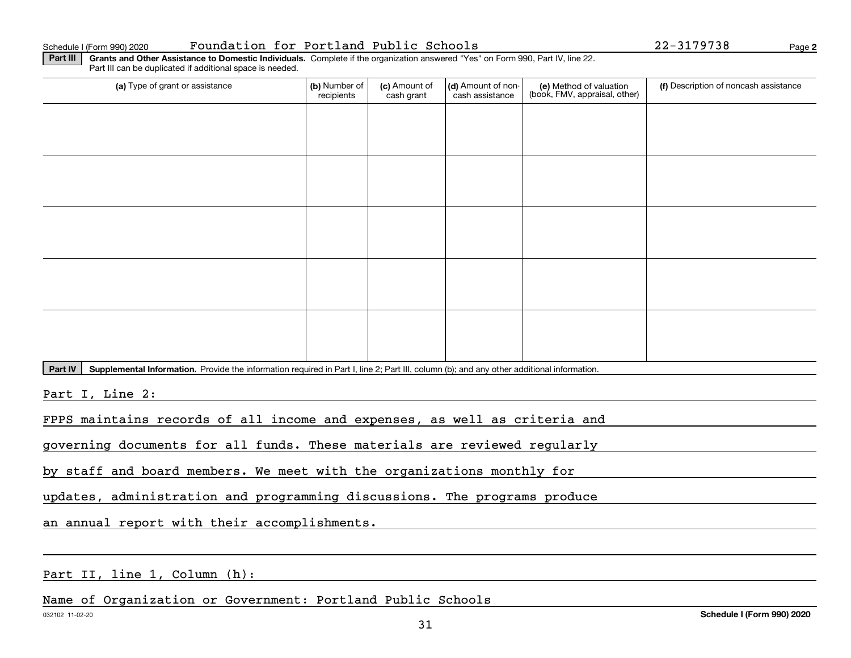Schedule I (Form 990) 2020 Page Foundation for Portland Public Schools 22-3179738

**2**

**Part III | Grants and Other Assistance to Domestic Individuals. Complete if the organization answered "Yes" on Form 990, Part IV, line 22.** Part III can be duplicated if additional space is needed.

| (b) Number of<br>recipients | (c) Amount of<br>cash grant | cash assistance | (e) Method of valuation<br>(book, FMV, appraisal, other) | (f) Description of noncash assistance |
|-----------------------------|-----------------------------|-----------------|----------------------------------------------------------|---------------------------------------|
|                             |                             |                 |                                                          |                                       |
|                             |                             |                 |                                                          |                                       |
|                             |                             |                 |                                                          |                                       |
|                             |                             |                 |                                                          |                                       |
|                             |                             |                 |                                                          |                                       |
|                             |                             |                 |                                                          |                                       |
|                             |                             |                 |                                                          |                                       |
|                             |                             |                 |                                                          |                                       |
|                             |                             |                 |                                                          |                                       |
|                             |                             |                 |                                                          |                                       |
|                             |                             |                 |                                                          | (d) Amount of non-                    |

Part IV | Supplemental Information. Provide the information required in Part I, line 2; Part III, column (b); and any other additional information.

Part I, Line 2:

FPPS maintains records of all income and expenses, as well as criteria and

governing documents for all funds. These materials are reviewed regularly

by staff and board members. We meet with the organizations monthly for

updates, administration and programming discussions. The programs produce

an annual report with their accomplishments.

Part II, line 1, Column (h):

Name of Organization or Government: Portland Public Schools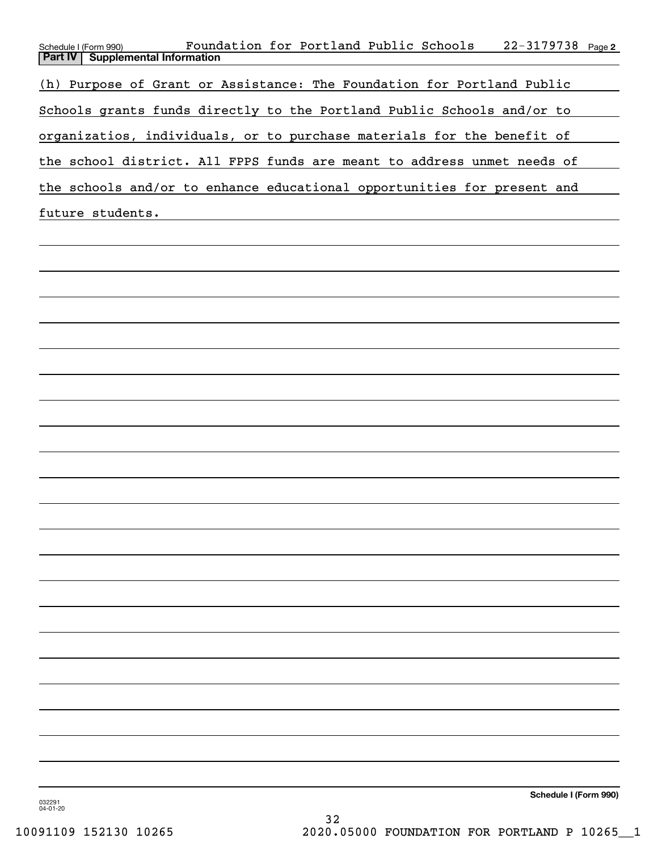| $22 - 3179738$ Page 2<br>Foundation for Portland Public Schools<br>Schedule I (Form 990) |
|------------------------------------------------------------------------------------------|
| <b>Part IV   Supplemental Information</b>                                                |
| (h) Purpose of Grant or Assistance: The Foundation for Portland Public                   |
| Schools grants funds directly to the Portland Public Schools and/or to                   |
| organizatios, individuals, or to purchase materials for the benefit of                   |
| the school district. All FPPS funds are meant to address unmet needs of                  |
| the schools and/or to enhance educational opportunities for present and                  |
| future students.                                                                         |
|                                                                                          |
|                                                                                          |
|                                                                                          |
|                                                                                          |
|                                                                                          |

**Schedule I (Form 990)**

032291 04-01-20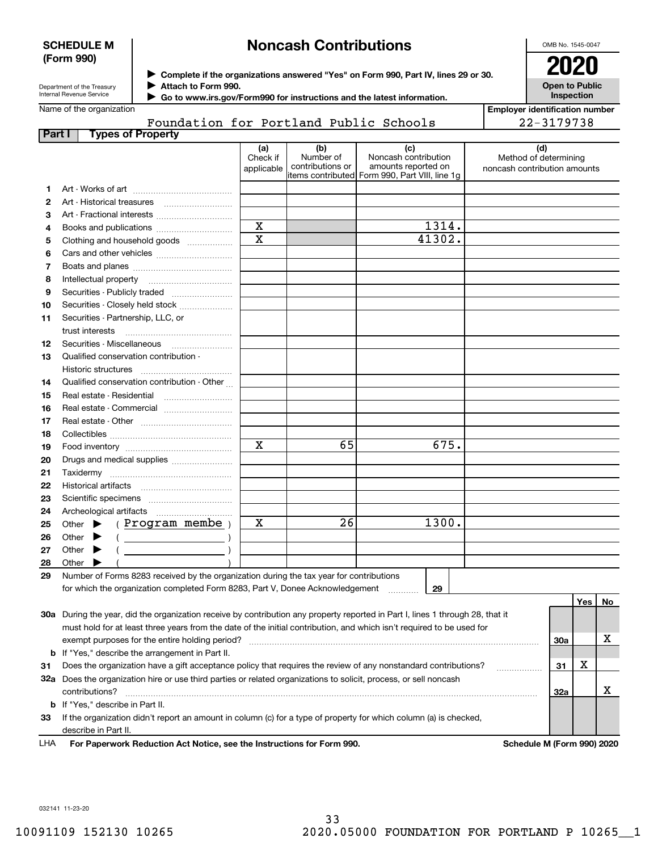#### **SCHEDULE M (Form 990)**

# **Noncash Contributions**

OMB No. 1545-0047

| Department of the Treasury |
|----------------------------|
| Internal Revenue Service   |

**Complete if the organizations answered "Yes" on Form 990, Part IV, lines 29 or 30.** <sup>J</sup>**2020 Attach to Form 990.** J

**Open to Public Inspection**

|  | Name of the organization |
|--|--------------------------|

 **Go to www.irs.gov/Form990 for instructions and the latest information.** J Foundation for Portland Public Schools

| <b>Employer identification number</b> |  |
|---------------------------------------|--|
| 22-3179738                            |  |

| Part I | <b>Types of Property</b>                                                                                                       |             |                  |                                                 |                              |     |     |    |
|--------|--------------------------------------------------------------------------------------------------------------------------------|-------------|------------------|-------------------------------------------------|------------------------------|-----|-----|----|
|        |                                                                                                                                | (a)         | (b)              | (c)                                             | (d)                          |     |     |    |
|        |                                                                                                                                | Check if    | Number of        | Noncash contribution                            | Method of determining        |     |     |    |
|        |                                                                                                                                | applicable  | contributions or | amounts reported on                             | noncash contribution amounts |     |     |    |
|        |                                                                                                                                |             |                  | litems contributed Form 990, Part VIII, line 1g |                              |     |     |    |
| 1      |                                                                                                                                |             |                  |                                                 |                              |     |     |    |
| 2      | Art - Historical treasures                                                                                                     |             |                  |                                                 |                              |     |     |    |
| З      | Art - Fractional interests                                                                                                     |             |                  |                                                 |                              |     |     |    |
| 4      | Books and publications                                                                                                         | X           |                  | 1314.                                           |                              |     |     |    |
| 5      | Clothing and household goods                                                                                                   | $\mathbf X$ |                  | 41302.                                          |                              |     |     |    |
| 6      |                                                                                                                                |             |                  |                                                 |                              |     |     |    |
| 7      |                                                                                                                                |             |                  |                                                 |                              |     |     |    |
| 8      | Intellectual property                                                                                                          |             |                  |                                                 |                              |     |     |    |
| 9      | Securities - Publicly traded                                                                                                   |             |                  |                                                 |                              |     |     |    |
| 10     | Securities - Closely held stock                                                                                                |             |                  |                                                 |                              |     |     |    |
| 11     | Securities - Partnership, LLC, or                                                                                              |             |                  |                                                 |                              |     |     |    |
|        | trust interests                                                                                                                |             |                  |                                                 |                              |     |     |    |
| 12     | Securities - Miscellaneous                                                                                                     |             |                  |                                                 |                              |     |     |    |
| 13     | Qualified conservation contribution -                                                                                          |             |                  |                                                 |                              |     |     |    |
|        | Historic structures                                                                                                            |             |                  |                                                 |                              |     |     |    |
| 14     | Qualified conservation contribution - Other                                                                                    |             |                  |                                                 |                              |     |     |    |
| 15     | Real estate - Residential                                                                                                      |             |                  |                                                 |                              |     |     |    |
| 16     |                                                                                                                                |             |                  |                                                 |                              |     |     |    |
| 17     |                                                                                                                                |             |                  |                                                 |                              |     |     |    |
| 18     |                                                                                                                                |             |                  |                                                 |                              |     |     |    |
| 19     |                                                                                                                                | $\mathbf X$ | 65               | 675.                                            |                              |     |     |    |
| 20     | Drugs and medical supplies                                                                                                     |             |                  |                                                 |                              |     |     |    |
| 21     |                                                                                                                                |             |                  |                                                 |                              |     |     |    |
| 22     | Historical artifacts                                                                                                           |             |                  |                                                 |                              |     |     |    |
| 23     |                                                                                                                                |             |                  |                                                 |                              |     |     |    |
| 24     | Archeological artifacts                                                                                                        |             |                  |                                                 |                              |     |     |    |
| 25     | (Program membe)<br>Other $\blacktriangleright$                                                                                 | х           | 26               | 1300.                                           |                              |     |     |    |
| 26     | Other<br>▶                                                                                                                     |             |                  |                                                 |                              |     |     |    |
| 27     | Other<br>▶                                                                                                                     |             |                  |                                                 |                              |     |     |    |
| 28     | Other                                                                                                                          |             |                  |                                                 |                              |     |     |    |
| 29     | Number of Forms 8283 received by the organization during the tax year for contributions                                        |             |                  |                                                 |                              |     |     |    |
|        | for which the organization completed Form 8283, Part V, Donee Acknowledgement                                                  |             |                  | 29                                              |                              |     |     |    |
|        |                                                                                                                                |             |                  |                                                 |                              |     | Yes | No |
|        | 30a During the year, did the organization receive by contribution any property reported in Part I, lines 1 through 28, that it |             |                  |                                                 |                              |     |     |    |
|        | must hold for at least three years from the date of the initial contribution, and which isn't required to be used for          |             |                  |                                                 |                              |     |     |    |
|        | exempt purposes for the entire holding period?                                                                                 |             |                  |                                                 |                              | 30a |     | х  |
|        | <b>b</b> If "Yes," describe the arrangement in Part II.                                                                        |             |                  |                                                 |                              |     |     |    |
| 31     | Does the organization have a gift acceptance policy that requires the review of any nonstandard contributions?                 |             |                  |                                                 |                              | 31  | X   |    |
|        | 32a Does the organization hire or use third parties or related organizations to solicit, process, or sell noncash              |             |                  |                                                 | .                            |     |     |    |
|        | contributions?                                                                                                                 |             |                  |                                                 |                              | 32a |     | х  |
|        | <b>b</b> If "Yes," describe in Part II.                                                                                        |             |                  |                                                 |                              |     |     |    |
|        |                                                                                                                                |             |                  |                                                 |                              |     |     |    |

**33**If the organization didn't report an amount in column (c) for a type of property for which column (a) is checked, describe in Part II.

**For Paperwork Reduction Act Notice, see the Instructions for Form 990. Schedule M (Form 990) 2020** LHA

032141 11-23-20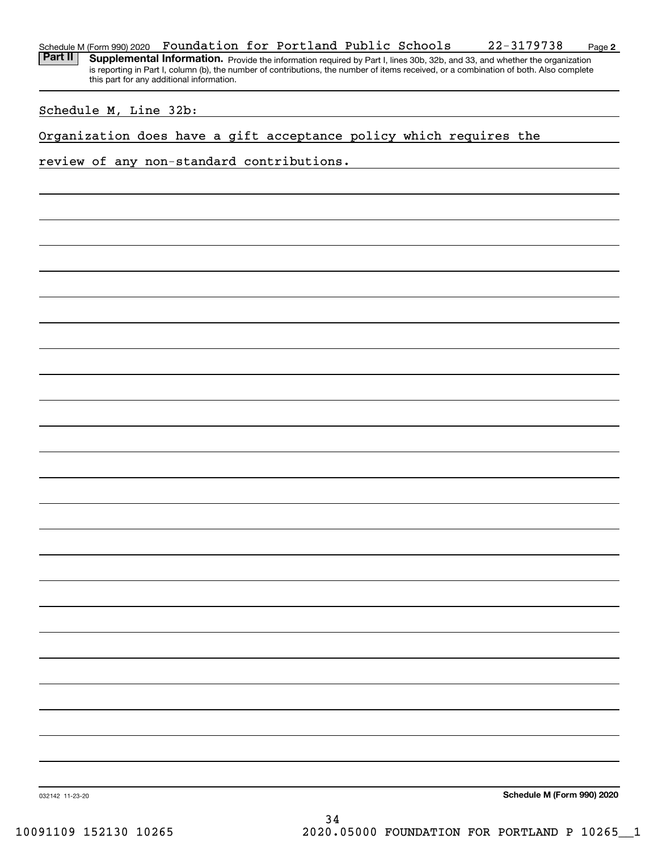#### **2** Schedule M (Form 990) 2020 **Foundation for Portland Public Schools** 22-3179738 Page

Part II | Supplemental Information. Provide the information required by Part I, lines 30b, 32b, and 33, and whether the organization is reporting in Part I, column (b), the number of contributions, the number of items received, or a combination of both. Also complete this part for any additional information.

## Schedule M, Line 32b:

Organization does have a gift acceptance policy which requires the

### review of any non-standard contributions.

**Schedule M (Form 990) 2020**

032142 11-23-20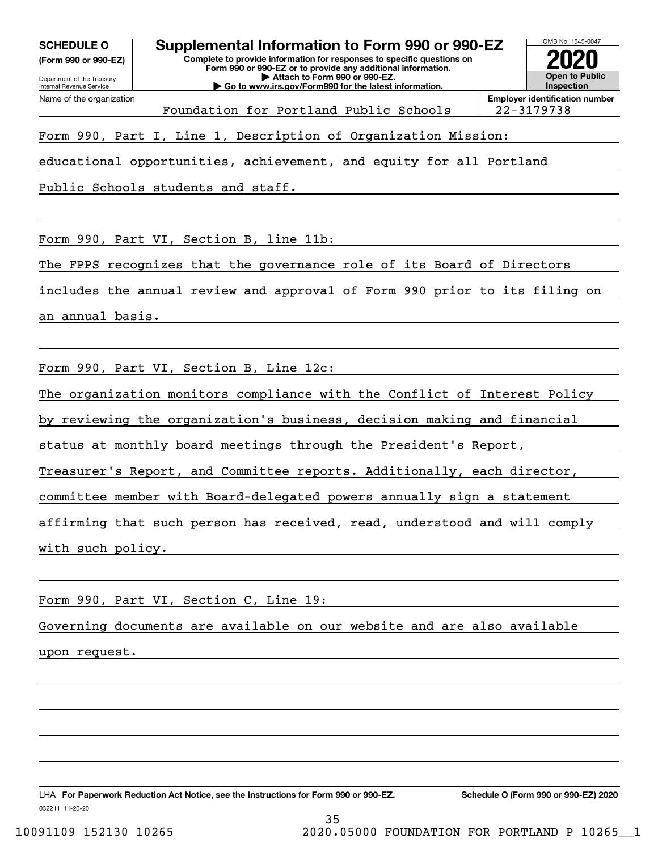**(Form 990 or 990-EZ)**

**Complete to provide information for responses to specific questions on Form 990 or 990-EZ or to provide any additional information. | Attach to Form 990 or 990-EZ. | Go to www.irs.gov/Form990 for the latest information. SCHEDULE O Supplemental Information to Form 990 or 990-EZ**



Foundation for Portland Public Schools 22-3179738

Form 990, Part I, Line 1, Description of Organization Mission:

educational opportunities, achievement, and equity for all Portland

Public Schools students and staff.

Form 990, Part VI, Section B, line 11b:

The FPPS recognizes that the governance role of its Board of Directors

includes the annual review and approval of Form 990 prior to its filing on

an annual basis.

Form 990, Part VI, Section B, Line 12c:

The organization monitors compliance with the Conflict of Interest Policy

by reviewing the organization's business, decision making and financial

status at monthly board meetings through the President's Report,

Treasurer's Report, and Committee reports. Additionally, each director,

committee member with Board-delegated powers annually sign a statement

affirming that such person has received, read, understood and will comply

with such policy.

Form 990, Part VI, Section C, Line 19:

Governing documents are available on our website and are also available

35

upon request.

032211 11-20-20 LHA For Paperwork Reduction Act Notice, see the Instructions for Form 990 or 990-EZ. Schedule O (Form 990 or 990-EZ) 2020

10091109 152130 10265 2020.05000 FOUNDATION FOR PORTLAND P 10265\_\_1